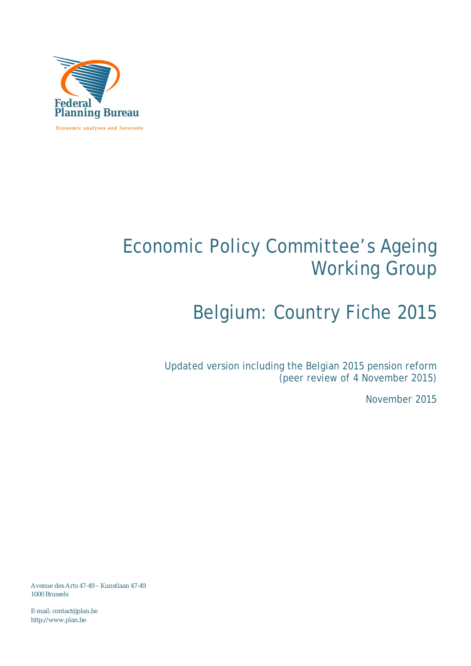

# Economic Policy Committee's Ageing Working Group

# Belgium: Country Fiche 2015

Updated version including the Belgian 2015 pension reform (peer review of 4 November 2015)

November 2015

Avenue des Arts 47-49 – Kunstlaan 47-49 1000 Brussels

E-mail: [contact@plan.be](mailto:contact@plan.be) <http://www.plan.be>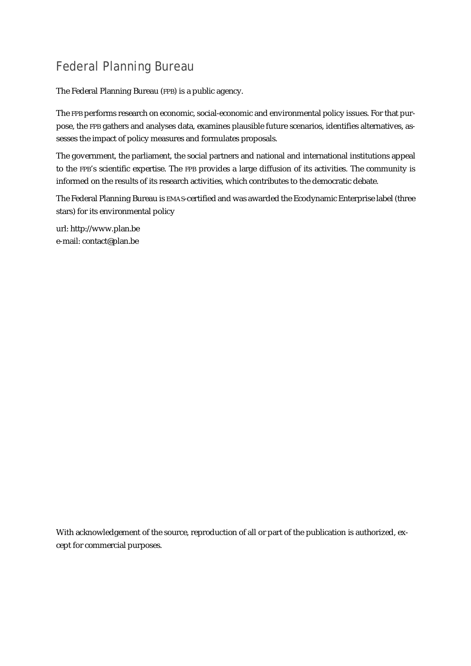## Federal Planning Bureau

The Federal Planning Bureau (FPB) is a public agency.

The FPB performs research on economic, social-economic and environmental policy issues. For that purpose, the FPB gathers and analyses data, examines plausible future scenarios, identifies alternatives, assesses the impact of policy measures and formulates proposals.

The government, the parliament, the social partners and national and international institutions appeal to the FPB's scientific expertise. The FPB provides a large diffusion of its activities. The community is informed on the results of its research activities, which contributes to the democratic debate.

The Federal Planning Bureau is EMAS-certified and was awarded the Ecodynamic Enterprise label (three stars) for its environmental policy

url: <http://www.plan.be> e-mail: [contact@plan.be](mailto:contact@plan.be)

With acknowledgement of the source, reproduction of all or part of the publication is authorized, except for commercial purposes.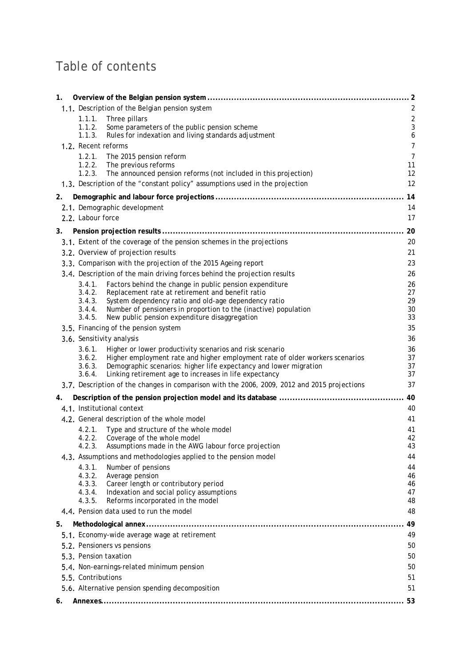## Table of contents

| 1. |                       |                                                                                                                  |                      |
|----|-----------------------|------------------------------------------------------------------------------------------------------------------|----------------------|
|    |                       | 1.1. Description of the Belgian pension system                                                                   | $\overline{2}$       |
|    | 1.1.1.                | Three pillars                                                                                                    | $\sqrt{2}$           |
|    | 1.1.2.                | Some parameters of the public pension scheme                                                                     | $\sqrt{3}$           |
|    | 1.1.3.                | Rules for indexation and living standards adjustment                                                             | $\boldsymbol{6}$     |
|    | 1.2. Recent reforms   |                                                                                                                  | $\overline{7}$       |
|    | 1.2.1.<br>1.2.2.      | The 2015 pension reform<br>The previous reforms                                                                  | $\overline{7}$<br>11 |
|    | 1.2.3.                | The announced pension reforms (not included in this projection)                                                  | 12                   |
|    |                       | 1.3. Description of the "constant policy" assumptions used in the projection                                     | 12                   |
| 2. |                       |                                                                                                                  | 14                   |
|    |                       | 2.1. Demographic development                                                                                     | 14                   |
|    | 2.2. Labour force     |                                                                                                                  | 17                   |
| 3. |                       |                                                                                                                  | 20                   |
|    |                       | 3.1. Extent of the coverage of the pension schemes in the projections                                            | 20                   |
|    |                       | 3.2. Overview of projection results                                                                              | 21                   |
|    |                       | 3.3. Comparison with the projection of the 2015 Ageing report                                                    | 23                   |
|    |                       | 3.4. Description of the main driving forces behind the projection results                                        | 26                   |
|    | 3.4.1.                | Factors behind the change in public pension expenditure                                                          | 26                   |
|    | 3.4.2.                | Replacement rate at retirement and benefit ratio                                                                 | 27                   |
|    | 3.4.3.                | System dependency ratio and old-age dependency ratio                                                             | 29                   |
|    | 3.4.4.<br>3.4.5.      | Number of pensioners in proportion to the (inactive) population<br>New public pension expenditure disaggregation | 30<br>33             |
|    |                       | 3.5. Financing of the pension system                                                                             | 35                   |
|    |                       | 3.6. Sensitivity analysis                                                                                        | 36                   |
|    | 3.6.1.                | Higher or lower productivity scenarios and risk scenario                                                         | 36                   |
|    | 3.6.2.                | Higher employment rate and higher employment rate of older workers scenarios                                     | 37                   |
|    | 3.6.3.                | Demographic scenarios: higher life expectancy and lower migration                                                | 37                   |
|    | 3.6.4.                | Linking retirement age to increases in life expectancy                                                           | 37                   |
|    |                       | 3.7. Description of the changes in comparison with the 2006, 2009, 2012 and 2015 projections                     | 37                   |
| 4. |                       |                                                                                                                  | 40                   |
|    |                       | 4.1. Institutional context                                                                                       | 40                   |
|    |                       | 4.2. General description of the whole model                                                                      | 41                   |
|    | 4.2.1.                | Type and structure of the whole model                                                                            | 41                   |
|    | 4.2.2.<br>4.2.3       | Coverage of the whole model<br>Assumptions made in the AWG labour force projection                               | 42<br>43             |
|    |                       | 4.3. Assumptions and methodologies applied to the pension model                                                  | 44                   |
|    | 4.3.1.                | Number of pensions                                                                                               | 44                   |
|    | 4.3.2.                | Average pension                                                                                                  | 46                   |
|    | 4.3.3.                | Career length or contributory period                                                                             | 46                   |
|    | 4.3.4.                | Indexation and social policy assumptions                                                                         | 47                   |
|    | 4.3.5.                | Reforms incorporated in the model<br>4.4. Pension data used to run the model                                     | 48<br>48             |
|    |                       |                                                                                                                  |                      |
| 5. |                       |                                                                                                                  | 49                   |
|    |                       | 5.1. Economy-wide average wage at retirement                                                                     | 49                   |
|    |                       | 5.2. Pensioners vs pensions                                                                                      | 50                   |
|    | 5.3. Pension taxation |                                                                                                                  | 50                   |
|    |                       | 5.4. Non-earnings-related minimum pension                                                                        | 50                   |
|    | 5.5. Contributions    |                                                                                                                  | 51                   |
|    |                       | 5.6. Alternative pension spending decomposition                                                                  | 51                   |
| 6. |                       |                                                                                                                  | 53                   |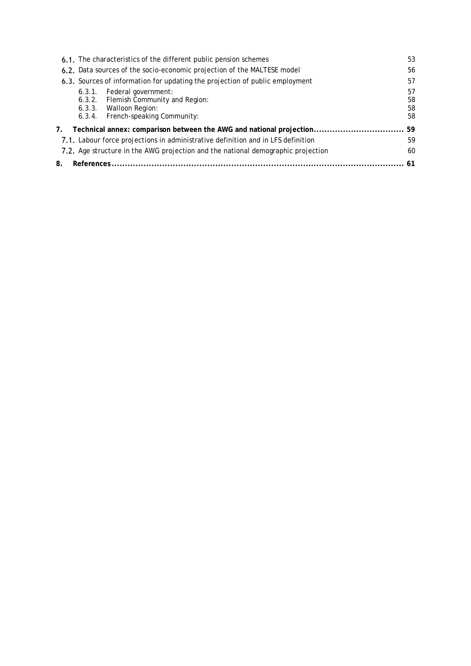| 6.1. The characteristics of the different public pension schemes                                                                     | 53                   |
|--------------------------------------------------------------------------------------------------------------------------------------|----------------------|
| 6.2. Data sources of the socio-economic projection of the MALTESE model                                                              | 56                   |
| 6.3. Sources of information for updating the projection of public employment                                                         | 57                   |
| Federal government:<br>6.3.1.<br>6.3.2. Flemish Community and Region:<br>6.3.3. Walloon Region:<br>6.3.4. French-speaking Community: | 57<br>58<br>58<br>58 |
| Technical annex: comparison between the AWG and national projection<br>7.                                                            | 59                   |
| 7.1. Labour force projections in administrative definition and in LFS definition                                                     | 59                   |
| 7.2. Age structure in the AWG projection and the national demographic projection                                                     | 60                   |
| 8.                                                                                                                                   |                      |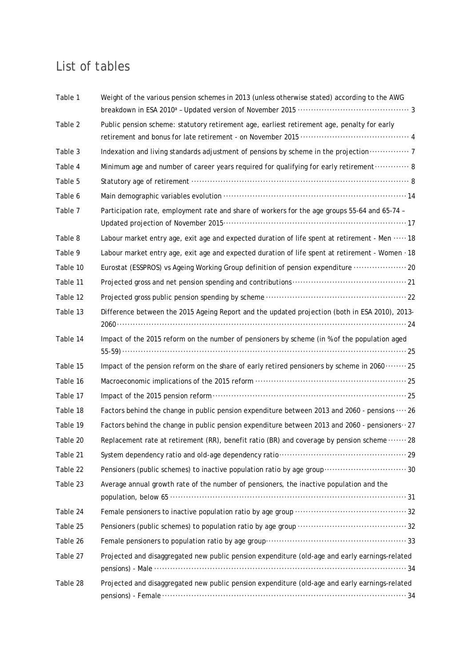## List of tables

| Table 1  | Weight of the various pension schemes in 2013 (unless otherwise stated) according to the AWG     |
|----------|--------------------------------------------------------------------------------------------------|
| Table 2  | Public pension scheme: statutory retirement age, earliest retirement age, penalty for early      |
| Table 3  | Indexation and living standards adjustment of pensions by scheme in the projection  7            |
| Table 4  | Minimum age and number of career years required for qualifying for early retirement 8            |
| Table 5  |                                                                                                  |
| Table 6  |                                                                                                  |
| Table 7  | Participation rate, employment rate and share of workers for the age groups 55-64 and 65-74 -    |
| Table 8  | Labour market entry age, exit age and expected duration of life spent at retirement - Men  18    |
| Table 9  | Labour market entry age, exit age and expected duration of life spent at retirement - Women · 18 |
| Table 10 | Eurostat (ESSPROS) vs Ageing Working Group definition of pension expenditure  20                 |
| Table 11 |                                                                                                  |
| Table 12 |                                                                                                  |
| Table 13 | Difference between the 2015 Ageing Report and the updated projection (both in ESA 2010), 2013-   |
| Table 14 | Impact of the 2015 reform on the number of pensioners by scheme (in % of the population aged     |
| Table 15 | Impact of the pension reform on the share of early retired pensioners by scheme in 2060 25       |
| Table 16 |                                                                                                  |
| Table 17 |                                                                                                  |
| Table 18 | Factors behind the change in public pension expenditure between 2013 and 2060 - pensions  26     |
| Table 19 | Factors behind the change in public pension expenditure between 2013 and 2060 - pensioners ·· 27 |
| Table 20 | Replacement rate at retirement (RR), benefit ratio (BR) and coverage by pension scheme  28       |
| Table 21 |                                                                                                  |
| Table 22 | Pensioners (public schemes) to inactive population ratio by age group 30                         |
| Table 23 | Average annual growth rate of the number of pensioners, the inactive population and the          |
| Table 24 |                                                                                                  |
| Table 25 |                                                                                                  |
| Table 26 |                                                                                                  |
| Table 27 | Projected and disaggregated new public pension expenditure (old-age and early earnings-related   |
|          |                                                                                                  |
| Table 28 | Projected and disaggregated new public pension expenditure (old-age and early earnings-related   |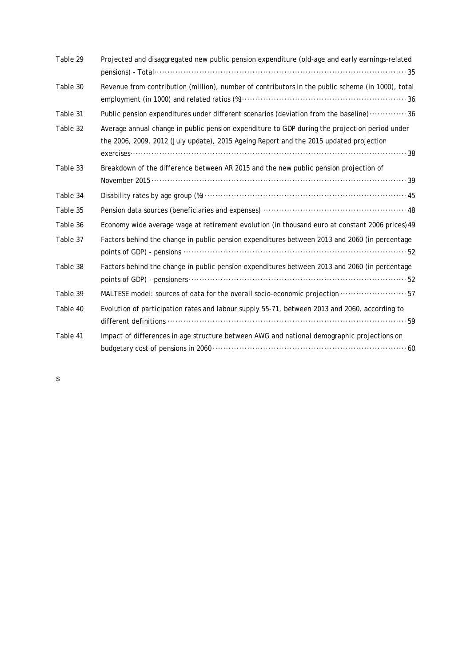| Table 29 | Projected and disaggregated new public pension expenditure (old-age and early earnings-related                                                                                          |
|----------|-----------------------------------------------------------------------------------------------------------------------------------------------------------------------------------------|
| Table 30 | Revenue from contribution (million), number of contributors in the public scheme (in 1000), total                                                                                       |
| Table 31 | Public pension expenditures under different scenarios (deviation from the baseline)  36                                                                                                 |
| Table 32 | Average annual change in public pension expenditure to GDP during the projection period under<br>the 2006, 2009, 2012 (July update), 2015 Ageing Report and the 2015 updated projection |
| Table 33 | Breakdown of the difference between AR 2015 and the new public pension projection of                                                                                                    |
| Table 34 |                                                                                                                                                                                         |
| Table 35 |                                                                                                                                                                                         |
| Table 36 | Economy wide average wage at retirement evolution (in thousand euro at constant 2006 prices) 49                                                                                         |
| Table 37 | Factors behind the change in public pension expenditures between 2013 and 2060 (in percentage                                                                                           |
| Table 38 | Factors behind the change in public pension expenditures between 2013 and 2060 (in percentage                                                                                           |
| Table 39 | MALTESE model: sources of data for the overall socio-economic projection  57                                                                                                            |
| Table 40 | Evolution of participation rates and labour supply 55-71, between 2013 and 2060, according to                                                                                           |
| Table 41 | Impact of differences in age structure between AWG and national demographic projections on                                                                                              |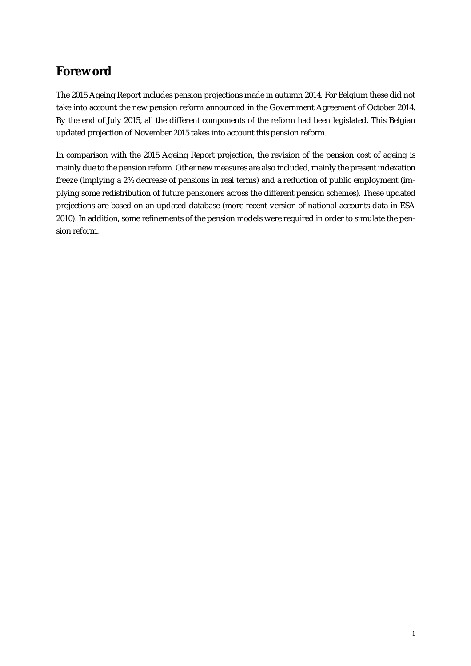## **Foreword**

The 2015 Ageing Report includes pension projections made in autumn 2014. For Belgium these did not take into account the new pension reform announced in the Government Agreement of October 2014. By the end of July 2015, all the different components of the reform had been legislated. This Belgian updated projection of November 2015 takes into account this pension reform.

In comparison with the 2015 Ageing Report projection, the revision of the pension cost of ageing is mainly due to the pension reform. Other new measures are also included, mainly the present indexation freeze (implying a 2% decrease of pensions in real terms) and a reduction of public employment (implying some redistribution of future pensioners across the different pension schemes). These updated projections are based on an updated database (more recent version of national accounts data in ESA 2010). In addition, some refinements of the pension models were required in order to simulate the pension reform.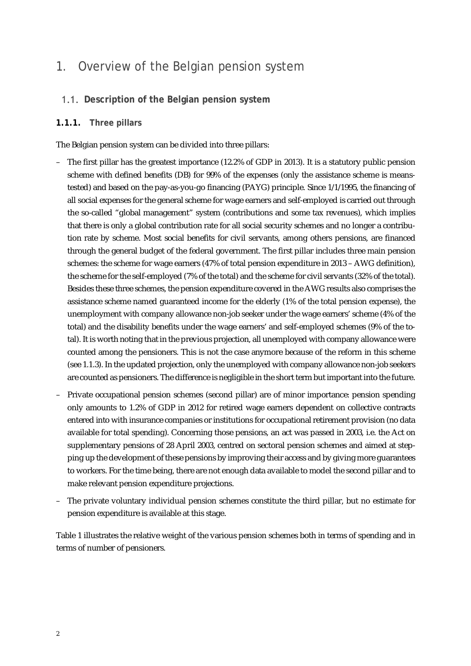## 1. Overview of the Belgian pension system

#### **Description of the Belgian pension system**

#### **1.1.1. Three pillars**

The Belgian pension system can be divided into three pillars:

- The first pillar has the greatest importance (12.2% of GDP in 2013). It is a statutory public pension scheme with defined benefits (DB) for 99% of the expenses (only the assistance scheme is meanstested) and based on the pay-as-you-go financing (PAYG) principle. Since 1/1/1995, the financing of all social expenses for the general scheme for wage earners and self-employed is carried out through the so-called "global management" system (contributions and some tax revenues), which implies that there is only a global contribution rate for all social security schemes and no longer a contribution rate by scheme. Most social benefits for civil servants, among others pensions, are financed through the general budget of the federal government. The first pillar includes three main pension schemes: the scheme for wage earners (47% of total pension expenditure in 2013 – AWG definition), the scheme for the self-employed (7% of the total) and the scheme for civil servants (32% of the total). Besides these three schemes, the pension expenditure covered in the AWG results also comprises the assistance scheme named guaranteed income for the elderly (1% of the total pension expense), the unemployment with company allowance non-job seeker under the wage earners' scheme (4% of the total) and the disability benefits under the wage earners' and self-employed schemes (9% of the total). It is worth noting that in the previous projection, all unemployed with company allowance were counted among the pensioners. This is not the case anymore because of the reform in this scheme (see 1.1.3). In the updated projection, only the unemployed with company allowance non-job seekers are counted as pensioners. The difference is negligible in the short term but important into the future.
- Private occupational pension schemes (second pillar) are of minor importance: pension spending only amounts to 1.2% of GDP in 2012 for retired wage earners dependent on collective contracts entered into with insurance companies or institutions for occupational retirement provision (no data available for total spending). Concerning those pensions, an act was passed in 2003, i.e. the Act on supplementary pensions of 28 April 2003, centred on sectoral pension schemes and aimed at stepping up the development of these pensions by improving their access and by giving more guarantees to workers. For the time being, there are not enough data available to model the second pillar and to make relevant pension expenditure projections.
- The private voluntary individual pension schemes constitute the third pillar, but no estimate for pension expenditure is available at this stage.

Table 1 illustrates the relative weight of the various pension schemes both in terms of spending and in terms of number of pensioners.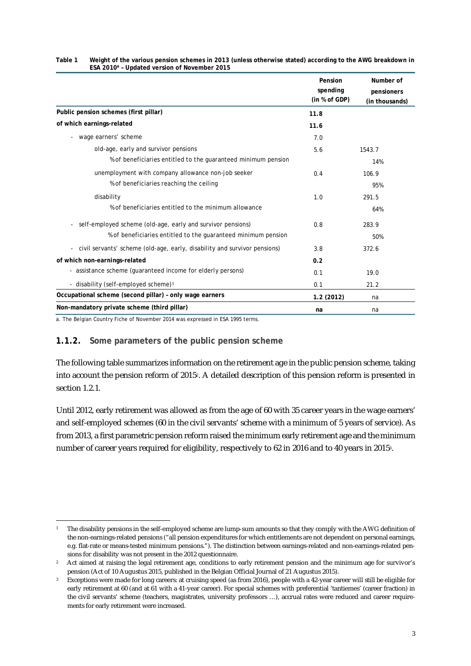|                                                                               | Pension<br>spending<br>(in % of GDP) | Number of<br>pensioners<br>(in thousands) |
|-------------------------------------------------------------------------------|--------------------------------------|-------------------------------------------|
| Public pension schemes (first pillar)                                         | 11.8                                 |                                           |
| of which earnings-related                                                     | 11.6                                 |                                           |
| wage earners' scheme<br>$\overline{\phantom{a}}$                              | 7.0                                  |                                           |
| old-age, early and survivor pensions                                          | 5.6                                  | 1543.7                                    |
| % of beneficiaries entitled to the quaranteed minimum pension                 |                                      | 14%                                       |
| unemployment with company allowance non-job seeker                            | 0.4                                  | 106.9                                     |
| % of beneficiaries reaching the ceiling                                       |                                      | 95%                                       |
| disability                                                                    | 1.0                                  | 291.5                                     |
| % of beneficiaries entitled to the minimum allowance                          |                                      | 64%                                       |
| self-employed scheme (old-age, early and survivor pensions)<br>$\blacksquare$ | 0.8                                  | 283.9                                     |
| % of beneficiaries entitled to the quaranteed minimum pension                 |                                      | 50%                                       |
| - civil servants' scheme (old-age, early, disability and survivor pensions)   | 3.8                                  | 372.6                                     |
| of which non-earnings-related                                                 | 0.2                                  |                                           |
| - assistance scheme (quaranteed income for elderly persons)                   | 0.1                                  | 19.0                                      |
| - disability (self-employed scheme) <sup>1</sup>                              | 0.1                                  | 21.2                                      |
| Occupational scheme (second pillar) - only wage earners                       | 1.2(2012)                            | na                                        |
| Non-mandatory private scheme (third pillar)                                   | na                                   | na                                        |

#### **Table 1 Weight of the various pension schemes in 2013 (unless otherwise stated) according to the AWG breakdown in ESA 2010<sup>a</sup> – Updated version of November 2015**

a. The Belgian Country Fiche of November 2014 was expressed in ESA 1995 terms.

#### **1.1.2. Some parameters of the public pension scheme**

The following table summarizes information on the retirement age in the public pension scheme, taking into account the pension reform of 2015<sup>2</sup> . A detailed description of this pension reform is presented in section 1.2.1.

Until 2012, early retirement was allowed as from the age of 60 with 35 career years in the wage earners' and self-employed schemes (60 in the civil servants' scheme with a minimum of 5 years of service). As from 2013, a first parametric pension reform raised the minimum early retirement age and the minimum number of career years required for eligibility, respectively to 62 in 2016 and to 40 years in 2015<sup>3</sup> .

j <sup>1</sup> The disability pensions in the self-employed scheme are lump-sum amounts so that they comply with the AWG definition of the non-earnings-related pensions ("all pension expenditures for which entitlements are not dependent on personal earnings, e.g. flat-rate or means-tested minimum pensions."). The distinction between earnings-related and non-earnings-related pensions for disability was not present in the 2012 questionnaire.

<sup>&</sup>lt;sup>2</sup> Act aimed at raising the legal retirement age, conditions to early retirement pension and the minimum age for survivor's pension (Act of 10 Augustus 2015, published in the Belgian Official Journal of 21 Augustus 2015).

Exceptions were made for long careers: at cruising speed (as from 2016), people with a 42-year career will still be eligible for early retirement at 60 (and at 61 with a 41-year career). For special schemes with preferential 'tantiemes' (career fraction) in the civil servants' scheme (teachers, magistrates, university professors …), accrual rates were reduced and career requirements for early retirement were increased.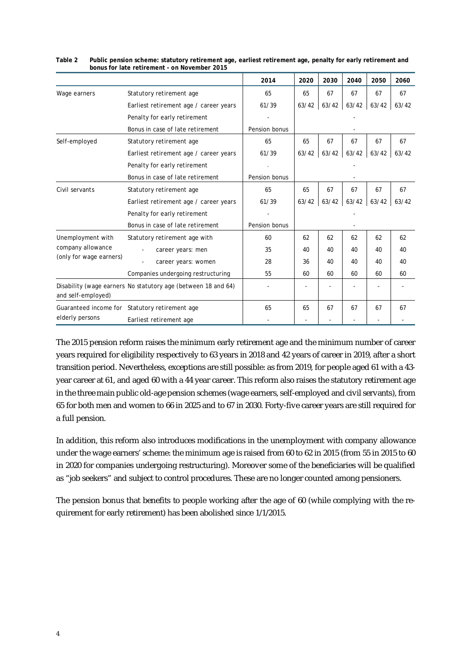|                         |                                                               | 2014          | 2020  | 2030  | 2040          | 2050  | 2060  |
|-------------------------|---------------------------------------------------------------|---------------|-------|-------|---------------|-------|-------|
| Wage earners            | Statutory retirement age                                      | 65            | 65    | 67    | 67            | 67    | 67    |
|                         | Earliest retirement age / career years                        | 61/39         | 63/42 | 63/42 | 63/42         | 63/42 | 63/42 |
|                         | Penalty for early retirement                                  |               |       |       |               |       |       |
|                         | Bonus in case of late retirement                              | Pension bonus |       |       |               |       |       |
| Self-employed           | Statutory retirement age                                      | 65            | 65    | 67    | 67            | 67    | 67    |
|                         | Earliest retirement age / career years                        | 61/39         | 63/42 | 63/42 | 63/42         | 63/42 | 63/42 |
|                         | Penalty for early retirement                                  |               |       |       |               |       |       |
|                         | Bonus in case of late retirement                              | Pension bonus |       |       |               |       |       |
| Civil servants          | Statutory retirement age                                      | 65            | 65    | 67    | 67            | 67    | 67    |
|                         | Earliest retirement age / career years                        | 61/39         | 63/42 |       | $63/42$ 63/42 | 63/42 | 63/42 |
|                         | Penalty for early retirement                                  |               |       |       |               |       |       |
|                         | Bonus in case of late retirement                              | Pension bonus |       |       |               |       |       |
| Unemployment with       | Statutory retirement age with                                 | 60            | 62    | 62    | 62            | 62    | 62    |
| company allowance       | career years: men                                             | 35            | 40    | 40    | 40            | 40    | 40    |
| (only for wage earners) | career years: women                                           | 28            | 36    | 40    | 40            | 40    | 40    |
|                         | Companies undergoing restructuring                            | 55            | 60    | 60    | 60            | 60    | 60    |
|                         | Disability (wage earners No statutory age (between 18 and 64) |               |       |       |               |       |       |
| and self-employed)      |                                                               |               |       |       |               |       |       |
|                         | Guaranteed income for Statutory retirement age                | 65            | 65    | 67    | 67            | 67    | 67    |
| elderly persons         | Earliest retirement age                                       |               |       |       |               |       |       |

#### **Table 2 Public pension scheme: statutory retirement age, earliest retirement age, penalty for early retirement and bonus for late retirement - on November 2015**

The 2015 pension reform raises the minimum early retirement age and the minimum number of career years required for eligibility respectively to 63 years in 2018 and 42 years of career in 2019, after a short transition period. Nevertheless, exceptions are still possible: as from 2019, for people aged 61 with a 43 year career at 61, and aged 60 with a 44 year career. This reform also raises the statutory retirement age in the three main public old-age pension schemes (wage earners, self-employed and civil servants), from 65 for both men and women to 66 in 2025 and to 67 in 2030. Forty-five career years are still required for a full pension.

In addition, this reform also introduces modifications in the unemployment with company allowance under the wage earners' scheme: the minimum age is raised from 60 to 62 in 2015 (from 55 in 2015 to 60 in 2020 for companies undergoing restructuring). Moreover some of the beneficiaries will be qualified as "job seekers" and subject to control procedures. These are no longer counted among pensioners.

The pension bonus that benefits to people working after the age of 60 (while complying with the requirement for early retirement) has been abolished since 1/1/2015.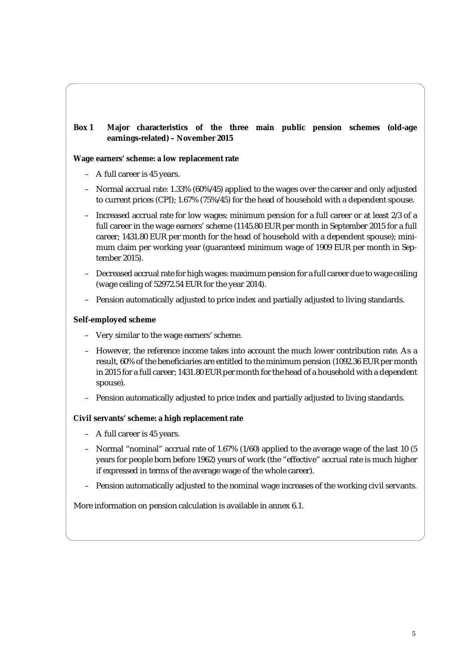#### **Box 1 Major characteristics of the three main public pension schemes (old-age earnings-related) – November 2015**

#### **Wage earners' scheme: a low replacement rate**

- A full career is 45 years.
- Normal accrual rate: 1.33% (60%/45) applied to the wages over the career and only adjusted to current prices (CPI); 1.67% (75%/45) for the head of household with a dependent spouse.
- Increased accrual rate for low wages: minimum pension for a full career or at least 2/3 of a full career in the wage earners' scheme (1145.80 EUR per month in September 2015 for a full career; 1431.80 EUR per month for the head of household with a dependent spouse); minimum claim per working year (guaranteed minimum wage of 1909 EUR per month in September 2015).
- Decreased accrual rate for high wages: maximum pension for a full career due to wage ceiling (wage ceiling of 52972.54 EUR for the year 2014).
- Pension automatically adjusted to price index and partially adjusted to living standards.

#### **Self-employed scheme**

- Very similar to the wage earners' scheme.
- However, the reference income takes into account the much lower contribution rate. As a result, 60% of the beneficiaries are entitled to the minimum pension (1092.36 EUR per month in 2015 for a full career; 1431.80 EUR per month for the head of a household with a dependent spouse).
- Pension automatically adjusted to price index and partially adjusted to living standards.

#### **Civil servants' scheme: a high replacement rate**

- A full career is 45 years.
- Normal "nominal" accrual rate of 1.67% (1/60) applied to the average wage of the last 10 (5 years for people born before 1962) years of work (the "effective" accrual rate is much higher if expressed in terms of the average wage of the whole career).
- Pension automatically adjusted to the nominal wage increases of the working civil servants.

More information on pension calculation is available in annex 6.1.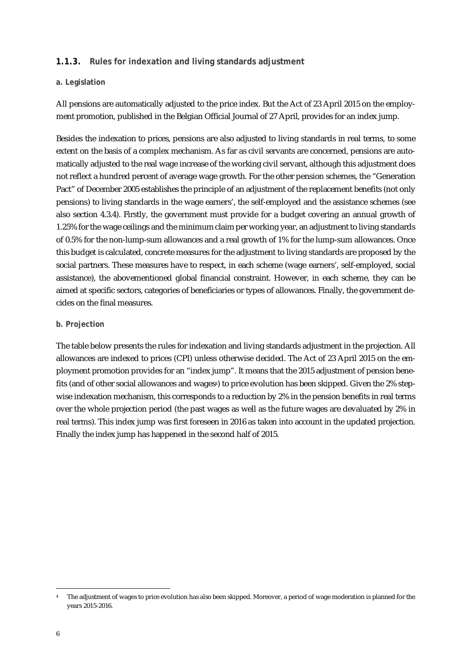#### **1.1.3. Rules for indexation and living standards adjustment**

#### **a. Legislation**

All pensions are automatically adjusted to the price index. But the Act of 23 April 2015 on the employment promotion, published in the Belgian Official Journal of 27 April, provides for an index jump.

Besides the indexation to prices, pensions are also adjusted to living standards in real terms, to some extent on the basis of a complex mechanism. As far as civil servants are concerned, pensions are automatically adjusted to the real wage increase of the working civil servant, although this adjustment does not reflect a hundred percent of average wage growth. For the other pension schemes, the "Generation Pact" of December 2005 establishes the principle of an adjustment of the replacement benefits (not only pensions) to living standards in the wage earners', the self-employed and the assistance schemes (see also section 4.3.4). Firstly, the government must provide for a budget covering an annual growth of 1.25% for the wage ceilings and the minimum claim per working year, an adjustment to living standards of 0.5% for the non-lump-sum allowances and a real growth of 1% for the lump-sum allowances. Once this budget is calculated, concrete measures for the adjustment to living standards are proposed by the social partners. These measures have to respect, in each scheme (wage earners', self-employed, social assistance), the abovementioned global financial constraint. However, in each scheme, they can be aimed at specific sectors, categories of beneficiaries or types of allowances. Finally, the government decides on the final measures.

#### **b. Projection**

The table below presents the rules for indexation and living standards adjustment in the projection. All allowances are indexed to prices (CPI) unless otherwise decided. The Act of 23 April 2015 on the employment promotion provides for an "index jump". It means that the 2015 adjustment of pension benefits (and of other social allowances and wages<sup>4</sup>) to price evolution has been skipped. Given the 2% stepwise indexation mechanism, this corresponds to a reduction by 2% in the pension benefits in real terms over the whole projection period (the past wages as well as the future wages are devaluated by 2% in real terms). This index jump was first foreseen in 2016 as taken into account in the updated projection. Finally the index jump has happened in the second half of 2015.

<sup>-</sup>The adjustment of wages to price evolution has also been skipped. Moreover, a period of wage moderation is planned for the years 2015-2016.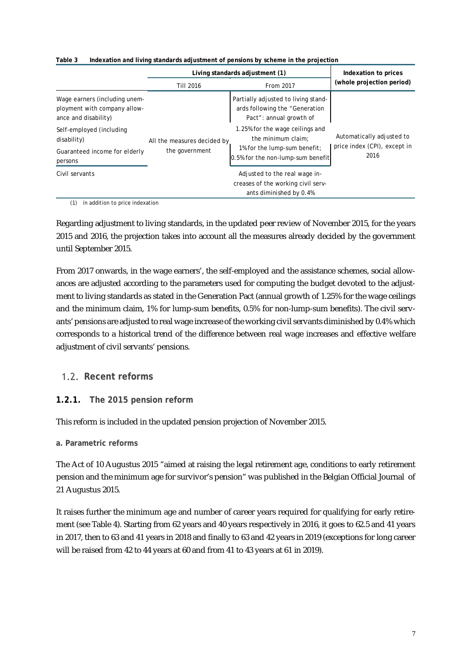|                                                                                       |                                               | Living standards adjustment (1)                                                                  |                                      |  |  |
|---------------------------------------------------------------------------------------|-----------------------------------------------|--------------------------------------------------------------------------------------------------|--------------------------------------|--|--|
|                                                                                       | Till 2016                                     | From 2017                                                                                        | (whole projection period)            |  |  |
| Wage earners (including unem-<br>ployment with company allow-<br>ance and disability) |                                               | Partially adjusted to living stand-<br>ards following the "Generation<br>Pact": annual growth of |                                      |  |  |
| Self-employed (including<br>disability)                                               | All the measures decided by<br>the government | 1.25% for the wage ceilings and<br>the minimum claim:                                            | Automatically adjusted to            |  |  |
| Guaranteed income for elderly<br>persons                                              |                                               | 1% for the lump-sum benefit;<br>10.5% for the non-lump-sum benefit!                              | price index (CPI), except in<br>2016 |  |  |
| Civil servants                                                                        |                                               | Adjusted to the real wage in-<br>creases of the working civil serv-<br>ants diminished by 0.4%   |                                      |  |  |

**Table 3 Indexation and living standards adjustment of pensions by scheme in the projection**

(1) in addition to price indexation

Regarding adjustment to living standards, in the updated peer review of November 2015, for the years 2015 and 2016, the projection takes into account all the measures already decided by the government until September 2015.

From 2017 onwards, in the wage earners', the self-employed and the assistance schemes, social allowances are adjusted according to the parameters used for computing the budget devoted to the adjustment to living standards as stated in the Generation Pact (annual growth of 1.25% for the wage ceilings and the minimum claim, 1% for lump-sum benefits, 0.5% for non-lump-sum benefits). The civil servants' pensions are adjusted to real wage increase of the working civil servants diminished by 0.4% which corresponds to a historical trend of the difference between real wage increases and effective welfare adiustment of civil servants' pensions.

### 1.2. Recent reforms

#### **1.2.1. The 2015 pension reform**

This reform is included in the updated pension projection of November 2015.

#### **a. Parametric reforms**

The Act of 10 Augustus 2015 "aimed at raising the legal retirement age, conditions to early retirement pension and the minimum age for survivor's pension" was published in the Belgian Official Journal of 21 Augustus 2015.

It raises further the minimum age and number of career years required for qualifying for early retirement (see Table 4). Starting from 62 years and 40 years respectively in 2016, it goes to 62.5 and 41 years in 2017, then to 63 and 41 years in 2018 and finally to 63 and 42 years in 2019 (exceptions for long career will be raised from 42 to 44 years at 60 and from 41 to 43 years at 61 in 2019).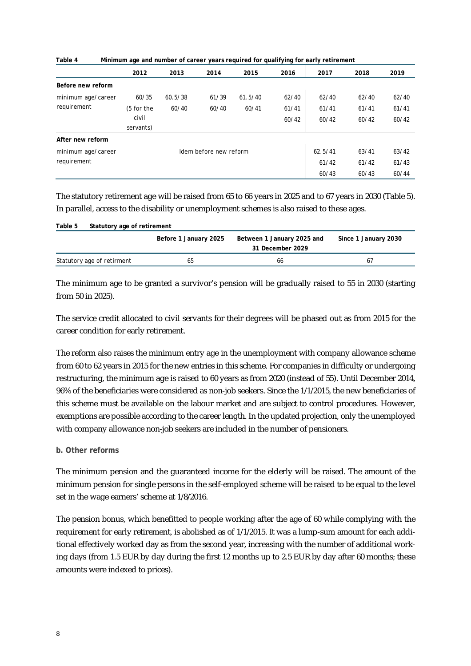|                    | $\cdot$    |         | -                      |         | . .   |         |       |       |
|--------------------|------------|---------|------------------------|---------|-------|---------|-------|-------|
|                    | 2012       | 2013    | 2014                   | 2015    | 2016  | 2017    | 2018  | 2019  |
| Before new reform  |            |         |                        |         |       |         |       |       |
| minimum age/career | 60/35      | 60.5/38 | 61/39                  | 61.5/40 | 62/40 | 62/40   | 62/40 | 62/40 |
| requirement        | (5 for the | 60/40   | 60/40                  | 60/41   | 61/41 | 61/41   | 61/41 | 61/41 |
|                    | civil      |         |                        |         | 60/42 | 60/42   | 60/42 | 60/42 |
|                    | servants)  |         |                        |         |       |         |       |       |
| After new reform   |            |         |                        |         |       |         |       |       |
| minimum age/career |            |         | Idem before new reform |         |       | 62.5/41 | 63/41 | 63/42 |
| requirement        |            |         |                        |         |       | 61/42   | 61/42 | 61/43 |
|                    |            |         |                        |         |       | 60/43   | 60/43 | 60/44 |

**Table 4 Minimum age and number of career years required for qualifying for early retirement**

The statutory retirement age will be raised from 65 to 66 years in 2025 and to 67 years in 2030 (Table 5). In parallel, access to the disability or unemployment schemes is also raised to these ages.

| Table 5                    | Statutory age of retirement |                                                |                      |  |  |  |  |
|----------------------------|-----------------------------|------------------------------------------------|----------------------|--|--|--|--|
|                            | Before 1 January 2025       | Between 1 January 2025 and<br>31 December 2029 | Since 1 January 2030 |  |  |  |  |
| Statutory age of retirment | 65                          | 66                                             | 67                   |  |  |  |  |

The minimum age to be granted a survivor's pension will be gradually raised to 55 in 2030 (starting from 50 in 2025).

The service credit allocated to civil servants for their degrees will be phased out as from 2015 for the career condition for early retirement.

The reform also raises the minimum entry age in the unemployment with company allowance scheme from 60 to 62 years in 2015 for the new entries in this scheme. For companies in difficulty or undergoing restructuring, the minimum age is raised to 60 years as from 2020 (instead of 55). Until December 2014, 96% of the beneficiaries were considered as non-job seekers. Since the 1/1/2015, the new beneficiaries of this scheme must be available on the labour market and are subject to control procedures. However, exemptions are possible according to the career length. In the updated projection, only the unemployed with company allowance non-job seekers are included in the number of pensioners.

#### **b. Other reforms**

The minimum pension and the guaranteed income for the elderly will be raised. The amount of the minimum pension for single persons in the self-employed scheme will be raised to be equal to the level set in the wage earners' scheme at 1/8/2016.

The pension bonus, which benefitted to people working after the age of 60 while complying with the requirement for early retirement, is abolished as of 1/1/2015. It was a lump-sum amount for each additional effectively worked day as from the second year, increasing with the number of additional working days (from 1.5 EUR by day during the first 12 months up to 2.5 EUR by day after 60 months; these amounts were indexed to prices).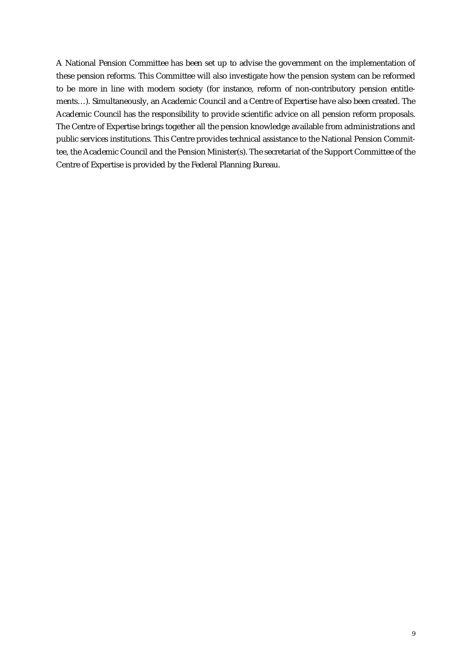A National Pension Committee has been set up to advise the government on the implementation of these pension reforms. This Committee will also investigate how the pension system can be reformed to be more in line with modern society (for instance, reform of non-contributory pension entitlements…). Simultaneously, an Academic Council and a Centre of Expertise have also been created. The Academic Council has the responsibility to provide scientific advice on all pension reform proposals. The Centre of Expertise brings together all the pension knowledge available from administrations and public services institutions. This Centre provides technical assistance to the National Pension Committee, the Academic Council and the Pension Minister(s). The secretariat of the Support Committee of the Centre of Expertise is provided by the Federal Planning Bureau.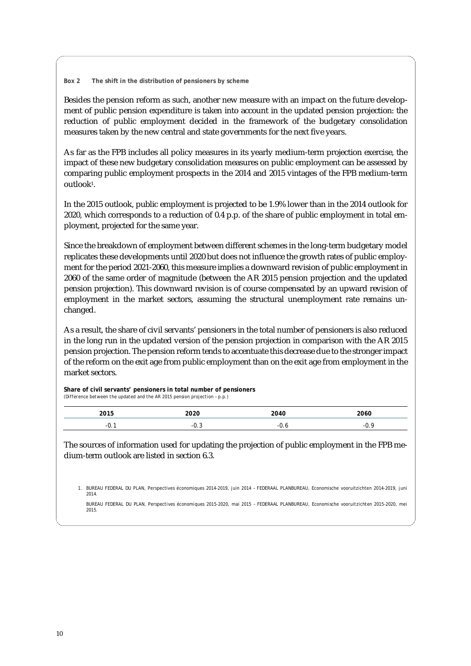#### **Box 2 The shift in the distribution of pensioners by scheme**

Besides the pension reform as such, another new measure with an impact on the future development of public pension expenditure is taken into account in the updated pension projection: the reduction of public employment decided in the framework of the budgetary consolidation measures taken by the new central and state governments for the next five years.

As far as the FPB includes all policy measures in its yearly medium-term projection exercise, the impact of these new budgetary consolidation measures on public employment can be assessed by comparing public employment prospects in the 2014 and 2015 vintages of the FPB medium-term outlook<sup>1</sup>.

In the 2015 outlook, public employment is projected to be 1.9% lower than in the 2014 outlook for 2020, which corresponds to a reduction of 0.4 p.p. of the share of public employment in total employment, projected for the same year.

Since the breakdown of employment between different schemes in the long-term budgetary model replicates these developments until 2020 but does not influence the growth rates of public employment for the period 2021-2060, this measure implies a downward revision of public employment in 2060 of the same order of magnitude (between the AR 2015 pension projection and the updated pension projection). This downward revision is of course compensated by an upward revision of employment in the market sectors, assuming the structural unemployment rate remains unchanged.

As a result, the share of civil servants' pensioners in the total number of pensioners is also reduced in the long run in the updated version of the pension projection in comparison with the AR 2015 pension projection. The pension reform tends to accentuate this decrease due to the stronger impact of the reform on the exit age from public employment than on the exit age from employment in the market sectors.

#### **Share of civil servants' pensioners in total number of pensioners**

*(Difference between the updated and the AR 2015 pension projection – p.p.)*

| <b>2015</b><br>. . | າດາດ<br>ZUZU | 2040 | 2060 |
|--------------------|--------------|------|------|
| - U. .             | - 1          |      | -1   |

The sources of information used for updating the projection of public employment in the FPB medium-term outlook are listed in section 6.3.

1. BUREAU FEDERAL DU PLAN, Perspectives économiques 2014-2019, juin 2014 – FEDERAAL PLANBUREAU, Economische vooruitzichten 2014-2019, juni 2014.

BUREAU FEDERAL DU PLAN, *Perspectives économiques 2015-2020*, mai 2015 – FEDERAAL PLANBUREAU, *Economische vooruitzichten 2015-2020*, mei 2015.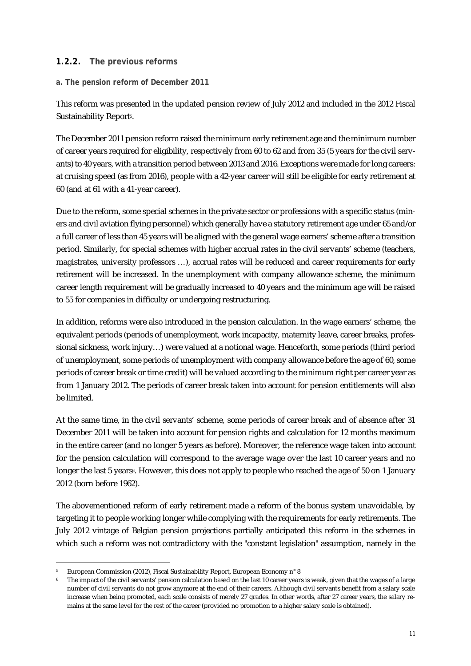#### **1.2.2. The previous reforms**

#### **a. The pension reform of December 2011**

This reform was presented in the updated pension review of July 2012 and included in the 2012 Fiscal Sustainability Report5.

The December 2011 pension reform raised the minimum early retirement age and the minimum number of career years required for eligibility, respectively from 60 to 62 and from 35 (5 years for the civil servants) to 40 years, with a transition period between 2013 and 2016. Exceptions were made for long careers: at cruising speed (as from 2016), people with a 42-year career will still be eligible for early retirement at 60 (and at 61 with a 41-year career).

Due to the reform, some special schemes in the private sector or professions with a specific status (miners and civil aviation flying personnel) which generally have a statutory retirement age under 65 and/or a full career of less than 45 years will be aligned with the general wage earners' scheme after a transition period. Similarly, for special schemes with higher accrual rates in the civil servants' scheme (teachers, magistrates, university professors …), accrual rates will be reduced and career requirements for early retirement will be increased. In the unemployment with company allowance scheme, the minimum career length requirement will be gradually increased to 40 years and the minimum age will be raised to 55 for companies in difficulty or undergoing restructuring.

In addition, reforms were also introduced in the pension calculation. In the wage earners' scheme, the equivalent periods (periods of unemployment, work incapacity, maternity leave, career breaks, professional sickness, work injury…) were valued at a notional wage. Henceforth, some periods (third period of unemployment, some periods of unemployment with company allowance before the age of 60, some periods of career break or time credit) will be valued according to the minimum right per career year as from 1 January 2012. The periods of career break taken into account for pension entitlements will also be limited.

At the same time, in the civil servants' scheme, some periods of career break and of absence after 31 December 2011 will be taken into account for pension rights and calculation for 12 months maximum in the entire career (and no longer 5 years as before). Moreover, the reference wage taken into account for the pension calculation will correspond to the average wage over the last 10 career years and no longer the last 5 years6. However, this does not apply to people who reached the age of 50 on 1 January 2012 (born before 1962).

The abovementioned reform of early retirement made a reform of the bonus system unavoidable, by targeting it to people working longer while complying with the requirements for early retirements. The July 2012 vintage of Belgian pension projections partially anticipated this reform in the schemes in which such a reform was not contradictory with the "constant legislation" assumption, namely in the

<sup>1</sup> <sup>5</sup> European Commission (2012), Fiscal Sustainability Report, European Economy n° 8

The impact of the civil servants' pension calculation based on the last 10 career years is weak, given that the wages of a large number of civil servants do not grow anymore at the end of their careers. Although civil servants benefit from a salary scale increase when being promoted, each scale consists of merely 27 grades. In other words, after 27 career years, the salary remains at the same level for the rest of the career (provided no promotion to a higher salary scale is obtained).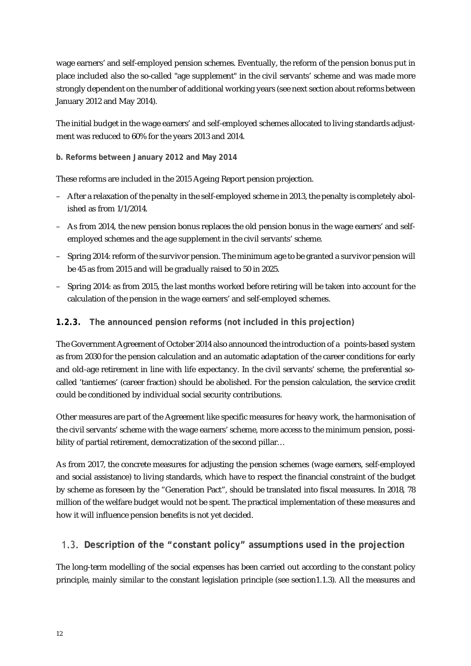wage earners' and self-employed pension schemes. Eventually, the reform of the pension bonus put in place included also the so-called "age supplement" in the civil servants' scheme and was made more strongly dependent on the number of additional working years (see next section about reforms between January 2012 and May 2014).

The initial budget in the wage earners' and self-employed schemes allocated to living standards adjustment was reduced to 60% for the years 2013 and 2014.

#### **b. Reforms between January 2012 and May 2014**

These reforms are included in the 2015 Ageing Report pension projection.

- After a relaxation of the penalty in the self-employed scheme in 2013, the penalty is completely abolished as from 1/1/2014.
- As from 2014, the new pension bonus replaces the old pension bonus in the wage earners' and selfemployed schemes and the age supplement in the civil servants' scheme.
- Spring 2014: reform of the survivor pension. The minimum age to be granted a survivor pension will be 45 as from 2015 and will be gradually raised to 50 in 2025.
- Spring 2014: as from 2015, the last months worked before retiring will be taken into account for the calculation of the pension in the wage earners' and self-employed schemes.

#### **1.2.3. The announced pension reforms (not included in this projection)**

The Government Agreement of October 2014 also announced the introduction of a points-based system as from 2030 for the pension calculation and an automatic adaptation of the career conditions for early and old-age retirement in line with life expectancy. In the civil servants' scheme, the preferential socalled 'tantiemes' (career fraction) should be abolished. For the pension calculation, the service credit could be conditioned by individual social security contributions.

Other measures are part of the Agreement like specific measures for heavy work, the harmonisation of the civil servants' scheme with the wage earners' scheme, more access to the minimum pension, possibility of partial retirement, democratization of the second pillar...

As from 2017, the concrete measures for adjusting the pension schemes (wage earners, self-employed and social assistance) to living standards, which have to respect the financial constraint of the budget by scheme as foreseen by the "Generation Pact", should be translated into fiscal measures. In 2018, 78 million of the welfare budget would not be spent. The practical implementation of these measures and how it will influence pension benefits is not yet decided.

#### **Description of the "constant policy" assumptions used in the projection**

The long-term modelling of the social expenses has been carried out according to the constant policy principle, mainly similar to the constant legislation principle (see section1.1.3). All the measures and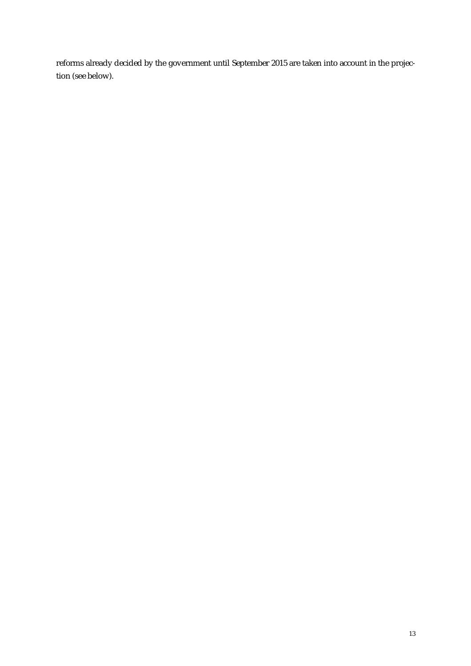reforms already decided by the government until September 2015 are taken into account in the projection (see below).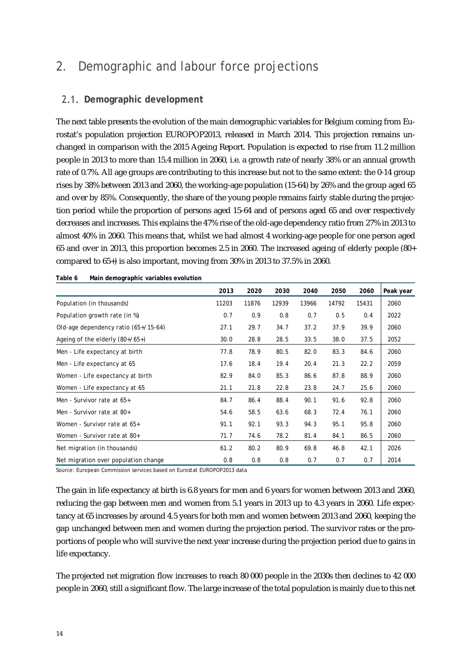## 2. Demographic and labour force projections

### **Demographic development**

The next table presents the evolution of the main demographic variables for Belgium coming from Eurostat's population projection EUROPOP2013, released in March 2014. This projection remains unchanged in comparison with the 2015 Ageing Report. Population is expected to rise from 11.2 million people in 2013 to more than 15.4 million in 2060, i.e. a growth rate of nearly 38% or an annual growth rate of 0.7%. All age groups are contributing to this increase but not to the same extent: the 0-14 group rises by 38% between 2013 and 2060, the working-age population (15-64) by 26% and the group aged 65 and over by 85%. Consequently, the share of the young people remains fairly stable during the projection period while the proportion of persons aged 15-64 and of persons aged 65 and over respectively decreases and increases. This explains the 47% rise of the old-age dependency ratio from 27% in 2013 to almost 40% in 2060. This means that, whilst we had almost 4 working-age people for one person aged 65 and over in 2013, this proportion becomes 2.5 in 2060. The increased ageing of elderly people (80+ compared to 65+) is also important, moving from 30% in 2013 to 37.5% in 2060.

|                                      | 2013  | 2020  | 2030  | 2040  | 2050  | 2060  | Peak year |
|--------------------------------------|-------|-------|-------|-------|-------|-------|-----------|
| Population (in thousands)            | 11203 | 11876 | 12939 | 13966 | 14792 | 15431 | 2060      |
| Population growth rate (in %)        | 0.7   | 0.9   | 0.8   | 0.7   | 0.5   | 0.4   | 2022      |
| Old-age dependency ratio (65+/15-64) | 27.1  | 29.7  | 34.7  | 37.2  | 37.9  | 39.9  | 2060      |
| Ageing of the elderly $(80+/65+)$    | 30.0  | 28.8  | 28.5  | 33.5  | 38.0  | 37.5  | 2052      |
| Men - Life expectancy at birth       | 77.8  | 78.9  | 80.5  | 82.0  | 83.3  | 84.6  | 2060      |
| Men - Life expectancy at 65          | 17.6  | 18.4  | 19.4  | 20.4  | 21.3  | 22.2  | 2059      |
| Women - Life expectancy at birth     | 82.9  | 84.0  | 85.3  | 86.6  | 87.8  | 88.9  | 2060      |
| Women - Life expectancy at 65        | 21.1  | 21.8  | 22.8  | 23.8  | 24.7  | 25.6  | 2060      |
| Men - Survivor rate at 65+           | 84.7  | 86.4  | 88.4  | 90.1  | 91.6  | 92.8  | 2060      |
| Men - Survivor rate at 80+           | 54.6  | 58.5  | 63.6  | 68.3  | 72.4  | 76.1  | 2060      |
| Women - Survivor rate at 65+         | 91.1  | 92.1  | 93.3  | 94.3  | 95.1  | 95.8  | 2060      |
| Women - Survivor rate at 80+         | 71.7  | 74.6  | 78.2  | 81.4  | 84.1  | 86.5  | 2060      |
| Net migration (in thousands)         | 61.2  | 80.2  | 80.9  | 69.8  | 46.8  | 42.1  | 2026      |
| Net migration over population change | 0.8   | 0.8   | 0.8   | 0.7   | 0.7   | 0.7   | 2014      |

| Table 6 | Main demographic variables evolution |  |
|---------|--------------------------------------|--|
|         |                                      |  |

Source: European Commission services based on Eurostat EUROPOP2013 data

The gain in life expectancy at birth is 6.8 years for men and 6 years for women between 2013 and 2060, reducing the gap between men and women from 5.1 years in 2013 up to 4.3 years in 2060. Life expectancy at 65 increases by around 4.5 years for both men and women between 2013 and 2060, keeping the gap unchanged between men and women during the projection period. The survivor rates or the proportions of people who will survive the next year increase during the projection period due to gains in life expectancy.

The projected net migration flow increases to reach 80 000 people in the 2030s then declines to 42 000 people in 2060, still a significant flow. The large increase of the total population is mainly due to this net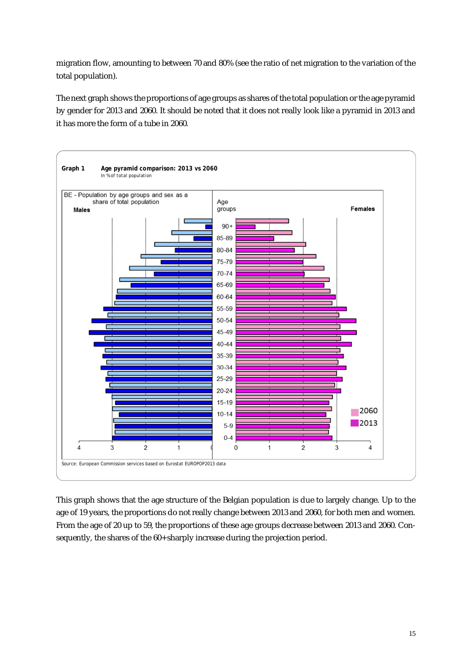migration flow, amounting to between 70 and 80% (see the ratio of net migration to the variation of the total population).

The next graph shows the proportions of age groups as shares of the total population or the age pyramid by gender for 2013 and 2060. It should be noted that it does not really look like a pyramid in 2013 and it has more the form of a tube in 2060.



This graph shows that the age structure of the Belgian population is due to largely change. Up to the age of 19 years, the proportions do not really change between 2013 and 2060, for both men and women. From the age of 20 up to 59, the proportions of these age groups decrease between 2013 and 2060. Consequently, the shares of the 60+ sharply increase during the projection period.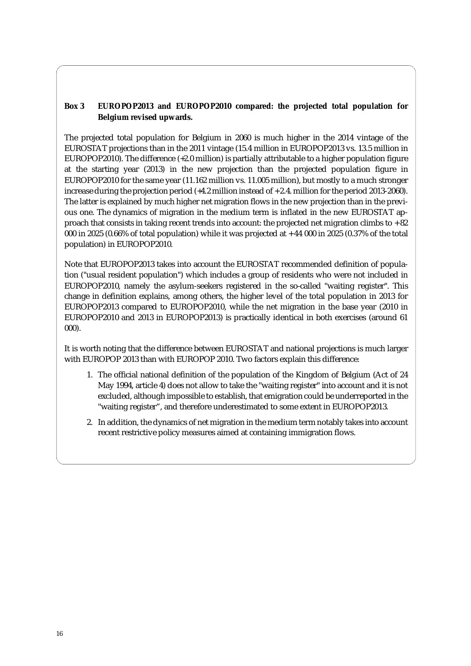#### **Box 3 EUROPOP2013 and EUROPOP2010 compared: the projected total population for Belgium revised upwards.**

The projected total population for Belgium in 2060 is much higher in the 2014 vintage of the EUROSTAT projections than in the 2011 vintage (15.4 million in EUROPOP2013 vs. 13.5 million in EUROPOP2010). The difference (+2.0 million) is partially attributable to a higher population figure at the starting year (2013) in the new projection than the projected population figure in EUROPOP2010 for the same year (11.162 million vs. 11.005 million), but mostly to a much stronger increase during the projection period (+4.2 million instead of + 2.4. million for the period 2013-2060). The latter is explained by much higher net migration flows in the new projection than in the previous one. The dynamics of migration in the medium term is inflated in the new EUROSTAT approach that consists in taking recent trends into account: the projected net migration climbs to + 82 000 in 2025 (0.66% of total population) while it was projected at + 44 000 in 2025 (0.37% of the total population) in EUROPOP2010.

Note that EUROPOP2013 takes into account the EUROSTAT recommended definition of population ("usual resident population") which includes a group of residents who were not included in EUROPOP2010, namely the asylum-seekers registered in the so-called "waiting register". This change in definition explains, among others, the higher level of the total population in 2013 for EUROPOP2013 compared to EUROPOP2010, while the net migration in the base year (2010 in EUROPOP2010 and 2013 in EUROPOP2013) is practically identical in both exercises (around 61 000).

It is worth noting that the difference between EUROSTAT and national projections is much larger with EUROPOP 2013 than with EUROPOP 2010. Two factors explain this difference:

- 1. The official national definition of the population of the Kingdom of Belgium (Act of 24 May 1994, article 4) does not allow to take the "waiting register" into account and it is not excluded, although impossible to establish, that emigration could be underreported in the "waiting register", and therefore underestimated to some extent in EUROPOP2013.
- 2. In addition, the dynamics of net migration in the medium term notably takes into account recent restrictive policy measures aimed at containing immigration flows.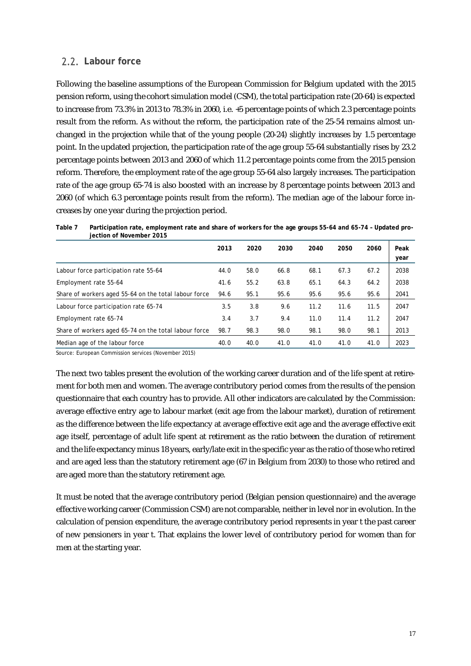### **Labour force**

Following the baseline assumptions of the European Commission for Belgium updated with the 2015 pension reform, using the cohort simulation model (CSM), the total participation rate (20-64) is expected to increase from 73.3% in 2013 to 78.3% in 2060, i.e. +5 percentage points of which 2.3 percentage points result from the reform. As without the reform, the participation rate of the 25-54 remains almost unchanged in the projection while that of the young people (20-24) slightly increases by 1.5 percentage point. In the updated projection, the participation rate of the age group 55-64 substantially rises by 23.2 percentage points between 2013 and 2060 of which 11.2 percentage points come from the 2015 pension reform. Therefore, the employment rate of the age group 55-64 also largely increases. The participation rate of the age group 65-74 is also boosted with an increase by 8 percentage points between 2013 and 2060 (of which 6.3 percentage points result from the reform). The median age of the labour force increases by one year during the projection period.

**Table 7 Participation rate, employment rate and share of workers for the age groups 55-64 and 65-74 – Updated projection of November 2015** 

| -                                                     |      |      |      |      |      |      |              |
|-------------------------------------------------------|------|------|------|------|------|------|--------------|
|                                                       | 2013 | 2020 | 2030 | 2040 | 2050 | 2060 | Peak<br>year |
| Labour force participation rate 55-64                 | 44.0 | 58.0 | 66.8 | 68.1 | 67.3 | 67.2 | 2038         |
| Employment rate 55-64                                 | 41.6 | 55.2 | 63.8 | 65.1 | 64.3 | 64.2 | 2038         |
| Share of workers aged 55-64 on the total labour force | 94.6 | 95.1 | 95.6 | 95.6 | 95.6 | 95.6 | 2041         |
| Labour force participation rate 65-74                 | 3.5  | 3.8  | 9.6  | 11.2 | 11.6 | 11.5 | 2047         |
| Employment rate 65-74                                 | 3.4  | 3.7  | 9.4  | 11.0 | 11.4 | 11.2 | 2047         |
| Share of workers aged 65-74 on the total labour force | 98.7 | 98.3 | 98.0 | 98.1 | 98.0 | 98.1 | 2013         |
| Median age of the labour force                        | 40.0 | 40.0 | 41.0 | 41.0 | 41.0 | 41.0 | 2023         |

Source: European Commission services (November 2015)

The next two tables present the evolution of the working career duration and of the life spent at retirement for both men and women. The average contributory period comes from the results of the pension questionnaire that each country has to provide. All other indicators are calculated by the Commission: average effective entry age to labour market (exit age from the labour market), duration of retirement as the difference between the life expectancy at average effective exit age and the average effective exit age itself, percentage of adult life spent at retirement as the ratio between the duration of retirement and the life expectancy minus 18 years, early/late exit in the specific year as the ratio of those who retired and are aged less than the statutory retirement age (67 in Belgium from 2030) to those who retired and are aged more than the statutory retirement age.

It must be noted that the average contributory period (Belgian pension questionnaire) and the average effective working career (Commission CSM) are not comparable, neither in level nor in evolution. In the calculation of pension expenditure, the average contributory period represents in year t the past career of new pensioners in year t. That explains the lower level of contributory period for women than for men at the starting year.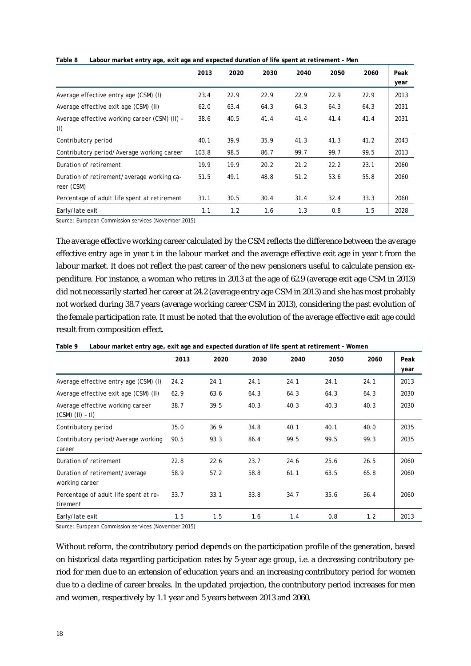|                                                          | 2013  | 2020 | 2030 | 2040 | 2050 | 2060 | Peak |
|----------------------------------------------------------|-------|------|------|------|------|------|------|
|                                                          |       |      |      |      |      |      | year |
| Average effective entry age (CSM) (I)                    | 23.4  | 22.9 | 22.9 | 22.9 | 22.9 | 22.9 | 2013 |
| Average effective exit age (CSM) (II)                    | 62.0  | 63.4 | 64.3 | 64.3 | 64.3 | 64.3 | 2031 |
| Average effective working career (CSM) (II) -<br>(1)     | 38.6  | 40.5 | 41.4 | 41.4 | 41.4 | 41.4 | 2031 |
| Contributory period                                      | 40.1  | 39.9 | 35.9 | 41.3 | 41.3 | 41.2 | 2043 |
| Contributory period/Average working career               | 103.8 | 98.5 | 86.7 | 99.7 | 99.7 | 99.5 | 2013 |
| Duration of retirement                                   | 19.9  | 19.9 | 20.2 | 21.2 | 22.2 | 23.1 | 2060 |
| Duration of retirement/average working ca-<br>reer (CSM) | 51.5  | 49.1 | 48.8 | 51.2 | 53.6 | 55.8 | 2060 |
| Percentage of adult life spent at retirement             | 31.1  | 30.5 | 30.4 | 31.4 | 32.4 | 33.3 | 2060 |
| Early/late exit                                          | 1.1   | 1.2  | 1.6  | 1.3  | 0.8  | 1.5  | 2028 |

**Table 8 Labour market entry age, exit age and expected duration of life spent at retirement - Men**

Source: European Commission services (November 2015)

The average effective working career calculated by the CSM reflects the difference between the average effective entry age in year t in the labour market and the average effective exit age in year t from the labour market. It does not reflect the past career of the new pensioners useful to calculate pension expenditure. For instance, a woman who retires in 2013 at the age of 62.9 (average exit age CSM in 2013) did not necessarily started her career at 24.2 (average entry age CSM in 2013) and she has most probably not worked during 38.7 years (average working career CSM in 2013), considering the past evolution of the female participation rate. It must be noted that the evolution of the average effective exit age could result from composition effect.

| .                                                        |      |      |      |      |      |      |              |
|----------------------------------------------------------|------|------|------|------|------|------|--------------|
|                                                          | 2013 | 2020 | 2030 | 2040 | 2050 | 2060 | Peak<br>year |
| Average effective entry age (CSM) (I)                    | 24.2 | 24.1 | 24.1 | 24.1 | 24.1 | 24.1 | 2013         |
| Average effective exit age (CSM) (II)                    | 62.9 | 63.6 | 64.3 | 64.3 | 64.3 | 64.3 | 2030         |
| Average effective working career<br>$(CSM)$ $(II) - (I)$ | 38.7 | 39.5 | 40.3 | 40.3 | 40.3 | 40.3 | 2030         |
| Contributory period                                      | 35.0 | 36.9 | 34.8 | 40.1 | 40.1 | 40.0 | 2035         |
| Contributory period/Average working<br>career            | 90.5 | 93.3 | 86.4 | 99.5 | 99.5 | 99.3 | 2035         |
| Duration of retirement                                   | 22.8 | 22.6 | 23.7 | 24.6 | 25.6 | 26.5 | 2060         |
| Duration of retirement/average<br>working career         | 58.9 | 57.2 | 58.8 | 61.1 | 63.5 | 65.8 | 2060         |
| Percentage of adult life spent at re-<br>tirement        | 33.7 | 33.1 | 33.8 | 34.7 | 35.6 | 36.4 | 2060         |
| Early/late exit                                          | 1.5  | 1.5  | 1.6  | 1.4  | 0.8  | 1.2  | 2013         |

**Table 9 Labour market entry age, exit age and expected duration of life spent at retirement - Women**

Source: European Commission services (November 2015)

Without reform, the contributory period depends on the participation profile of the generation, based on historical data regarding participation rates by 5-year age group, i.e. a decreasing contributory period for men due to an extension of education years and an increasing contributory period for women due to a decline of career breaks. In the updated projection, the contributory period increases for men and women, respectively by 1.1 year and 5 years between 2013 and 2060.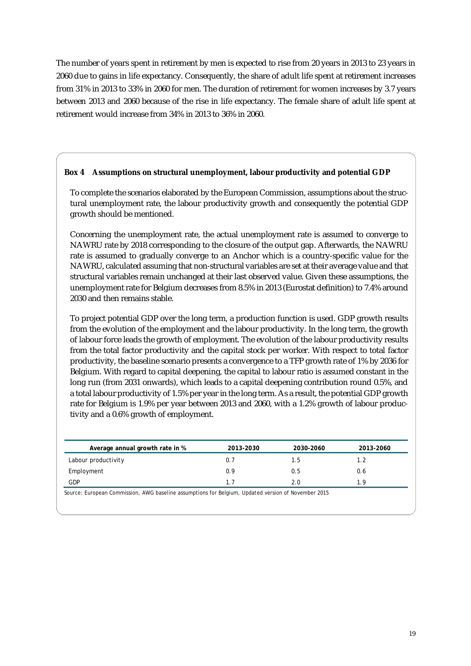The number of years spent in retirement by men is expected to rise from 20 years in 2013 to 23 years in 2060 due to gains in life expectancy. Consequently, the share of adult life spent at retirement increases from 31% in 2013 to 33% in 2060 for men. The duration of retirement for women increases by 3.7 years between 2013 and 2060 because of the rise in life expectancy. The female share of adult life spent at retirement would increase from 34% in 2013 to 36% in 2060.

#### **Box 4 Assumptions on structural unemployment, labour productivity and potential GDP**

To complete the scenarios elaborated by the European Commission, assumptions about the structural unemployment rate, the labour productivity growth and consequently the potential GDP growth should be mentioned.

Concerning the unemployment rate, the actual unemployment rate is assumed to converge to NAWRU rate by 2018 corresponding to the closure of the output gap. Afterwards, the NAWRU rate is assumed to gradually converge to an Anchor which is a country-specific value for the NAWRU, calculated assuming that non-structural variables are set at their average value and that structural variables remain unchanged at their last observed value. Given these assumptions, the unemployment rate for Belgium decreases from 8.5% in 2013 (Eurostat definition) to 7.4% around 2030 and then remains stable.

To project potential GDP over the long term, a production function is used. GDP growth results from the evolution of the employment and the labour productivity. In the long term, the growth of labour force leads the growth of employment. The evolution of the labour productivity results from the total factor productivity and the capital stock per worker. With respect to total factor productivity, the baseline scenario presents a convergence to a TFP growth rate of 1% by 2036 for Belgium. With regard to capital deepening, the capital to labour ratio is assumed constant in the long run (from 2031 onwards), which leads to a capital deepening contribution round 0.5%, and a total labour productivity of 1.5% per year in the long term. As a result, the potential GDP growth rate for Belgium is 1.9% per year between 2013 and 2060, with a 1.2% growth of labour productivity and a 0.6% growth of employment.

| Average annual growth rate in % | 2013-2030 | 2030-2060 | 2013-2060 |
|---------------------------------|-----------|-----------|-----------|
| Labour productivity             | 0.7       | 1.5       | 1.2       |
| Employment                      | 0.9       | 0.5       | 0.6       |
| GDP                             | 1.7       | 2.0       | 1.9       |

Source: European Commission, AWG baseline assumptions for Belgium, Updated version of November 2015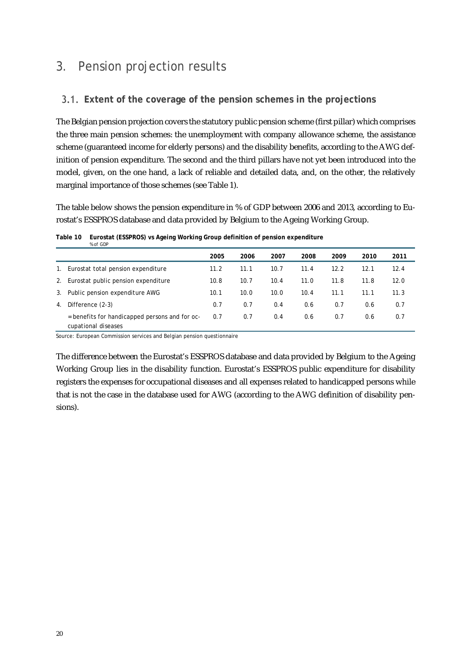## 3. Pension projection results

### **Extent of the coverage of the pension schemes in the projections**

The Belgian pension projection covers the statutory public pension scheme (first pillar) which comprises the three main pension schemes: the unemployment with company allowance scheme, the assistance scheme (guaranteed income for elderly persons) and the disability benefits, according to the AWG definition of pension expenditure. The second and the third pillars have not yet been introduced into the model, given, on the one hand, a lack of reliable and detailed data, and, on the other, the relatively marginal importance of those schemes (see Table 1).

The table below shows the pension expenditure in % of GDP between 2006 and 2013, according to Eurostat's ESSPROS database and data provided by Belgium to the Ageing Working Group.

|    | % of GDP                                                              |      |      |      |      |      |      |      |
|----|-----------------------------------------------------------------------|------|------|------|------|------|------|------|
|    |                                                                       | 2005 | 2006 | 2007 | 2008 | 2009 | 2010 | 2011 |
| 1. | Eurostat total pension expenditure                                    | 11.2 | 11.1 | 10.7 | 11.4 | 12.2 | 12.1 | 12.4 |
| 2. | Eurostat public pension expenditure                                   | 10.8 | 10.7 | 10.4 | 11.0 | 11.8 | 11.8 | 12.0 |
| 3. | Public pension expenditure AWG                                        | 10.1 | 10.0 | 10.0 | 10.4 | 11.1 | 11.1 | 11.3 |
| 4. | Difference (2-3)                                                      | 0.7  | 0.7  | 0.4  | 0.6  | 0.7  | 0.6  | 0.7  |
|    | = benefits for handicapped persons and for oc-<br>cupational diseases | 0.7  | 0.7  | 0.4  | 0.6  | 0.7  | 0.6  | 0.7  |

**Table 10 Eurostat (ESSPROS) vs Ageing Working Group definition of pension expenditure** 

Source: European Commission services and Belgian pension questionnaire

The difference between the Eurostat's ESSPROS database and data provided by Belgium to the Ageing Working Group lies in the disability function. Eurostat's ESSPROS public expenditure for disability registers the expenses for occupational diseases and all expenses related to handicapped persons while that is not the case in the database used for AWG (according to the AWG definition of disability pensions).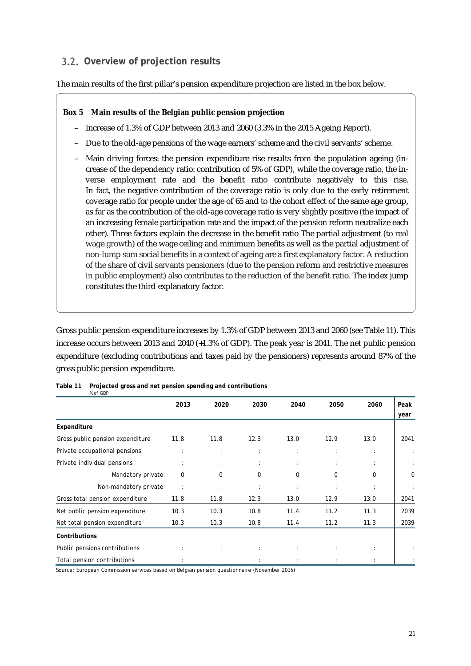### **Overview of projection results**

The main results of the first pillar's pension expenditure projection are listed in the box below.

#### **Box 5 Main results of the Belgian public pension projection**

- Increase of 1.3% of GDP between 2013 and 2060 (3.3% in the 2015 Ageing Report).
- Due to the old-age pensions of the wage earners' scheme and the civil servants' scheme.
- Main driving forces: the pension expenditure rise results from the population ageing (increase of the dependency ratio: contribution of 5% of GDP), while the coverage ratio, the inverse employment rate and the benefit ratio contribute negatively to this rise. In fact, the negative contribution of the coverage ratio is only due to the early retirement coverage ratio for people under the age of 65 and to the cohort effect of the same age group, as far as the contribution of the old-age coverage ratio is very slightly positive (the impact of an increasing female participation rate and the impact of the pension reform neutralize each other). Three factors explain the decrease in the benefit ratio The partial adjustment (to real wage growth) of the wage ceiling and minimum benefits as well as the partial adjustment of non-lump sum social benefits in a context of ageing are a first explanatory factor. A reduction of the share of civil servants pensioners (due to the pension reform and restrictive measures in public employment) also contributes to the reduction of the benefit ratio. The index jump constitutes the third explanatory factor.

Gross public pension expenditure increases by 1.3% of GDP between 2013 and 2060 (see Table 11). This increase occurs between 2013 and 2040 (+1.3% of GDP). The peak year is 2041. The net public pension expenditure (excluding contributions and taxes paid by the pensioners) represents around 87% of the gross public pension expenditure.

|                                  | 2013                 | 2020                 | 2030                 | 2040                 | 2050                 | 2060                 | Peak        |
|----------------------------------|----------------------|----------------------|----------------------|----------------------|----------------------|----------------------|-------------|
|                                  |                      |                      |                      |                      |                      |                      | year        |
| <b>Expenditure</b>               |                      |                      |                      |                      |                      |                      |             |
| Gross public pension expenditure | 11.8                 | 11.8                 | 12.3                 | 13.0                 | 12.9                 | 13.0                 | 2041        |
| Private occupational pensions    | ÷                    | $\ddot{\phantom{a}}$ | $\ddot{\phantom{a}}$ | ÷                    | $\ddot{\phantom{a}}$ | $\ddot{\phantom{a}}$ |             |
| Private individual pensions      | $\cdot$              | ÷                    | ÷                    | ÷                    | ÷                    |                      |             |
| Mandatory private                | $\mathbf 0$          | 0                    | 0                    | 0                    | 0                    | 0                    | $\mathbf 0$ |
| Non-mandatory private            | $\ddot{\phantom{a}}$ | $\ddot{\phantom{a}}$ | $\ddot{\phantom{a}}$ | $\ddot{\phantom{a}}$ | $\ddot{\phantom{a}}$ |                      |             |
| Gross total pension expenditure  | 11.8                 | 11.8                 | 12.3                 | 13.0                 | 12.9                 | 13.0                 | 2041        |
| Net public pension expenditure   | 10.3                 | 10.3                 | 10.8                 | 11.4                 | 11.2                 | 11.3                 | 2039        |
| Net total pension expenditure    | 10.3                 | 10.3                 | 10.8                 | 11.4                 | 11.2                 | 11.3                 | 2039        |
| <b>Contributions</b>             |                      |                      |                      |                      |                      |                      |             |
| Public pensions contributions    | ÷                    | ÷                    | $\ddot{\phantom{a}}$ | ÷                    | ÷                    | $\ddot{\phantom{a}}$ |             |
| Total pension contributions      |                      |                      |                      |                      |                      |                      |             |

| Table 11 Projected gross and net pension spending and contributions |
|---------------------------------------------------------------------|
| % of GDP                                                            |

Source: European Commission services based on Belgian pension questionnaire (November 2015)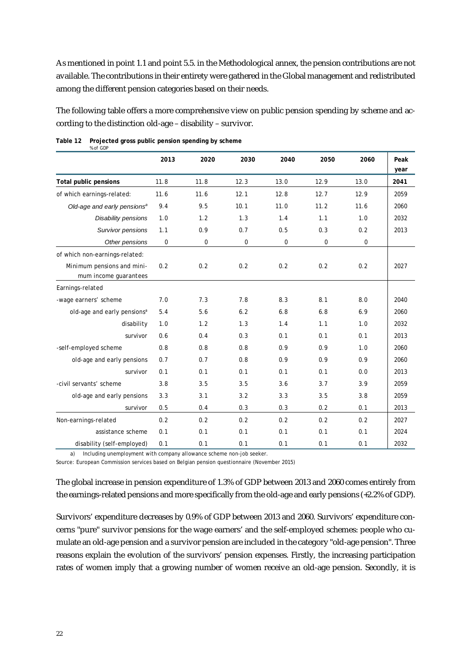As mentioned in point 1.1 and point 5.5. in the Methodological annex, the pension contributions are not available. The contributions in their entirety were gathered in the Global management and redistributed among the different pension categories based on their needs.

The following table offers a more comprehensive view on public pension spending by scheme and according to the distinction old-age – disability – survivor.

|                                         | 2013        | 2020 | 2030        | 2040             | 2050             | 2060             | Peak<br>year |
|-----------------------------------------|-------------|------|-------------|------------------|------------------|------------------|--------------|
| <b>Total public pensions</b>            | 11.8        | 11.8 | 12.3        | 13.0             | 12.9             | 13.0             | 2041         |
| of which earnings-related:              | 11.6        | 11.6 | 12.1        | 12.8             | 12.7             | 12.9             | 2059         |
| Old-age and early pensions <sup>a</sup> | 9.4         | 9.5  | 10.1        | 11.0             | 11.2             | 11.6             | 2060         |
| Disability pensions                     | 1.0         | 1.2  | 1.3         | 1.4              | 1.1              | 1.0              | 2032         |
| Survivor pensions                       | 1.1         | 0.9  | 0.7         | 0.5              | 0.3              | 0.2              | 2013         |
| Other pensions                          | $\mathbf 0$ | 0    | $\mathbf 0$ | $\boldsymbol{0}$ | $\boldsymbol{0}$ | $\boldsymbol{0}$ |              |
| of which non-earnings-related:          |             |      |             |                  |                  |                  |              |
| Minimum pensions and mini-              | 0.2         | 0.2  | 0.2         | 0.2              | 0.2              | 0.2              | 2027         |
| mum income guarantees                   |             |      |             |                  |                  |                  |              |
| Earnings-related                        |             |      |             |                  |                  |                  |              |
| -wage earners' scheme                   | 7.0         | 7.3  | 7.8         | 8.3              | 8.1              | 8.0              | 2040         |
| old-age and early pensions <sup>a</sup> | 5.4         | 5.6  | 6.2         | 6.8              | 6.8              | 6.9              | 2060         |
| disability                              | 1.0         | 1.2  | 1.3         | 1.4              | 1.1              | 1.0              | 2032         |
| survivor                                | 0.6         | 0.4  | 0.3         | 0.1              | 0.1              | 0.1              | 2013         |
| -self-employed scheme                   | 0.8         | 0.8  | 0.8         | 0.9              | 0.9              | 1.0              | 2060         |
| old-age and early pensions              | 0.7         | 0.7  | 0.8         | 0.9              | 0.9              | 0.9              | 2060         |
| survivor                                | 0.1         | 0.1  | 0.1         | 0.1              | 0.1              | 0.0              | 2013         |
| -civil servants' scheme                 | 3.8         | 3.5  | 3.5         | 3.6              | 3.7              | 3.9              | 2059         |
| old-age and early pensions              | 3.3         | 3.1  | 3.2         | 3.3              | 3.5              | 3.8              | 2059         |
| survivor                                | 0.5         | 0.4  | 0.3         | 0.3              | 0.2              | 0.1              | 2013         |
| Non-earnings-related                    | 0.2         | 0.2  | 0.2         | 0.2              | 0.2              | 0.2              | 2027         |
| assistance scheme                       | 0.1         | 0.1  | 0.1         | 0.1              | 0.1              | 0.1              | 2024         |
| disability (self-employed)              | 0.1         | 0.1  | 0.1         | 0.1              | 0.1              | 0.1              | 2032         |

#### **Table 12 Projected gross public pension spending by scheme** *% of GDP*

a) Including unemployment with company allowance scheme non-job seeker.

Source: European Commission services based on Belgian pension questionnaire (November 2015)

The global increase in pension expenditure of 1.3% of GDP between 2013 and 2060 comes entirely from the earnings-related pensions and more specifically from the old-age and early pensions (+2.2% of GDP).

Survivors' expenditure decreases by 0.9% of GDP between 2013 and 2060. Survivors' expenditure concerns "pure" survivor pensions for the wage earners' and the self-employed schemes: people who cumulate an old-age pension and a survivor pension are included in the category "old-age pension". Three reasons explain the evolution of the survivors' pension expenses. Firstly, the increasing participation rates of women imply that a growing number of women receive an old-age pension. Secondly, it is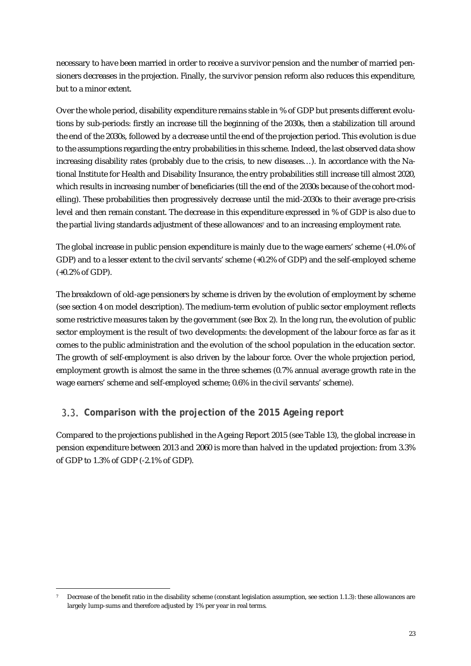necessary to have been married in order to receive a survivor pension and the number of married pensioners decreases in the projection. Finally, the survivor pension reform also reduces this expenditure, but to a minor extent.

Over the whole period, disability expenditure remains stable in % of GDP but presents different evolutions by sub-periods: firstly an increase till the beginning of the 2030s, then a stabilization till around the end of the 2030s, followed by a decrease until the end of the projection period. This evolution is due to the assumptions regarding the entry probabilities in this scheme. Indeed, the last observed data show increasing disability rates (probably due to the crisis, to new diseases…). In accordance with the National Institute for Health and Disability Insurance, the entry probabilities still increase till almost 2020, which results in increasing number of beneficiaries (till the end of the 2030s because of the cohort modelling). These probabilities then progressively decrease until the mid-2030s to their average pre-crisis level and then remain constant. The decrease in this expenditure expressed in % of GDP is also due to the partial living standards adjustment of these allowances<sup>7</sup> and to an increasing employment rate.

The global increase in public pension expenditure is mainly due to the wage earners' scheme (+1.0% of GDP) and to a lesser extent to the civil servants' scheme (+0.2% of GDP) and the self-employed scheme (+0.2% of GDP).

The breakdown of old-age pensioners by scheme is driven by the evolution of employment by scheme (see section 4 on model description). The medium-term evolution of public sector employment reflects some restrictive measures taken by the government (see Box 2). In the long run, the evolution of public sector employment is the result of two developments: the development of the labour force as far as it comes to the public administration and the evolution of the school population in the education sector. The growth of self-employment is also driven by the labour force. Over the whole projection period, employment growth is almost the same in the three schemes (0.7% annual average growth rate in the wage earners' scheme and self-employed scheme; 0.6% in the civil servants' scheme).

## **Comparison with the projection of the 2015 Ageing report**

Compared to the projections published in the Ageing Report 2015 (see Table 13), the global increase in pension expenditure between 2013 and 2060 is more than halved in the updated projection: from 3.3% of GDP to 1.3% of GDP (-2.1% of GDP).

<sup>-</sup>Decrease of the benefit ratio in the disability scheme (constant legislation assumption, see section 1.1.3): these allowances are largely lump-sums and therefore adjusted by 1% per year in real terms.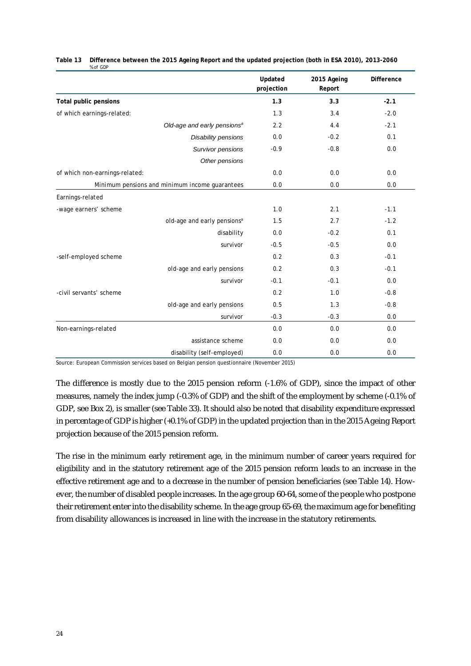|                                                | <b>Updated</b><br>projection | 2015 Ageing<br>Report | <b>Difference</b> |
|------------------------------------------------|------------------------------|-----------------------|-------------------|
| <b>Total public pensions</b>                   | 1.3                          | 3.3                   | $-2.1$            |
| of which earnings-related:                     | 1.3                          | 3.4                   | $-2.0$            |
| Old-age and early pensions <sup>a</sup>        | 2.2                          | 4.4                   | $-2.1$            |
| Disability pensions                            | 0.0                          | $-0.2$                | 0.1               |
| Survivor pensions                              | $-0.9$                       | $-0.8$                | 0.0               |
| Other pensions                                 |                              |                       |                   |
| of which non-earnings-related:                 | 0.0                          | 0.0                   | 0.0               |
| Minimum pensions and minimum income quarantees | 0.0                          | 0.0                   | 0.0               |
| Earnings-related                               |                              |                       |                   |
| -wage earners' scheme                          | 1.0                          | 2.1                   | $-1.1$            |
| old-age and early pensions <sup>a</sup>        | 1.5                          | 2.7                   | $-1.2$            |
| disability                                     | 0.0                          | $-0.2$                | 0.1               |
| survivor                                       | $-0.5$                       | $-0.5$                | 0.0               |
| -self-employed scheme                          | 0.2                          | 0.3                   | $-0.1$            |
| old-age and early pensions                     | 0.2                          | 0.3                   | $-0.1$            |
| survivor                                       | $-0.1$                       | $-0.1$                | 0.0               |
| -civil servants' scheme                        | 0.2                          | 1.0                   | $-0.8$            |
| old-age and early pensions                     | 0.5                          | 1.3                   | $-0.8$            |
| survivor                                       | $-0.3$                       | $-0.3$                | 0.0               |
| Non-earnings-related                           | 0.0                          | 0.0                   | 0.0               |
| assistance scheme                              | 0.0                          | 0.0                   | 0.0               |
| disability (self-employed)                     | 0.0                          | 0.0                   | 0.0               |

**Table 13 Difference between the 2015 Ageing Report and the updated projection (both in ESA 2010), 2013-2060**  *% of GDP*

Source: European Commission services based on Belgian pension questionnaire (November 2015)

The difference is mostly due to the 2015 pension reform (-1.6% of GDP), since the impact of other measures, namely the index jump (-0.3% of GDP) and the shift of the employment by scheme (-0.1% of GDP, see Box 2), is smaller (see Table 33). It should also be noted that disability expenditure expressed in percentage of GDP is higher (+0.1% of GDP) in the updated projection than in the 2015 Ageing Report projection because of the 2015 pension reform.

The rise in the minimum early retirement age, in the minimum number of career years required for eligibility and in the statutory retirement age of the 2015 pension reform leads to an increase in the effective retirement age and to a decrease in the number of pension beneficiaries (see Table 14). However, the number of disabled people increases. In the age group 60-64, some of the people who postpone their retirement enter into the disability scheme. In the age group 65-69, the maximum age for benefiting from disability allowances is increased in line with the increase in the statutory retirements.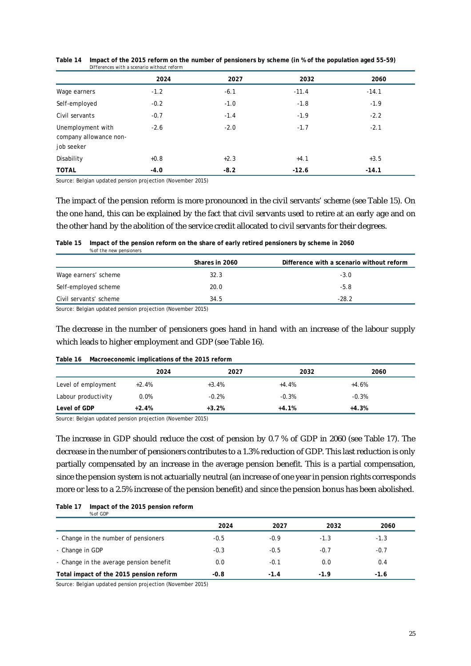|                                                           | 2024   | 2027   | 2032    | 2060    |
|-----------------------------------------------------------|--------|--------|---------|---------|
| Wage earners                                              | $-1.2$ | $-6.1$ | $-11.4$ | $-14.1$ |
| Self-employed                                             | $-0.2$ | $-1.0$ | $-1.8$  | $-1.9$  |
| Civil servants                                            | $-0.7$ | $-1.4$ | $-1.9$  | $-2.2$  |
| Unemployment with<br>company allowance non-<br>job seeker | $-2.6$ | $-2.0$ | $-1.7$  | $-2.1$  |
| Disability                                                | $+0.8$ | $+2.3$ | $+4.1$  | $+3.5$  |
| <b>TOTAL</b>                                              | $-4.0$ | $-8.2$ | $-12.6$ | $-14.1$ |

**Table 14 Impact of the 2015 reform on the number of pensioners by scheme (in % of the population aged 55-59)** *Differences with a scenario without reform*

Source: Belgian updated pension projection (November 2015)

The impact of the pension reform is more pronounced in the civil servants' scheme (see Table 15). On the one hand, this can be explained by the fact that civil servants used to retire at an early age and on the other hand by the abolition of the service credit allocated to civil servants for their degrees.

#### **Table 15 Impact of the pension reform on the share of early retired pensioners by scheme in 2060** *% of the new pensioners*

|                        | Shares in 2060 | Difference with a scenario without reform |
|------------------------|----------------|-------------------------------------------|
| Wage earners' scheme   | 32.3           | $-3.0$                                    |
| Self-employed scheme   | 20.0           | $-5.8$                                    |
| Civil servants' scheme | 34.5           | $-28.2$                                   |

Source: Belgian updated pension projection (November 2015)

The decrease in the number of pensioners goes hand in hand with an increase of the labour supply which leads to higher employment and GDP (see Table 16).

#### **Table 16 Macroeconomic implications of the 2015 reform**

|                     | 2024    | 2027    | 2032    | 2060    |
|---------------------|---------|---------|---------|---------|
| Level of employment | $+2.4%$ | $+3.4%$ | +4.4%   | $+4.6%$ |
| Labour productivity | 0.0%    | $-0.2%$ | $-0.3%$ | $-0.3%$ |
| Level of GDP        | $+2.4%$ | $+3.2%$ | $+4.1%$ | $+4.3%$ |

Source: Belgian updated pension projection (November 2015)

The increase in GDP should reduce the cost of pension by 0.7 % of GDP in 2060 (see Table 17). The decrease in the number of pensioners contributes to a 1.3% reduction of GDP. This last reduction is only partially compensated by an increase in the average pension benefit. This is a partial compensation, since the pension system is not actuarially neutral (an increase of one year in pension rights corresponds more or less to a 2.5% increase of the pension benefit) and since the pension bonus has been abolished.

| Table 17 | Impact of the 2015 pension reform |  |
|----------|-----------------------------------|--|
|          | % of GDP                          |  |

|                                         | 2024   | 2027   | 2032   | 2060   |
|-----------------------------------------|--------|--------|--------|--------|
| - Change in the number of pensioners    | $-0.5$ | $-0.9$ | $-1.3$ | $-1.3$ |
| - Change in GDP                         | $-0.3$ | $-0.5$ | $-0.7$ | $-0.7$ |
| - Change in the average pension benefit | 0.0    | $-0.1$ | 0.0    | 0.4    |
| Total impact of the 2015 pension reform | $-0.8$ | $-1.4$ | $-1.9$ | $-1.6$ |

Source: Belgian updated pension projection (November 2015)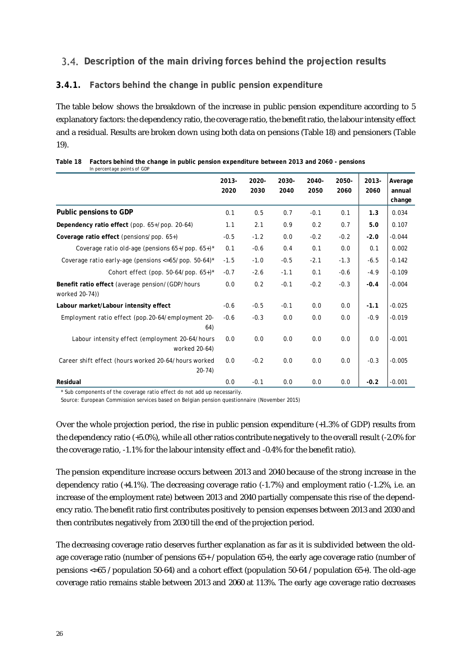#### **Description of the main driving forces behind the projection results**

#### **3.4.1. Factors behind the change in public pension expenditure**

The table below shows the breakdown of the increase in public pension expenditure according to 5 explanatory factors: the dependency ratio, the coverage ratio, the benefit ratio, the labour intensity effect and a residual. Results are broken down using both data on pensions (Table 18) and pensioners (Table 19).

| in percentage points or opr                                               |               |               |               |               |               |                  |                             |
|---------------------------------------------------------------------------|---------------|---------------|---------------|---------------|---------------|------------------|-----------------------------|
|                                                                           | 2013-<br>2020 | 2020-<br>2030 | 2030-<br>2040 | 2040-<br>2050 | 2050-<br>2060 | $2013 -$<br>2060 | Average<br>annual<br>change |
| <b>Public pensions to GDP</b>                                             | 0.1           | 0.5           | 0.7           | $-0.1$        | 0.1           | 1.3              | 0.034                       |
| Dependency ratio effect (pop. 65+/pop. 20-64)                             | 1.1           | 2.1           | 0.9           | 0.2           | 0.7           | 5.0              | 0.107                       |
| Coverage ratio effect (pensions/pop. $65+)$                               | $-0.5$        | $-1.2$        | 0.0           | $-0.2$        | $-0.2$        | $-2.0$           | $-0.044$                    |
| Coverage ratio old-age (pensions $65+/pop. 65+)$ *                        | 0.1           | $-0.6$        | 0.4           | 0.1           | 0.0           | 0.1              | 0.002                       |
| Coverage ratio early-age (pensions $\langle =65/pop. 50-64 \rangle$ *     | $-1.5$        | $-1.0$        | $-0.5$        | $-2.1$        | $-1.3$        | $-6.5$           | $-0.142$                    |
| Cohort effect (pop. 50-64/pop. $65+)$ *                                   | $-0.7$        | $-2.6$        | $-1.1$        | 0.1           | $-0.6$        | $-4.9$           | $-0.109$                    |
| <b>Benefit ratio effect</b> (average pension/(GDP/hours<br>worked 20-74)) | 0.0           | 0.2           | $-0.1$        | $-0.2$        | $-0.3$        | $-0.4$           | $-0.004$                    |
| Labour market/Labour intensity effect                                     | $-0.6$        | $-0.5$        | $-0.1$        | 0.0           | 0.0           | $-1.1$           | $-0.025$                    |
| Employment ratio effect (pop.20-64/employment 20-<br>64)                  | $-0.6$        | $-0.3$        | 0.0           | 0.0           | 0.0           | $-0.9$           | $-0.019$                    |
| Labour intensity effect (employment 20-64/hours<br>worked 20-64)          | 0.0           | 0.0           | 0.0           | 0.0           | 0.0           | 0.0              | $-0.001$                    |
| Career shift effect (hours worked 20-64/hours worked<br>$20 - 74$         | 0.0           | $-0.2$        | 0.0           | 0.0           | 0.0           | $-0.3$           | $-0.005$                    |
| <b>Residual</b>                                                           | 0.0           | $-0.1$        | 0.0           | 0.0           | 0.0           | $-0.2$           | $-0.001$                    |

| Table 18 Factors behind the change in public pension expenditure between 2013 and 2060 - pensions |
|---------------------------------------------------------------------------------------------------|
| In percentage points of GDP                                                                       |

\* Sub components of the coverage ratio effect do not add up necessarily.

Source: European Commission services based on Belgian pension questionnaire (November 2015)

Over the whole projection period, the rise in public pension expenditure (+1.3% of GDP) results from the dependency ratio (+5.0%), while all other ratios contribute negatively to the overall result (-2.0% for the coverage ratio, -1.1% for the labour intensity effect and -0.4% for the benefit ratio).

The pension expenditure increase occurs between 2013 and 2040 because of the strong increase in the dependency ratio (+4.1%). The decreasing coverage ratio (-1.7%) and employment ratio (-1.2%, i.e. an increase of the employment rate) between 2013 and 2040 partially compensate this rise of the dependency ratio. The benefit ratio first contributes positively to pension expenses between 2013 and 2030 and then contributes negatively from 2030 till the end of the projection period.

The decreasing coverage ratio deserves further explanation as far as it is subdivided between the oldage coverage ratio (number of pensions 65+ / population 65+), the early age coverage ratio (number of pensions <=65 / population 50-64) and a cohort effect (population 50-64 / population 65+). The old-age coverage ratio remains stable between 2013 and 2060 at 113%. The early age coverage ratio decreases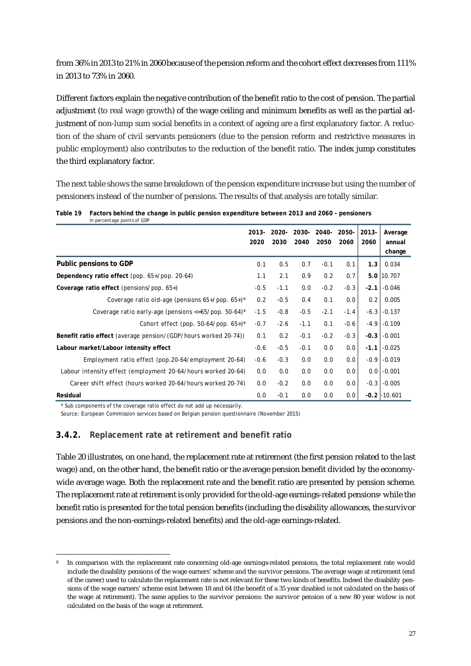from 36% in 2013 to 21% in 2060 because of the pension reform and the cohort effect decreases from 111% in 2013 to 73% in 2060.

Different factors explain the negative contribution of the benefit ratio to the cost of pension. The partial adjustment (to real wage growth) of the wage ceiling and minimum benefits as well as the partial adjustment of non-lump sum social benefits in a context of ageing are a first explanatory factor. A reduction of the share of civil servants pensioners (due to the pension reform and restrictive measures in public employment) also contributes to the reduction of the benefit ratio. The index jump constitutes the third explanatory factor.

The next table shows the same breakdown of the pension expenditure increase but using the number of pensioners instead of the number of pensions. The results of that analysis are totally similar.

|                                                                        | $2013 -$<br>2020 | 2020-<br>2030 | 2030-<br>2040 | -2040<br>2050 | 2050-<br>2060 | $2013 -$<br>2060 | Average<br>annual |
|------------------------------------------------------------------------|------------------|---------------|---------------|---------------|---------------|------------------|-------------------|
| <b>Public pensions to GDP</b>                                          |                  |               |               |               |               |                  | change            |
|                                                                        | 0.1              | 0.5           | 0.7           | $-0.1$        | 0.1           | 1.3 <sub>1</sub> | 0.034             |
| Dependency ratio effect (pop. $65+/pop.$ 20-64)                        | 1.1              | 2.1           | 0.9           | 0.2           | 0.7           |                  | 5.0 10.707        |
| <b>Coverage ratio effect</b> (pensions/pop. $65+$ )                    | $-0.5$           | $-1.1$        | 0.0           | $-0.2$        | $-0.3$        |                  | $-2.1$ $-0.046$   |
| Coverage ratio old-age (pensions $65+/pop. 65+)$ *                     | 0.2              | $-0.5$        | 0.4           | 0.1           | 0.0           | 0.2              | 0.005             |
| Coverage ratio early-age (pensions $\langle 56/100p, 50-64 \rangle$ *  | $-1.5$           | $-0.8$        | $-0.5$        | $-2.1$        | $-1.4$        | $-6.3$           | $-0.137$          |
| Cohort effect (pop. 50-64/pop. $65+)$ *                                | $-0.7$           | $-2.6$        | $-1.1$        | 0.1           | -0.6          | $-4.9$           | $-0.109$          |
| <b>Benefit ratio effect</b> (average pension/(GDP/hours worked 20-74)) | 0.1              | 0.2           | $-0.1$        | $-0.2$        | $-0.3$        |                  | $-0.3$ $-0.001$   |
| Labour market/Labour intensity effect                                  | $-0.6$           | $-0.5$        | $-0.1$        | 0.0           | 0.0           |                  | $-1.1$ $-0.025$   |
| Employment ratio effect (pop. 20-64/employment 20-64)                  | -0.6             | $-0.3$        | 0.0           | 0.0           | 0.0           |                  | $-0.9$ $-0.019$   |
| Labour intensity effect (employment 20-64/hours worked 20-64)          | 0.0              | 0.0           | 0.0           | 0.0           | 0.0           |                  | $0.0$ -0.001      |
| Career shift effect (hours worked 20-64/hours worked 20-74)            | 0.0              | $-0.2$        | 0.0           | 0.0           | 0.0           | $-0.3$           | $-0.005$          |
| <b>Residual</b>                                                        | 0.0              | $-0.1$        | 0.0           | 0.0           | 0.0           |                  | $-0.2$ $-10.601$  |

**Table 19 Factors behind the change in public pension expenditure between 2013 and 2060 - pensioners** *In percentage points of GDP*

\* Sub components of the coverage ratio effect do not add up necessarily.

-

Source: European Commission services based on Belgian pension questionnaire (November 2015)

#### **3.4.2. Replacement rate at retirement and benefit ratio**

Table 20 illustrates, on one hand, the replacement rate at retirement (the first pension related to the last wage) and, on the other hand, the benefit ratio or the average pension benefit divided by the economywide average wage. Both the replacement rate and the benefit ratio are presented by pension scheme. The replacement rate at retirement is only provided for the old-age earnings-related pensions<sup>®</sup> while the benefit ratio is presented for the total pension benefits (including the disability allowances, the survivor pensions and the non-earnings-related benefits) and the old-age earnings-related.

In comparison with the replacement rate concerning old-age earnings-related pensions, the total replacement rate would include the disability pensions of the wage earners' scheme and the survivor pensions. The average wage at retirement (end of the career) used to calculate the replacement rate is not relevant for these two kinds of benefits. Indeed the disability pensions of the wage earners' scheme exist between 18 and 64 (the benefit of a 35 year disabled is not calculated on the basis of the wage at retirement). The same applies to the survivor pensions: the survivor pension of a new 80 year widow is not calculated on the basis of the wage at retirement.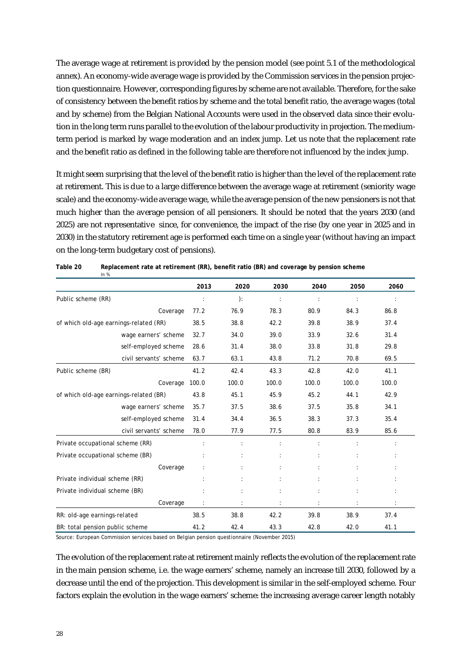The average wage at retirement is provided by the pension model (see point 5.1 of the methodological annex). An economy-wide average wage is provided by the Commission services in the pension projection questionnaire. However, corresponding figures by scheme are not available. Therefore, for the sake of consistency between the benefit ratios by scheme and the total benefit ratio, the average wages (total and by scheme) from the Belgian National Accounts were used in the observed data since their evolution in the long term runs parallel to the evolution of the labour productivity in projection. The mediumterm period is marked by wage moderation and an index jump. Let us note that the replacement rate and the benefit ratio as defined in the following table are therefore not influenced by the index jump.

It might seem surprising that the level of the benefit ratio is higher than the level of the replacement rate at retirement. This is due to a large difference between the average wage at retirement (seniority wage scale) and the economy-wide average wage, while the average pension of the new pensioners is not that much higher than the average pension of all pensioners. It should be noted that the years 2030 (and 2025) are not representative since, for convenience, the impact of the rise (by one year in 2025 and in 2030) in the statutory retirement age is performed each time on a single year (without having an impact on the long-term budgetary cost of pensions).

| In $%$                                 |                      |       |       |                      |                |                |
|----------------------------------------|----------------------|-------|-------|----------------------|----------------|----------------|
|                                        | 2013                 | 2020  | 2030  | 2040                 | 2050           | 2060           |
| Public scheme (RR)                     | $\ddot{\phantom{a}}$ | ):    | ÷     | $\ddot{\phantom{a}}$ | $\ddot{\cdot}$ | $\ddot{\cdot}$ |
| Coverage                               | 77.2                 | 76.9  | 78.3  | 80.9                 | 84.3           | 86.8           |
| of which old-age earnings-related (RR) | 38.5                 | 38.8  | 42.2  | 39.8                 | 38.9           | 37.4           |
| wage earners' scheme                   | 32.7                 | 34.0  | 39.0  | 33.9                 | 32.6           | 31.4           |
| self-employed scheme                   | 28.6                 | 31.4  | 38.0  | 33.8                 | 31.8           | 29.8           |
| civil servants' scheme                 | 63.7                 | 63.1  | 43.8  | 71.2                 | 70.8           | 69.5           |
| Public scheme (BR)                     | 41.2                 | 42.4  | 43.3  | 42.8                 | 42.0           | 41.1           |
| Coverage                               | 100.0                | 100.0 | 100.0 | 100.0                | 100.0          | 100.0          |
| of which old-age earnings-related (BR) | 43.8                 | 45.1  | 45.9  | 45.2                 | 44.1           | 42.9           |
| wage earners' scheme                   | 35.7                 | 37.5  | 38.6  | 37.5                 | 35.8           | 34.1           |
| self-employed scheme                   | 31.4                 | 34.4  | 36.5  | 38.3                 | 37.3           | 35.4           |
| civil servants' scheme                 | 78.0                 | 77.9  | 77.5  | 80.8                 | 83.9           | 85.6           |
| Private occupational scheme (RR)       |                      |       |       |                      |                |                |
| Private occupational scheme (BR)       |                      |       |       |                      |                |                |
| Coverage                               |                      |       |       |                      |                |                |
| Private individual scheme (RR)         |                      |       |       |                      |                |                |
| Private individual scheme (BR)         |                      |       |       |                      |                |                |
| Coverage                               |                      |       |       |                      |                |                |
| RR: old-age earnings-related           | 38.5                 | 38.8  | 42.2  | 39.8                 | 38.9           | 37.4           |
| BR: total pension public scheme        | 41.2                 | 42.4  | 43.3  | 42.8                 | 42.0           | 41.1           |

**Table 20 Replacement rate at retirement (RR), benefit ratio (BR) and coverage by pension scheme** 

Source: European Commission services based on Belgian pension questionnaire (November 2015)

The evolution of the replacement rate at retirement mainly reflects the evolution of the replacement rate in the main pension scheme, i.e. the wage earners' scheme, namely an increase till 2030, followed by a decrease until the end of the projection. This development is similar in the self-employed scheme. Four factors explain the evolution in the wage earners' scheme: the increasing average career length notably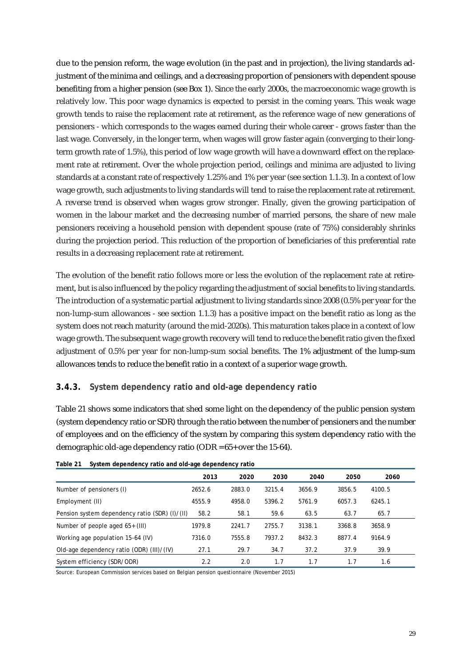due to the pension reform, the wage evolution (in the past and in projection), the living standards adjustment of the minima and ceilings, and a decreasing proportion of pensioners with dependent spouse benefiting from a higher pension (see Box 1). Since the early 2000s, the macroeconomic wage growth is relatively low. This poor wage dynamics is expected to persist in the coming years. This weak wage growth tends to raise the replacement rate at retirement, as the reference wage of new generations of pensioners - which corresponds to the wages earned during their whole career - grows faster than the last wage. Conversely, in the longer term, when wages will grow faster again (converging to their longterm growth rate of 1.5%), this period of low wage growth will have a downward effect on the replacement rate at retirement. Over the whole projection period, ceilings and minima are adjusted to living standards at a constant rate of respectively 1.25% and 1% per year (see section 1.1.3). In a context of low wage growth, such adjustments to living standards will tend to raise the replacement rate at retirement. A reverse trend is observed when wages grow stronger. Finally, given the growing participation of women in the labour market and the decreasing number of married persons, the share of new male pensioners receiving a household pension with dependent spouse (rate of 75%) considerably shrinks during the projection period. This reduction of the proportion of beneficiaries of this preferential rate results in a decreasing replacement rate at retirement.

The evolution of the benefit ratio follows more or less the evolution of the replacement rate at retirement, but is also influenced by the policy regarding the adjustment of social benefits to living standards. The introduction of a systematic partial adjustment to living standards since 2008 (0.5% per year for the non-lump-sum allowances - see section 1.1.3) has a positive impact on the benefit ratio as long as the system does not reach maturity (around the mid-2020s). This maturation takes place in a context of low wage growth. The subsequent wage growth recovery will tend to reduce the benefit ratio given the fixed adjustment of 0.5% per year for non-lump-sum social benefits. The 1% adjustment of the lump-sum allowances tends to reduce the benefit ratio in a context of a superior wage growth.

#### **3.4.3. System dependency ratio and old-age dependency ratio**

Table 21 shows some indicators that shed some light on the dependency of the public pension system (system dependency ratio or SDR) through the ratio between the number of pensioners and the number of employees and on the efficiency of the system by comparing this system dependency ratio with the demographic old-age dependency ratio (ODR = 65+ over the 15-64).

|                                                | 2013   | 2020   | 2030   | 2040   | 2050   | 2060   |  |
|------------------------------------------------|--------|--------|--------|--------|--------|--------|--|
| Number of pensioners (I)                       | 2652.6 | 2883.0 | 3215.4 | 3656.9 | 3856.5 | 4100.5 |  |
| Employment (II)                                | 4555.9 | 4958.0 | 5396.2 | 5761.9 | 6057.3 | 6245.1 |  |
| Pension system dependency ratio (SDR) (I)/(II) | 58.2   | 58.1   | 59.6   | 63.5   | 63.7   | 65.7   |  |
| Number of people aged $65+$ (III)              | 1979.8 | 2241.7 | 2755.7 | 3138.1 | 3368.8 | 3658.9 |  |
| Working age population 15-64 (IV)              | 7316.0 | 7555.8 | 7937.2 | 8432.3 | 8877.4 | 9164.9 |  |
| Old-age dependency ratio (ODR) (III)/(IV)      | 27.1   | 29.7   | 34.7   | 37.2   | 37.9   | 39.9   |  |
| System efficiency (SDR/ODR)                    | 2.2    | 2.0    | 1.7    | 1.7    | 1.7    | 1.6    |  |

| Table 21 System dependency ratio and old-age dependency ratio |  |
|---------------------------------------------------------------|--|
|                                                               |  |

Source: European Commission services based on Belgian pension questionnaire (November 2015)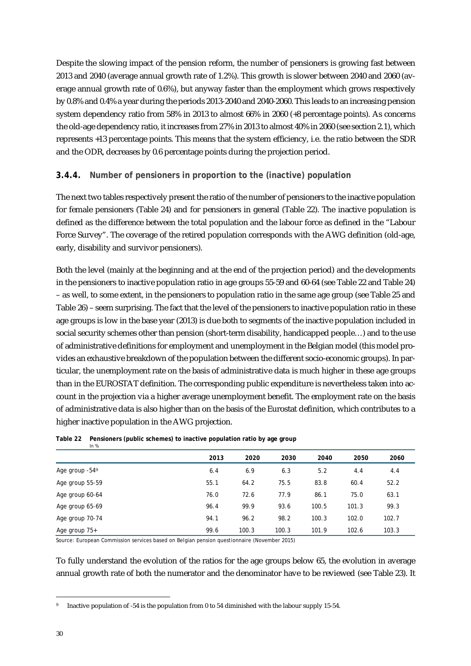Despite the slowing impact of the pension reform, the number of pensioners is growing fast between 2013 and 2040 (average annual growth rate of 1.2%). This growth is slower between 2040 and 2060 (average annual growth rate of 0.6%), but anyway faster than the employment which grows respectively by 0.8% and 0.4% a year during the periods 2013-2040 and 2040-2060. This leads to an increasing pension system dependency ratio from 58% in 2013 to almost 66% in 2060 (+8 percentage points). As concerns the old-age dependency ratio, it increases from 27% in 2013 to almost 40% in 2060 (see section 2.1), which represents +13 percentage points. This means that the system efficiency, i.e. the ratio between the SDR and the ODR, decreases by 0.6 percentage points during the projection period.

#### **3.4.4. Number of pensioners in proportion to the (inactive) population**

The next two tables respectively present the ratio of the number of pensioners to the inactive population for female pensioners (Table 24) and for pensioners in general (Table 22). The inactive population is defined as the difference between the total population and the labour force as defined in the "Labour Force Survey". The coverage of the retired population corresponds with the AWG definition (old-age, early, disability and survivor pensioners).

Both the level (mainly at the beginning and at the end of the projection period) and the developments in the pensioners to inactive population ratio in age groups 55-59 and 60-64 (see Table 22 and Table 24) – as well, to some extent, in the pensioners to population ratio in the same age group (see Table 25 and Table 26) – seem surprising. The fact that the level of the pensioners to inactive population ratio in these age groups is low in the base year (2013) is due both to segments of the inactive population included in social security schemes other than pension (short-term disability, handicapped people…) and to the use of administrative definitions for employment and unemployment in the Belgian model (this model provides an exhaustive breakdown of the population between the different socio-economic groups). In particular, the unemployment rate on the basis of administrative data is much higher in these age groups than in the EUROSTAT definition. The corresponding public expenditure is nevertheless taken into account in the projection via a higher average unemployment benefit. The employment rate on the basis of administrative data is also higher than on the basis of the Eurostat definition, which contributes to a higher inactive population in the AWG projection.

|                              | 2013 | 2020  | 2030  | 2040  | 2050  | 2060  |
|------------------------------|------|-------|-------|-------|-------|-------|
| Age group $-54$ <sup>9</sup> | 6.4  | 6.9   | 6.3   | 5.2   | 4.4   | 4.4   |
| Age group 55-59              | 55.1 | 64.2  | 75.5  | 83.8  | 60.4  | 52.2  |
| Age group 60-64              | 76.0 | 72.6  | 77.9  | 86.1  | 75.0  | 63.1  |
| Age group 65-69              | 96.4 | 99.9  | 93.6  | 100.5 | 101.3 | 99.3  |
| Age group 70-74              | 94.1 | 96.2  | 98.2  | 100.3 | 102.0 | 102.7 |
| Age group 75+                | 99.6 | 100.3 | 100.3 | 101.9 | 102.6 | 103.3 |

#### **Table 22 Pensioners (public schemes) to inactive population ratio by age group**  *In %*

Source: European Commission services based on Belgian pension questionnaire (November 2015)

To fully understand the evolution of the ratios for the age groups below 65, the evolution in average annual growth rate of both the numerator and the denominator have to be reviewed (see Table 23). It

Inactive population of -54 is the population from 0 to 54 diminished with the labour supply 15-54.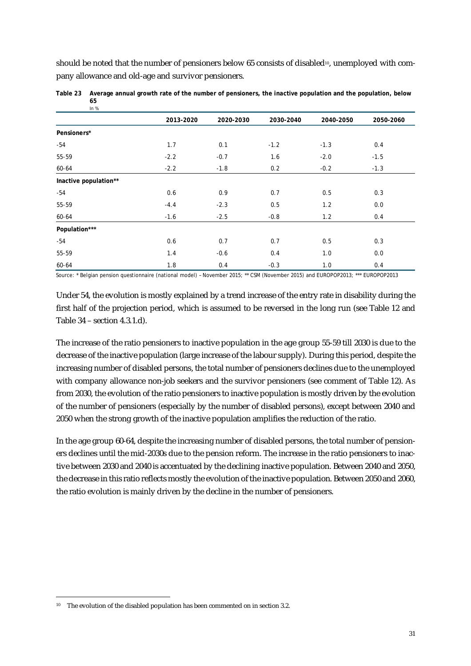should be noted that the number of pensioners below 65 consists of disabled<sup>10</sup>, unemployed with company allowance and old-age and survivor pensioners.

| $III$ $N$             |           |           |           |           |           |
|-----------------------|-----------|-----------|-----------|-----------|-----------|
|                       | 2013-2020 | 2020-2030 | 2030-2040 | 2040-2050 | 2050-2060 |
| Pensioners*           |           |           |           |           |           |
| $-54$                 | 1.7       | 0.1       | $-1.2$    | $-1.3$    | 0.4       |
| 55-59                 | $-2.2$    | $-0.7$    | 1.6       | $-2.0$    | $-1.5$    |
| 60-64                 | $-2.2$    | $-1.8$    | 0.2       | $-0.2$    | $-1.3$    |
| Inactive population** |           |           |           |           |           |
| $-54$                 | 0.6       | 0.9       | 0.7       | 0.5       | 0.3       |
| 55-59                 | $-4.4$    | $-2.3$    | 0.5       | 1.2       | 0.0       |
| 60-64                 | $-1.6$    | $-2.5$    | $-0.8$    | 1.2       | 0.4       |
| Population***         |           |           |           |           |           |
| $-54$                 | 0.6       | 0.7       | 0.7       | 0.5       | 0.3       |
| 55-59                 | 1.4       | $-0.6$    | 0.4       | 1.0       | 0.0       |
| 60-64                 | 1.8       | 0.4       | $-0.3$    | 1.0       | 0.4       |

**Table 23 Average annual growth rate of the number of pensioners, the inactive population and the population, below 65** *In %*

Source: \* Belgian pension questionnaire (national model) - November 2015; \*\* CSM (November 2015) and EUROPOP2013; \*\*\* EUROPOP2013

Under 54, the evolution is mostly explained by a trend increase of the entry rate in disability during the first half of the projection period, which is assumed to be reversed in the long run (see Table 12 and Table 34 – section 4.3.1.d).

The increase of the ratio pensioners to inactive population in the age group 55-59 till 2030 is due to the decrease of the inactive population (large increase of the labour supply). During this period, despite the increasing number of disabled persons, the total number of pensioners declines due to the unemployed with company allowance non-job seekers and the survivor pensioners (see comment of Table 12). As from 2030, the evolution of the ratio pensioners to inactive population is mostly driven by the evolution of the number of pensioners (especially by the number of disabled persons), except between 2040 and 2050 when the strong growth of the inactive population amplifies the reduction of the ratio.

In the age group 60-64, despite the increasing number of disabled persons, the total number of pensioners declines until the mid-2030s due to the pension reform. The increase in the ratio pensioners to inactive between 2030 and 2040 is accentuated by the declining inactive population. Between 2040 and 2050, the decrease in this ratio reflects mostly the evolution of the inactive population. Between 2050 and 2060, the ratio evolution is mainly driven by the decline in the number of pensioners.

<sup>&</sup>lt;sup>10</sup> The evolution of the disabled population has been commented on in section 3.2.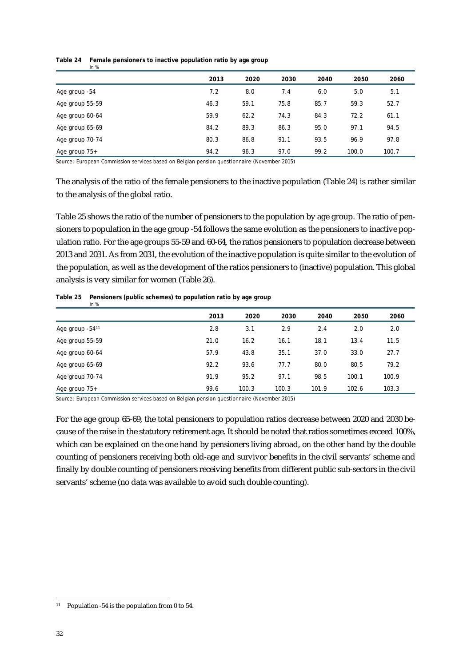|                 | 2013 | 2020 | 2030 | 2040 | 2050  | 2060  |
|-----------------|------|------|------|------|-------|-------|
| Age group -54   | 7.2  | 8.0  | 7.4  | 6.0  | 5.0   | 5.1   |
| Age group 55-59 | 46.3 | 59.1 | 75.8 | 85.7 | 59.3  | 52.7  |
| Age group 60-64 | 59.9 | 62.2 | 74.3 | 84.3 | 72.2  | 61.1  |
| Age group 65-69 | 84.2 | 89.3 | 86.3 | 95.0 | 97.1  | 94.5  |
| Age group 70-74 | 80.3 | 86.8 | 91.1 | 93.5 | 96.9  | 97.8  |
| Age group $75+$ | 94.2 | 96.3 | 97.0 | 99.2 | 100.0 | 100.7 |

#### **Table 24 Female pensioners to inactive population ratio by age group**  *In %*

Source: European Commission services based on Belgian pension questionnaire (November 2015)

The analysis of the ratio of the female pensioners to the inactive population (Table 24) is rather similar to the analysis of the global ratio.

Table 25 shows the ratio of the number of pensioners to the population by age group. The ratio of pensioners to population in the age group -54 follows the same evolution as the pensioners to inactive population ratio. For the age groups 55-59 and 60-64, the ratios pensioners to population decrease between 2013 and 2031. As from 2031, the evolution of the inactive population is quite similar to the evolution of the population, as well as the development of the ratios pensioners to (inactive) population. This global analysis is very similar for women (Table 26).

|  |  | Table 25 Pensioners (public schemes) to population ratio by age group |
|--|--|-----------------------------------------------------------------------|
|  |  |                                                                       |

| $\mathbf{u} \cdot \mathbf{v}$ |      |       |       |       |       |       |  |
|-------------------------------|------|-------|-------|-------|-------|-------|--|
|                               | 2013 | 2020  | 2030  | 2040  | 2050  | 2060  |  |
| Age group -5411               | 2.8  | 3.1   | 2.9   | 2.4   | 2.0   | 2.0   |  |
| Age group 55-59               | 21.0 | 16.2  | 16.1  | 18.1  | 13.4  | 11.5  |  |
| Age group 60-64               | 57.9 | 43.8  | 35.1  | 37.0  | 33.0  | 27.7  |  |
| Age group 65-69               | 92.2 | 93.6  | 77.7  | 80.0  | 80.5  | 79.2  |  |
| Age group 70-74               | 91.9 | 95.2  | 97.1  | 98.5  | 100.1 | 100.9 |  |
| Age group 75+                 | 99.6 | 100.3 | 100.3 | 101.9 | 102.6 | 103.3 |  |

Source: European Commission services based on Belgian pension questionnaire (November 2015)

For the age group 65-69, the total pensioners to population ratios decrease between 2020 and 2030 because of the raise in the statutory retirement age. It should be noted that ratios sometimes exceed 100%, which can be explained on the one hand by pensioners living abroad, on the other hand by the double counting of pensioners receiving both old-age and survivor benefits in the civil servants' scheme and finally by double counting of pensioners receiving benefits from different public sub-sectors in the civil servants' scheme (no data was available to avoid such double counting).

<sup>11</sup> Population -54 is the population from 0 to 54.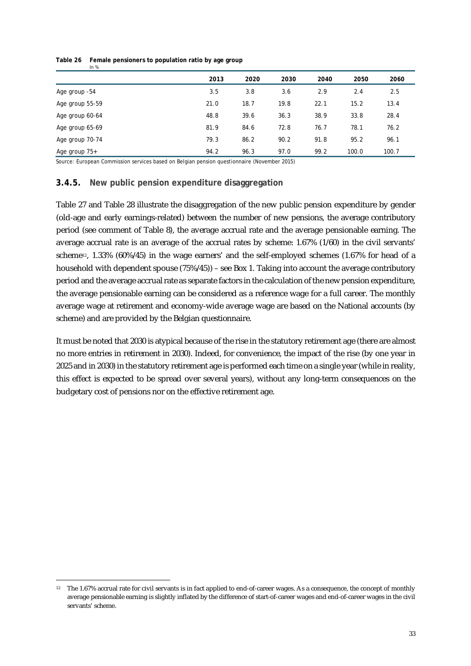|                 | 2013 | 2020 | 2030 | 2040 | 2050  | 2060  |
|-----------------|------|------|------|------|-------|-------|
| Age group -54   | 3.5  | 3.8  | 3.6  | 2.9  | 2.4   | 2.5   |
| Age group 55-59 | 21.0 | 18.7 | 19.8 | 22.1 | 15.2  | 13.4  |
| Age group 60-64 | 48.8 | 39.6 | 36.3 | 38.9 | 33.8  | 28.4  |
| Age group 65-69 | 81.9 | 84.6 | 72.8 | 76.7 | 78.1  | 76.2  |
| Age group 70-74 | 79.3 | 86.2 | 90.2 | 91.8 | 95.2  | 96.1  |
| Age group 75+   | 94.2 | 96.3 | 97.0 | 99.2 | 100.0 | 100.7 |

#### **Table 26 Female pensioners to population ratio by age group**  *In %*

Source: European Commission services based on Belgian pension questionnaire (November 2015)

#### **3.4.5. New public pension expenditure disaggregation**

Table 27 and Table 28 illustrate the disaggregation of the new public pension expenditure by gender (old-age and early earnings-related) between the number of new pensions, the average contributory period (see comment of Table 8), the average accrual rate and the average pensionable earning. The average accrual rate is an average of the accrual rates by scheme: 1.67% (1/60) in the civil servants' scheme<sup>12</sup>, 1.33% (60%/45) in the wage earners' and the self-employed schemes (1.67% for head of a household with dependent spouse (75%/45)) – see Box 1. Taking into account the average contributory period and the average accrual rate as separate factors in the calculation of the new pension expenditure, the average pensionable earning can be considered as a reference wage for a full career. The monthly average wage at retirement and economy-wide average wage are based on the National accounts (by scheme) and are provided by the Belgian questionnaire.

It must be noted that 2030 is atypical because of the rise in the statutory retirement age (there are almost no more entries in retirement in 2030). Indeed, for convenience, the impact of the rise (by one year in 2025 and in 2030) in the statutory retirement age is performed each time on a single year(while in reality, this effect is expected to be spread over several years), without any long-term consequences on the budgetary cost of pensions nor on the effective retirement age.

j <sup>12</sup> The 1.67% accrual rate for civil servants is in fact applied to end-of-career wages. As a consequence, the concept of monthly average pensionable earning is slightly inflated by the difference of start-of-career wages and end-of-career wages in the civil servants' scheme.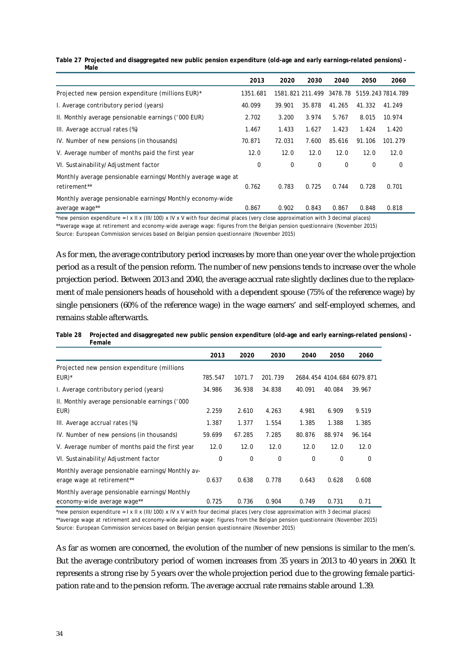| Table 27 Projected and disaggregated new public pension expenditure (old-age and early earnings-related pensions) - |
|---------------------------------------------------------------------------------------------------------------------|
| Male                                                                                                                |

|                                                                              | 2013     | 2020   | 2030             | 2040        | 2050   | 2060              |
|------------------------------------------------------------------------------|----------|--------|------------------|-------------|--------|-------------------|
| Projected new pension expenditure (millions EUR)*                            | 1351.681 |        | 1581.821 211.499 | 3478.78     |        | 5159.243 7814.789 |
| I. Average contributory period (years)                                       | 40.099   | 39.901 | 35.878           | 41.265      | 41.332 | 41.249            |
| II. Monthly average pensionable earnings ('000 EUR)                          | 2.702    | 3.200  | 3.974            | 5.767       | 8.015  | 10.974            |
| III. Average accrual rates (%)                                               | 1.467    | 1.433  | 1.627            | 1.423       | 1.424  | 1.420             |
| IV. Number of new pensions (in thousands)                                    | 70.871   | 72.031 | 7.600            | 85.616      | 91.106 | 101.279           |
| V. Average number of months paid the first year                              | 12.0     | 12.0   | 12.0             | 12.0        | 12.0   | 12.0              |
| VI. Sustainability/Adjustment factor                                         | 0        | 0      | 0                | $\mathbf 0$ | 0      | 0                 |
| Monthly average pensionable earnings/Monthly average wage at<br>retirement** | 0.762    | 0.783  | 0.725            | 0.744       | 0.728  | 0.701             |
| Monthly average pensionable earnings/Monthly economy-wide<br>average wage**  | 0.867    | 0.902  | 0.843            | 0.867       | 0.848  | 0.818             |

\*new pension expenditure =  $1 \times 11 \times (111/100) \times 10 \times 100$  with four decimal places (very close approximation with 3 decimal places) \*\*average wage at retirement and economy-wide average wage: figures from the Belgian pension questionnaire (November 2015)

Source: European Commission services based on Belgian pension questionnaire (November 2015)

As for men, the average contributory period increases by more than one year over the whole projection period as a result of the pension reform. The number of new pensions tends to increase over the whole projection period. Between 2013 and 2040, the average accrual rate slightly declines due to the replacement of male pensioners heads of household with a dependent spouse (75% of the reference wage) by single pensioners (60% of the reference wage) in the wage earners' and self-employed schemes, and remains stable afterwards.

| Table 28 Projected and disaggregated new public pension expenditure (old-age and early earnings-related pensions) - |
|---------------------------------------------------------------------------------------------------------------------|
| Female                                                                                                              |

|                                                  | 2013    | 2020        | 2030        | 2040        | 2050   | 2060                       |
|--------------------------------------------------|---------|-------------|-------------|-------------|--------|----------------------------|
| Projected new pension expenditure (millions)     |         |             |             |             |        |                            |
| $EUR)^*$                                         | 785.547 | 1071.7      | 201.739     |             |        | 2684.454 4104.684 6079.871 |
| I. Average contributory period (years)           | 34.986  | 36.938      | 34.838      | 40.091      | 40.084 | 39.967                     |
| II. Monthly average pensionable earnings ('000   |         |             |             |             |        |                            |
| EUR)                                             | 2.259   | 2.610       | 4.263       | 4.981       | 6.909  | 9.519                      |
| III. Average accrual rates (%)                   | 1.387   | 1.377       | 1.554       | 1.385       | 1.388  | 1.385                      |
| IV. Number of new pensions (in thousands)        | 59.699  | 67.285      | 7.285       | 80.876      | 88.974 | 96.164                     |
| V. Average number of months paid the first year  | 12.0    | 12.0        | 12.0        | 12.0        | 12.0   | 12.0                       |
| VI. Sustainability/Adjustment factor             | 0       | $\mathbf 0$ | $\mathbf 0$ | $\mathbf 0$ | 0      | 0                          |
| Monthly average pensionable earnings/Monthly av- |         |             |             |             |        |                            |
| erage wage at retirement**                       | 0.637   | 0.638       | 0.778       | 0.643       | 0.628  | 0.608                      |
| Monthly average pensionable earnings/Monthly     |         |             |             |             |        |                            |
| economy-wide average wage**                      | 0.725   | 0.736       | 0.904       | 0.749       | 0.731  | 0.71                       |

\*new pension expenditure = I x II x (III/100) x IV x V with four decimal places (very close approximation with 3 decimal places) \*\*average wage at retirement and economy-wide average wage: figures from the Belgian pension questionnaire (November 2015) Source: European Commission services based on Belgian pension questionnaire (November 2015)

As far as women are concerned, the evolution of the number of new pensions is similar to the men's. But the average contributory period of women increases from 35 years in 2013 to 40 years in 2060. It represents a strong rise by 5 years over the whole projection period due to the growing female participation rate and to the pension reform. The average accrual rate remains stable around 1.39.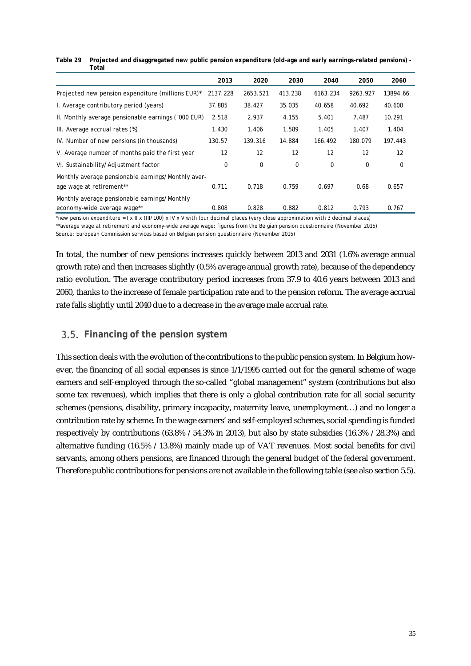#### **Table 29 Projected and disaggregated new public pension expenditure (old-age and early earnings-related pensions) - Total**

|                                                     | 2013     | 2020     | 2030    | 2040     | 2050     | 2060        |
|-----------------------------------------------------|----------|----------|---------|----------|----------|-------------|
| Projected new pension expenditure (millions EUR)*   | 2137.228 | 2653.521 | 413.238 | 6163.234 | 9263.927 | 13894.66    |
| I. Average contributory period (years)              | 37.885   | 38.427   | 35.035  | 40.658   | 40.692   | 40.600      |
| II. Monthly average pensionable earnings ('000 EUR) | 2.518    | 2.937    | 4.155   | 5.401    | 7.487    | 10.291      |
| III. Average accrual rates (%)                      | 1.430    | 1.406    | 1.589   | 1.405    | 1.407    | 1.404       |
| IV. Number of new pensions (in thousands)           | 130.57   | 139.316  | 14.884  | 166.492  | 180.079  | 197.443     |
| V. Average number of months paid the first year     | 12       | 12       | 12      | 12       | 12       | 12          |
| VI. Sustainability/Adjustment factor                | 0        | 0        | 0       | 0        | 0        | $\mathbf 0$ |
| Monthly average pensionable earnings/Monthly aver-  |          |          |         |          |          |             |
| age wage at retirement**                            | 0.711    | 0.718    | 0.759   | 0.697    | 0.68     | 0.657       |
| Monthly average pensionable earnings/Monthly        |          |          |         |          |          |             |
| economy-wide average wage**                         | 0.808    | 0.828    | 0.882   | 0.812    | 0.793    | 0.767       |

\*new pension expenditure =  $\vert x \vert \vert x$  (III/100) x IV x V with four decimal places (very close approximation with 3 decimal places)

\*\*average wage at retirement and economy-wide average wage: figures from the Belgian pension questionnaire (November 2015)

Source: European Commission services based on Belgian pension questionnaire (November 2015)

In total, the number of new pensions increases quickly between 2013 and 2031 (1.6% average annual growth rate) and then increases slightly (0.5% average annual growth rate), because of the dependency ratio evolution. The average contributory period increases from 37.9 to 40.6 years between 2013 and 2060, thanks to the increase of female participation rate and to the pension reform. The average accrual rate falls slightly until 2040 due to a decrease in the average male accrual rate.

## **Financing of the pension system**

This section deals with the evolution of the contributions to the public pension system. In Belgium however, the financing of all social expenses is since 1/1/1995 carried out for the general scheme of wage earners and self-employed through the so-called "global management" system (contributions but also some tax revenues), which implies that there is only a global contribution rate for all social security schemes (pensions, disability, primary incapacity, maternity leave, unemployment…) and no longer a contribution rate by scheme. In the wage earners' and self-employed schemes, social spending is funded respectively by contributions (63.8% / 54.3% in 2013), but also by state subsidies (16.3% / 28.3%) and alternative funding (16.5% / 13.8%) mainly made up of VAT revenues. Most social benefits for civil servants, among others pensions, are financed through the general budget of the federal government. Therefore public contributions for pensions are not available in the following table (see also section 5.5).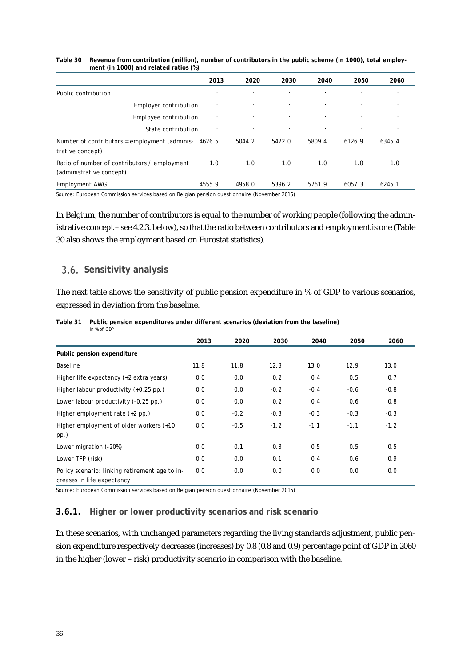|                                                                          | 2013       | 2020   | 2030   | 2040   | 2050                 | 2060   |
|--------------------------------------------------------------------------|------------|--------|--------|--------|----------------------|--------|
| Public contribution                                                      | $\epsilon$ |        | ÷      |        | $\ddot{\phantom{a}}$ |        |
| <b>Employer contribution</b>                                             | ÷          |        | ÷      | ÷      | $\ddot{\phantom{a}}$ |        |
| Employee contribution                                                    | ÷          |        | ÷      |        | $\ddot{\phantom{a}}$ |        |
| State contribution                                                       | ÷          |        | ÷      |        |                      |        |
| Number of contributors = employment (adminis-<br>trative concept)        | 4626.5     | 5044.2 | 5422.0 | 5809.4 | 6126.9               | 6345.4 |
| Ratio of number of contributors / employment<br>(administrative concept) | 1.0        | 1.0    | 1.0    | 1.0    | 1.0                  | 1.0    |
| Employment AWG                                                           | 4555.9     | 4958.0 | 5396.2 | 5761.9 | 6057.3               | 6245.1 |

#### **Table 30 Revenue from contribution (million), number of contributors in the public scheme (in 1000), total employment (in 1000) and related ratios (%)**

Source: European Commission services based on Belgian pension questionnaire (November 2015)

In Belgium, the number of contributors is equal to the number of working people (following the administrative concept – see 4.2.3. below), so that the ratio between contributors and employment is one (Table 30 also shows the employment based on Eurostat statistics).

#### **Sensitivity analysis**

The next table shows the sensitivity of public pension expenditure in % of GDP to various scenarios, expressed in deviation from the baseline.

| Table 31 | Public pension expenditures under different scenarios (deviation from the baseline) |
|----------|-------------------------------------------------------------------------------------|
|          | In % of GDP                                                                         |

|                                                                              | 2013 | 2020   | 2030   | 2040   | 2050   | 2060   |
|------------------------------------------------------------------------------|------|--------|--------|--------|--------|--------|
| Public pension expenditure                                                   |      |        |        |        |        |        |
| Baseline                                                                     | 11.8 | 11.8   | 12.3   | 13.0   | 12.9   | 13.0   |
| Higher life expectancy (+2 extra years)                                      | 0.0  | 0.0    | 0.2    | 0.4    | 0.5    | 0.7    |
| Higher labour productivity (+0.25 pp.)                                       | 0.0  | 0.0    | $-0.2$ | $-0.4$ | $-0.6$ | $-0.8$ |
| Lower labour productivity (-0.25 pp.)                                        | 0.0  | 0.0    | 0.2    | 0.4    | 0.6    | 0.8    |
| Higher employment rate $(+2$ pp.)                                            | 0.0  | $-0.2$ | $-0.3$ | $-0.3$ | $-0.3$ | $-0.3$ |
| Higher employment of older workers (+10<br>$pp.$ )                           | 0.0  | $-0.5$ | $-1.2$ | $-1.1$ | $-1.1$ | $-1.2$ |
| Lower migration (-20%)                                                       | 0.0  | 0.1    | 0.3    | 0.5    | 0.5    | 0.5    |
| Lower TFP (risk)                                                             | 0.0  | 0.0    | 0.1    | 0.4    | 0.6    | 0.9    |
| Policy scenario: linking retirement age to in-<br>creases in life expectancy | 0.0  | 0.0    | 0.0    | 0.0    | 0.0    | 0.0    |

Source: European Commission services based on Belgian pension questionnaire (November 2015)

#### **3.6.1. Higher or lower productivity scenarios and risk scenario**

In these scenarios, with unchanged parameters regarding the living standards adjustment, public pension expenditure respectively decreases (increases) by 0.8 (0.8 and 0.9) percentage point of GDP in 2060 in the higher (lower – risk) productivity scenario in comparison with the baseline.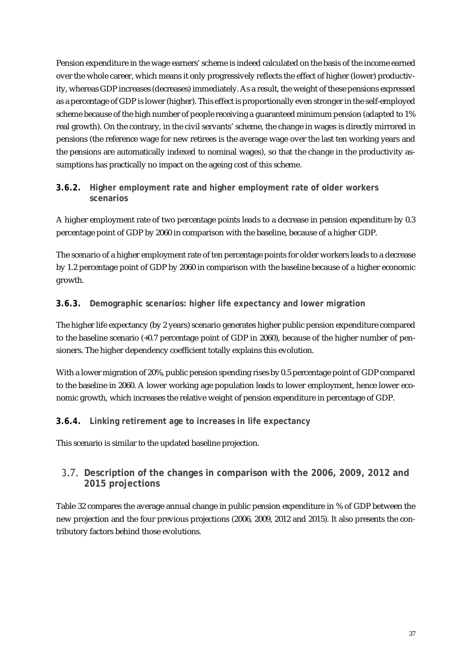Pension expenditure in the wage earners' scheme is indeed calculated on the basis of the income earned over the whole career, which means it only progressively reflects the effect of higher (lower) productivity, whereas GDP increases (decreases) immediately. As a result, the weight of these pensions expressed as a percentage of GDP is lower (higher). This effect is proportionally even stronger in the self-employed scheme because of the high number of people receiving a guaranteed minimum pension (adapted to 1% real growth). On the contrary, in the civil servants' scheme, the change in wages is directly mirrored in pensions (the reference wage for new retirees is the average wage over the last ten working years and the pensions are automatically indexed to nominal wages), so that the change in the productivity assumptions has practically no impact on the ageing cost of this scheme.

#### **3.6.2. Higher employment rate and higher employment rate of older workers scenarios**

A higher employment rate of two percentage points leads to a decrease in pension expenditure by 0.3 percentage point of GDP by 2060 in comparison with the baseline, because of a higher GDP.

The scenario of a higher employment rate of ten percentage points for older workers leads to a decrease by 1.2 percentage point of GDP by 2060 in comparison with the baseline because of a higher economic growth.

### **3.6.3. Demographic scenarios: higher life expectancy and lower migration**

The higher life expectancy (by 2 years) scenario generates higher public pension expenditure compared to the baseline scenario (+0.7 percentage point of GDP in 2060), because of the higher number of pensioners. The higher dependency coefficient totally explains this evolution.

With a lower migration of 20%, public pension spending rises by 0.5 percentage point of GDP compared to the baseline in 2060. A lower working age population leads to lower employment, hence lower economic growth, which increases the relative weight of pension expenditure in percentage of GDP.

#### **3.6.4. Linking retirement age to increases in life expectancy**

This scenario is similar to the updated baseline projection.

### **Description of the changes in comparison with the 2006, 2009, 2012 and 2015 projections**

Table 32 compares the average annual change in public pension expenditure in % of GDP between the new projection and the four previous projections (2006, 2009, 2012 and 2015). It also presents the contributory factors behind those evolutions.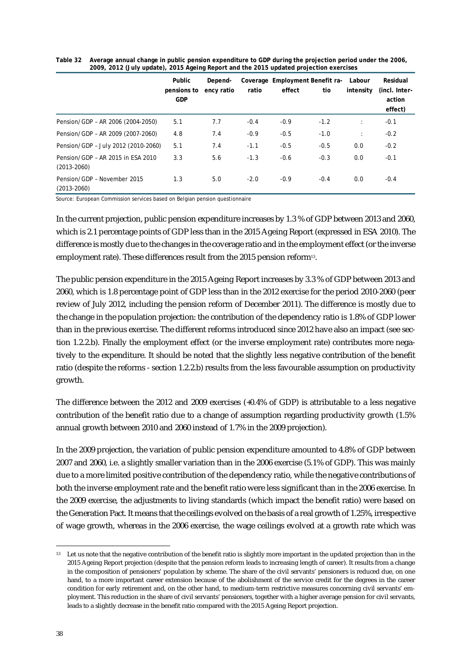|                                                      | Public<br>pensions to<br><b>GDP</b> | Depend-<br>ency ratio | ratio  | effect | Coverage Employment Benefit ra-<br>tio | Labour<br>intensity  | Residual<br>(incl. Inter-<br>action<br>effect) |
|------------------------------------------------------|-------------------------------------|-----------------------|--------|--------|----------------------------------------|----------------------|------------------------------------------------|
| Pension/GDP - AR 2006 (2004-2050)                    | 5.1                                 | 7.7                   | $-0.4$ | $-0.9$ | $-1.2$                                 | ÷                    | $-0.1$                                         |
| Pension/GDP - AR 2009 (2007-2060)                    | 4.8                                 | 7.4                   | $-0.9$ | $-0.5$ | $-1.0$                                 | $\ddot{\phantom{a}}$ | $-0.2$                                         |
| Pension/GDP - July 2012 (2010-2060)                  | 5.1                                 | 7.4                   | $-1.1$ | $-0.5$ | $-0.5$                                 | 0.0                  | $-0.2$                                         |
| Pension/GDP - AR 2015 in ESA 2010<br>$(2013 - 2060)$ | 3.3                                 | 5.6                   | $-1.3$ | $-0.6$ | $-0.3$                                 | 0.0                  | $-0.1$                                         |
| Pension/GDP - November 2015<br>$(2013 - 2060)$       | 1.3                                 | 5.0                   | $-2.0$ | $-0.9$ | $-0.4$                                 | 0.0                  | $-0.4$                                         |

**Table 32 Average annual change in public pension expenditure to GDP during the projection period under the 2006, 2009, 2012 (July update), 2015 Ageing Report and the 2015 updated projection exercises**

Source: European Commission services based on Belgian pension questionnaire

In the current projection, public pension expenditure increases by 1.3 % of GDP between 2013 and 2060, which is 2.1 percentage points of GDP less than in the 2015 Ageing Report (expressed in ESA 2010). The difference is mostly due to the changes in the coverage ratio and in the employment effect (or the inverse employment rate). These differences result from the 2015 pension reform $^{\scriptscriptstyle 13}$ .

The public pension expenditure in the 2015 Ageing Report increases by 3.3 % of GDP between 2013 and 2060, which is 1.8 percentage point of GDP less than in the 2012 exercise for the period 2010-2060 (peer review of July 2012, including the pension reform of December 2011). The difference is mostly due to the change in the population projection: the contribution of the dependency ratio is 1.8% of GDP lower than in the previous exercise. The different reforms introduced since 2012 have also an impact (see section 1.2.2.b). Finally the employment effect (or the inverse employment rate) contributes more negatively to the expenditure. It should be noted that the slightly less negative contribution of the benefit ratio (despite the reforms - section 1.2.2.b) results from the less favourable assumption on productivity growth.

The difference between the 2012 and 2009 exercises (+0.4% of GDP) is attributable to a less negative contribution of the benefit ratio due to a change of assumption regarding productivity growth (1.5% annual growth between 2010 and 2060 instead of 1.7% in the 2009 projection).

In the 2009 projection, the variation of public pension expenditure amounted to 4.8% of GDP between 2007 and 2060, i.e. a slightly smaller variation than in the 2006 exercise (5.1% of GDP). This was mainly due to a more limited positive contribution of the dependency ratio, while the negative contributions of both the inverse employment rate and the benefit ratio were less significant than in the 2006 exercise. In the 2009 exercise, the adjustments to living standards (which impact the benefit ratio) were based on the Generation Pact. It means that the ceilings evolved on the basis of a real growth of 1.25%, irrespective of wage growth, whereas in the 2006 exercise, the wage ceilings evolved at a growth rate which was

<sup>&</sup>lt;sup>13</sup> Let us note that the negative contribution of the benefit ratio is slightly more important in the updated projection than in the 2015 Ageing Report projection (despite that the pension reform leads to increasing length of career). It results from a change in the composition of pensioners' population by scheme. The share of the civil servants' pensioners is reduced due, on one hand, to a more important career extension because of the abolishment of the service credit for the degrees in the career condition for early retirement and, on the other hand, to medium-term restrictive measures concerning civil servants' employment. This reduction in the share of civil servants' pensioners, together with a higher average pension for civil servants, leads to a slightly decrease in the benefit ratio compared with the 2015 Ageing Report projection.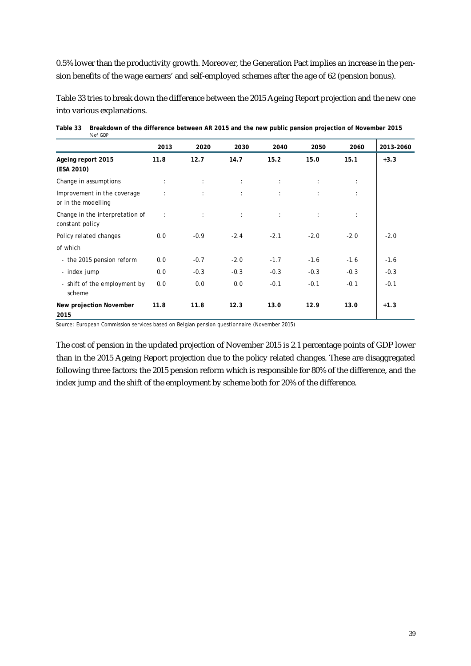0.5% lower than the productivity growth. Moreover, the Generation Pact implies an increase in the pension benefits of the wage earners' and self-employed schemes after the age of 62 (pension bonus).

Table 33 tries to break down the difference between the 2015 Ageing Report projection and the new one into various explanations.

|                                                    | 2013                 | 2020                         | 2030                       | 2040              | 2050                          | 2060   | 2013-2060 |
|----------------------------------------------------|----------------------|------------------------------|----------------------------|-------------------|-------------------------------|--------|-----------|
| Ageing report 2015<br>(ESA 2010)                   | 11.8                 | 12.7                         | 14.7                       | 15.2              | 15.0                          | 15.1   | $+3.3$    |
| Change in assumptions                              | ÷                    | $\sim$                       | $\Delta \sim 10$           | $\sim 100$        | $\ddot{\phantom{a}}$          | ÷      |           |
| Improvement in the coverage<br>or in the modelling | ÷                    | $\mathcal{L}^{\text{max}}$   | $\mathcal{L}_{\rm{max}}$ . | $\sim 10^{-1}$    | $\mathcal{L}^{\mathcal{L}}$ . |        |           |
| Change in the interpretation of<br>constant policy | $\ddot{\phantom{a}}$ | $\mathcal{L}^{\text{max}}$ . | $\mathcal{L}_{\rm{max}}$ . | $\Delta \sim 100$ | $\ddot{\phantom{a}}$          | ÷      |           |
| Policy related changes                             | 0.0                  | $-0.9$                       | $-2.4$                     | $-2.1$            | $-2.0$                        | $-2.0$ | $-2.0$    |
| of which                                           |                      |                              |                            |                   |                               |        |           |
| - the 2015 pension reform                          | 0.0                  | $-0.7$                       | $-2.0$                     | $-1.7$            | $-1.6$                        | $-1.6$ | $-1.6$    |
| - index jump                                       | 0.0                  | $-0.3$                       | $-0.3$                     | $-0.3$            | $-0.3$                        | $-0.3$ | $-0.3$    |
| - shift of the employment by<br>scheme             | 0.0                  | 0.0                          | 0.0                        | $-0.1$            | $-0.1$                        | $-0.1$ | $-0.1$    |
| <b>New projection November</b><br>2015             | 11.8                 | 11.8                         | 12.3                       | 13.0              | 12.9                          | 13.0   | $+1.3$    |

| Table 33 Breakdown of the difference between AR 2015 and the new public pension projection of November 2015 |
|-------------------------------------------------------------------------------------------------------------|
| % of GDP                                                                                                    |

Source: European Commission services based on Belgian pension questionnaire (November 2015)

The cost of pension in the updated projection of November 2015 is 2.1 percentage points of GDP lower than in the 2015 Ageing Report projection due to the policy related changes. These are disaggregated following three factors: the 2015 pension reform which is responsible for 80% of the difference, and the index jump and the shift of the employment by scheme both for 20% of the difference.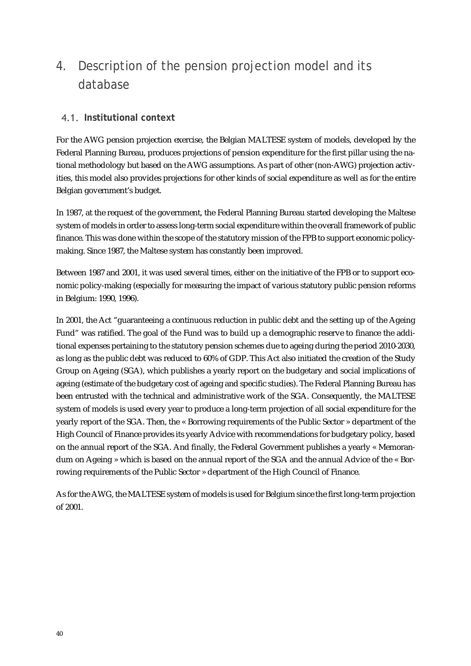## 4. Description of the pension projection model and its database

#### **Institutional context**

For the AWG pension projection exercise, the Belgian MALTESE system of models, developed by the Federal Planning Bureau, produces projections of pension expenditure for the first pillar using the national methodology but based on the AWG assumptions. As part of other (non-AWG) projection activities, this model also provides projections for other kinds of social expenditure as well as for the entire Belgian government's budget.

In 1987, at the request of the government, the Federal Planning Bureau started developing the Maltese system of models in order to assess long-term social expenditure within the overall framework of public finance. This was done within the scope of the statutory mission of the FPB to support economic policymaking. Since 1987, the Maltese system has constantly been improved.

Between 1987 and 2001, it was used several times, either on the initiative of the FPB or to support economic policy-making (especially for measuring the impact of various statutory public pension reforms in Belgium: 1990, 1996).

In 2001, the Act "guaranteeing a continuous reduction in public debt and the setting up of the Ageing Fund" was ratified. The goal of the Fund was to build up a demographic reserve to finance the additional expenses pertaining to the statutory pension schemes due to ageing during the period 2010-2030, as long as the public debt was reduced to 60% of GDP. This Act also initiated the creation of the Study Group on Ageing (SGA), which publishes a yearly report on the budgetary and social implications of ageing (estimate of the budgetary cost of ageing and specific studies). The Federal Planning Bureau has been entrusted with the technical and administrative work of the SGA. Consequently, the MALTESE system of models is used every year to produce a long-term projection of all social expenditure for the yearly report of the SGA. Then, the « Borrowing requirements of the Public Sector » department of the High Council of Finance provides its yearly Advice with recommendations for budgetary policy, based on the annual report of the SGA. And finally, the Federal Government publishes a yearly « Memorandum on Ageing » which is based on the annual report of the SGA and the annual Advice of the « Borrowing requirements of the Public Sector » department of the High Council of Finance.

As for the AWG, the MALTESE system of models is used for Belgium since the first long-term projection of 2001.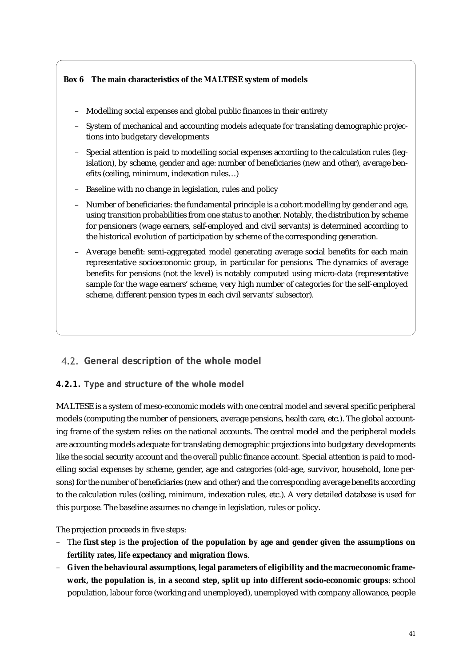#### **Box 6 The main characteristics of the MALTESE system of models**

- Modelling social expenses and global public finances in their entirety
- System of mechanical and accounting models adequate for translating demographic projections into budgetary developments
- Special attention is paid to modelling social expenses according to the calculation rules (legislation), by scheme, gender and age: number of beneficiaries (new and other), average benefits (ceiling, minimum, indexation rules…)
- Baseline with no change in legislation, rules and policy
- Number of beneficiaries: the fundamental principle is a cohort modelling by gender and age, using transition probabilities from one status to another. Notably, the distribution by scheme for pensioners (wage earners, self-employed and civil servants) is determined according to the historical evolution of participation by scheme of the corresponding generation.
- Average benefit: semi-aggregated model generating average social benefits for each main representative socioeconomic group, in particular for pensions. The dynamics of average benefits for pensions (not the level) is notably computed using micro-data (representative sample for the wage earners' scheme, very high number of categories for the self-employed scheme, different pension types in each civil servants' subsector).

### **General description of the whole model**

#### **4.2.1. Type and structure of the whole model**

MALTESE is a system of meso-economic models with one central model and several specific peripheral models (computing the number of pensioners, average pensions, health care, etc.). The global accounting frame of the system relies on the national accounts. The central model and the peripheral models are accounting models adequate for translating demographic projections into budgetary developments like the social security account and the overall public finance account. Special attention is paid to modelling social expenses by scheme, gender, age and categories (old-age, survivor, household, lone persons) for the number of beneficiaries (new and other) and the corresponding average benefits according to the calculation rules (ceiling, minimum, indexation rules, etc.). A very detailed database is used for this purpose. The baseline assumes no change in legislation, rules or policy.

The projection proceeds in five steps:

- The **first step** is **the projection of the population by age and gender given the assumptions on fertility rates, life expectancy and migration flows**.
- **Given the behavioural assumptions, legal parameters of eligibility and the macroeconomic framework, the population is**, **in a second step, split up into different socio-economic groups**: school population, labour force (working and unemployed), unemployed with company allowance, people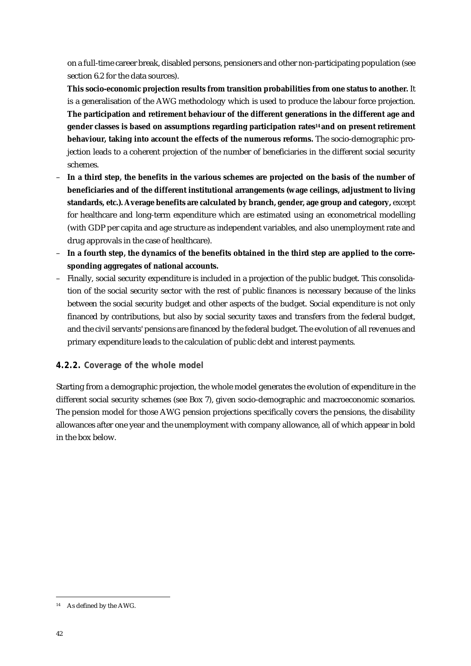on a full-time career break, disabled persons, pensioners and other non-participating population (see section 6.2 for the data sources).

**This socio-economic projection results from transition probabilities from one status to another.** It is a generalisation of the AWG methodology which is used to produce the labour force projection. **The participation and retirement behaviour of the different generations in the different age and gender classes is based on assumptions regarding participation rates<sup>14</sup> and on present retirement behaviour, taking into account the effects of the numerous reforms.** The socio-demographic projection leads to a coherent projection of the number of beneficiaries in the different social security schemes.

- **In a third step, the benefits in the various schemes are projected on the basis of the number of beneficiaries and of the different institutional arrangements (wage ceilings, adjustment to living standards, etc.). Average benefits are calculated by branch, gender, age group and category,** except for healthcare and long-term expenditure which are estimated using an econometrical modelling (with GDP per capita and age structure as independent variables, and also unemployment rate and drug approvals in the case of healthcare).
- **In a fourth step, the dynamics of the benefits obtained in the third step are applied to the corresponding aggregates of national accounts.**
- Finally, social security expenditure is included in a projection of the public budget. This consolidation of the social security sector with the rest of public finances is necessary because of the links between the social security budget and other aspects of the budget. Social expenditure is not only financed by contributions, but also by social security taxes and transfers from the federal budget, and the civil servants' pensions are financed by the federal budget. The evolution of all revenues and primary expenditure leads to the calculation of public debt and interest payments.

#### **4.2.2. Coverage of the whole model**

Starting from a demographic projection, the whole model generates the evolution of expenditure in the different social security schemes (see Box 7), given socio-demographic and macroeconomic scenarios. The pension model for those AWG pension projections specifically covers the pensions, the disability allowances after one year and the unemployment with company allowance, all of which appear in bold in the box below.

<sup>-</sup><sup>14</sup> As defined by the AWG.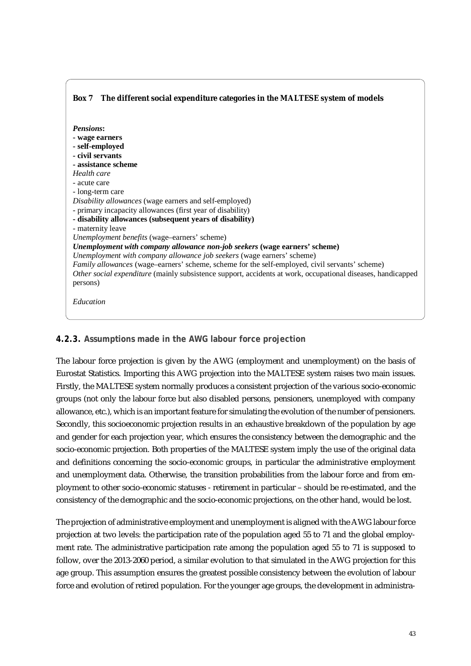#### **Box 7 The different social expenditure categories in the MALTESE system of models** *Pensions***: - wage earners - self-employed - civil servants - assistance scheme** *Health care* - acute care - long-term care *Disability allowances* (wage earners and self-employed) - primary incapacity allowances (first year of disability) **- disability allowances (subsequent years of disability)** - maternity leave *Unemployment benefits* (wage–earners' scheme) *Unemployment with company allowance non-job seekers* **(wage earners' scheme)** *Unemployment with company allowance job seekers* (wage earners' scheme) *Family allowances* (wage–earners' scheme, scheme for the self-employed, civil servants' scheme) *Other social expenditure* (mainly subsistence support, accidents at work, occupational diseases, handicapped persons) *Education*

### **4.2.3. Assumptions made in the AWG labour force projection**

The labour force projection is given by the AWG (employment and unemployment) on the basis of Eurostat Statistics. Importing this AWG projection into the MALTESE system raises two main issues. Firstly, the MALTESE system normally produces a consistent projection of the various socio-economic groups (not only the labour force but also disabled persons, pensioners, unemployed with company allowance, etc.), which is an important feature for simulating the evolution of the number of pensioners. Secondly, this socioeconomic projection results in an exhaustive breakdown of the population by age and gender for each projection year, which ensures the consistency between the demographic and the socio-economic projection. Both properties of the MALTESE system imply the use of the original data and definitions concerning the socio-economic groups, in particular the administrative employment and unemployment data. Otherwise, the transition probabilities from the labour force and from employment to other socio-economic statuses - retirement in particular – should be re-estimated, and the consistency of the demographic and the socio-economic projections, on the other hand, would be lost.

The projection of administrative employment and unemployment is aligned with the AWG labour force projection at two levels: the participation rate of the population aged 55 to 71 and the global employment rate. The administrative participation rate among the population aged 55 to 71 is supposed to follow, over the 2013-2060 period, a similar evolution to that simulated in the AWG projection for this age group. This assumption ensures the greatest possible consistency between the evolution of labour force and evolution of retired population. For the younger age groups, the development in administra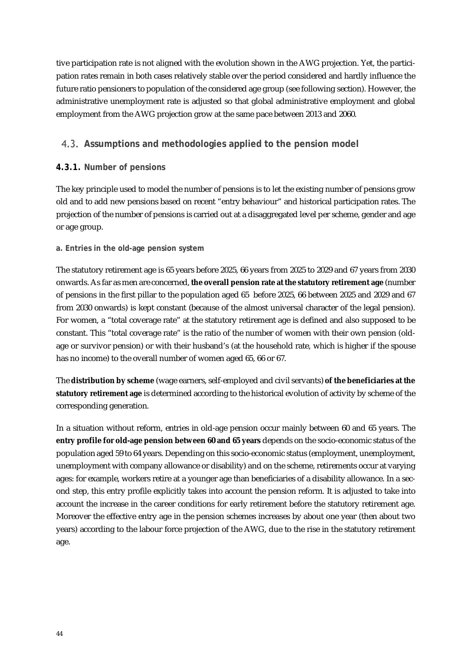tive participation rate is not aligned with the evolution shown in the AWG projection. Yet, the participation rates remain in both cases relatively stable over the period considered and hardly influence the future ratio pensioners to population of the considered age group (see following section). However, the administrative unemployment rate is adjusted so that global administrative employment and global employment from the AWG projection grow at the same pace between 2013 and 2060.

### **Assumptions and methodologies applied to the pension model**

#### **4.3.1. Number of pensions**

The key principle used to model the number of pensions is to let the existing number of pensions grow old and to add new pensions based on recent "entry behaviour" and historical participation rates. The projection of the number of pensions is carried out at a disaggregated level per scheme, gender and age or age group.

#### **a. Entries in the old-age pension system**

The statutory retirement age is 65 years before 2025, 66 years from 2025 to 2029 and 67 years from 2030 onwards. As far as men are concerned, **the overall pension rate at the statutory retirement age** (number of pensions in the first pillar to the population aged 65 before 2025, 66 between 2025 and 2029 and 67 from 2030 onwards) is kept constant (because of the almost universal character of the legal pension). For women, a "total coverage rate" at the statutory retirement age is defined and also supposed to be constant. This "total coverage rate" is the ratio of the number of women with their own pension (oldage or survivor pension) or with their husband's (at the household rate, which is higher if the spouse has no income) to the overall number of women aged 65, 66 or 67.

The **distribution by scheme** (wage earners, self-employed and civil servants) **of the beneficiaries at the statutory retirement age** is determined according to the historical evolution of activity by scheme of the corresponding generation.

In a situation without reform, entries in old-age pension occur mainly between 60 and 65 years. The **entry profile for old-age pension between 60 and 65 years** depends on the socio-economic status of the population aged 59 to 64 years. Depending on this socio-economic status (employment, unemployment, unemployment with company allowance or disability) and on the scheme, retirements occur at varying ages: for example, workers retire at a younger age than beneficiaries of a disability allowance. In a second step, this entry profile explicitly takes into account the pension reform. It is adjusted to take into account the increase in the career conditions for early retirement before the statutory retirement age. Moreover the effective entry age in the pension schemes increases by about one year (then about two years) according to the labour force projection of the AWG, due to the rise in the statutory retirement age.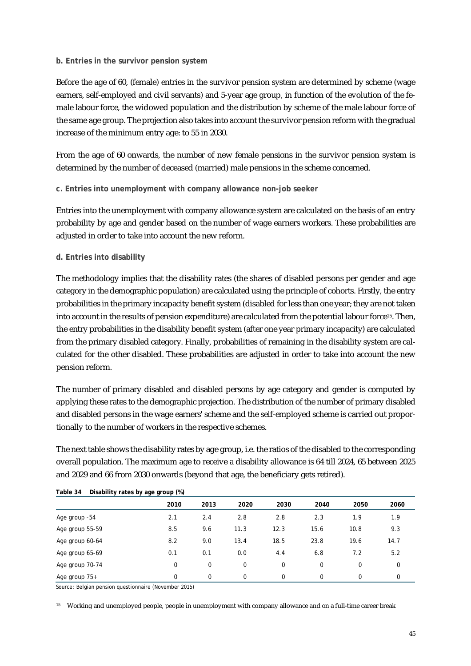#### **b. Entries in the survivor pension system**

Before the age of 60, (female) entries in the survivor pension system are determined by scheme (wage earners, self-employed and civil servants) and 5-year age group, in function of the evolution of the female labour force, the widowed population and the distribution by scheme of the male labour force of the same age group. The projection also takes into account the survivor pension reform with the gradual increase of the minimum entry age: to 55 in 2030.

From the age of 60 onwards, the number of new female pensions in the survivor pension system is determined by the number of deceased (married) male pensions in the scheme concerned.

#### **c. Entries into unemployment with company allowance non-job seeker**

Entries into the unemployment with company allowance system are calculated on the basis of an entry probability by age and gender based on the number of wage earners workers. These probabilities are adjusted in order to take into account the new reform.

#### **d. Entries into disability**

The methodology implies that the disability rates (the shares of disabled persons per gender and age category in the demographic population) are calculated using the principle of cohorts. Firstly, the entry probabilities in the primary incapacity benefit system (disabled for less than one year; they are not taken into account in the results of pension expenditure) are calculated from the potential labour force<sup>15</sup>. Then, the entry probabilities in the disability benefit system (after one year primary incapacity) are calculated from the primary disabled category. Finally, probabilities of remaining in the disability system are calculated for the other disabled. These probabilities are adjusted in order to take into account the new pension reform.

The number of primary disabled and disabled persons by age category and gender is computed by applying these rates to the demographic projection. The distribution of the number of primary disabled and disabled persons in the wage earners' scheme and the self-employed scheme is carried out proportionally to the number of workers in the respective schemes.

The next table shows the disability rates by age group, i.e. the ratios of the disabled to the corresponding overall population. The maximum age to receive a disability allowance is 64 till 2024, 65 between 2025 and 2029 and 66 from 2030 onwards (beyond that age, the beneficiary gets retired).

| .<br>P          |          |      |          |             |          |          |             |
|-----------------|----------|------|----------|-------------|----------|----------|-------------|
|                 | 2010     | 2013 | 2020     | 2030        | 2040     | 2050     | 2060        |
| Age group -54   | 2.1      | 2.4  | 2.8      | 2.8         | 2.3      | 1.9      | 1.9         |
| Age group 55-59 | 8.5      | 9.6  | 11.3     | 12.3        | 15.6     | 10.8     | 9.3         |
| Age group 60-64 | 8.2      | 9.0  | 13.4     | 18.5        | 23.8     | 19.6     | 14.7        |
| Age group 65-69 | 0.1      | 0.1  | 0.0      | 4.4         | 6.8      | 7.2      | 5.2         |
| Age group 70-74 | 0        | 0    | 0        | $\mathbf 0$ | 0        | 0        | $\mathbf 0$ |
| Age group 75+   | $\Omega$ | 0    | $\Omega$ | $\Omega$    | $\Omega$ | $\Omega$ | 0           |

#### **Table 34 Disability rates by age group (%)**

Source: Belgian pension questionnaire (November 2015)

-

<sup>15</sup> Working and unemployed people, people in unemployment with company allowance and on a full-time career break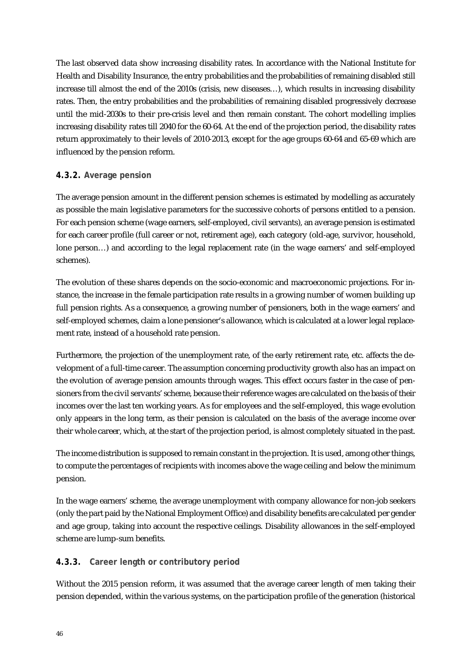The last observed data show increasing disability rates. In accordance with the National Institute for Health and Disability Insurance, the entry probabilities and the probabilities of remaining disabled still increase till almost the end of the 2010s (crisis, new diseases…), which results in increasing disability rates. Then, the entry probabilities and the probabilities of remaining disabled progressively decrease until the mid-2030s to their pre-crisis level and then remain constant. The cohort modelling implies increasing disability rates till 2040 for the 60-64. At the end of the projection period, the disability rates return approximately to their levels of 2010-2013, except for the age groups 60-64 and 65-69 which are influenced by the pension reform.

#### **4.3.2. Average pension**

The average pension amount in the different pension schemes is estimated by modelling as accurately as possible the main legislative parameters for the successive cohorts of persons entitled to a pension. For each pension scheme (wage earners, self-employed, civil servants), an average pension is estimated for each career profile (full career or not, retirement age), each category (old-age, survivor, household, lone person…) and according to the legal replacement rate (in the wage earners' and self-employed schemes).

The evolution of these shares depends on the socio-economic and macroeconomic projections. For instance, the increase in the female participation rate results in a growing number of women building up full pension rights. As a consequence, a growing number of pensioners, both in the wage earners' and self-employed schemes, claim a lone pensioner's allowance, which is calculated at a lower legal replacement rate, instead of a household rate pension.

Furthermore, the projection of the unemployment rate, of the early retirement rate, etc. affects the development of a full-time career. The assumption concerning productivity growth also has an impact on the evolution of average pension amounts through wages. This effect occurs faster in the case of pensioners from the civil servants' scheme, because their reference wages are calculated on the basis of their incomes over the last ten working years. As for employees and the self-employed, this wage evolution only appears in the long term, as their pension is calculated on the basis of the average income over their whole career, which, at the start of the projection period, is almost completely situated in the past.

The income distribution is supposed to remain constant in the projection. It is used, among other things, to compute the percentages of recipients with incomes above the wage ceiling and below the minimum pension.

In the wage earners' scheme, the average unemployment with company allowance for non-job seekers (only the part paid by the National Employment Office) and disability benefits are calculated per gender and age group, taking into account the respective ceilings. Disability allowances in the self-employed scheme are lump-sum benefits.

#### **4.3.3. Career length or contributory period**

Without the 2015 pension reform, it was assumed that the average career length of men taking their pension depended, within the various systems, on the participation profile of the generation (historical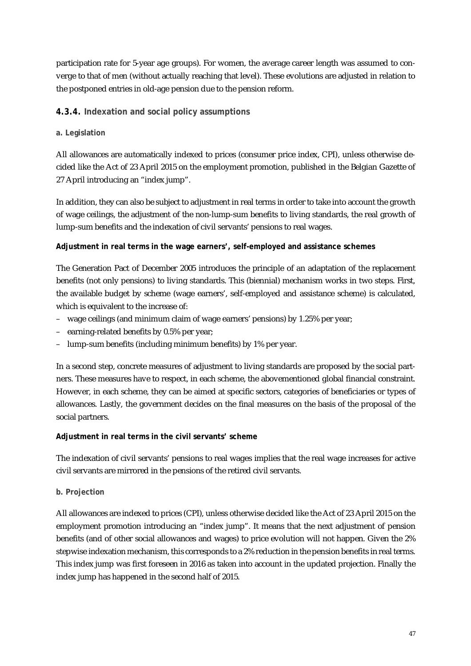participation rate for 5-year age groups). For women, the average career length was assumed to converge to that of men (without actually reaching that level). These evolutions are adjusted in relation to the postponed entries in old-age pension due to the pension reform.

#### **4.3.4. Indexation and social policy assumptions**

#### **a. Legislation**

All allowances are automatically indexed to prices (consumer price index, CPI), unless otherwise decided like the Act of 23 April 2015 on the employment promotion, published in the Belgian Gazette of 27 April introducing an "index jump".

In addition, they can also be subject to adjustment in real terms in order to take into account the growth of wage ceilings, the adjustment of the non-lump-sum benefits to living standards, the real growth of lump-sum benefits and the indexation of civil servants' pensions to real wages.

#### **Adjustment in real terms in the wage earners', self-employed and assistance schemes**

The Generation Pact of December 2005 introduces the principle of an adaptation of the replacement benefits (not only pensions) to living standards. This (biennial) mechanism works in two steps. First, the available budget by scheme (wage earners', self-employed and assistance scheme) is calculated, which is equivalent to the increase of:

- wage ceilings (and minimum claim of wage earners' pensions) by 1.25% per year;
- earning-related benefits by 0.5% per year;
- lump-sum benefits (including minimum benefits) by 1% per year.

In a second step, concrete measures of adjustment to living standards are proposed by the social partners. These measures have to respect, in each scheme, the abovementioned global financial constraint. However, in each scheme, they can be aimed at specific sectors, categories of beneficiaries or types of allowances. Lastly, the government decides on the final measures on the basis of the proposal of the social partners.

#### **Adjustment in real terms in the civil servants' scheme**

The indexation of civil servants' pensions to real wages implies that the real wage increases for active civil servants are mirrored in the pensions of the retired civil servants.

#### **b. Projection**

All allowances are indexed to prices (CPI), unless otherwise decided like the Act of 23 April 2015 on the employment promotion introducing an "index jump". It means that the next adjustment of pension benefits (and of other social allowances and wages) to price evolution will not happen. Given the 2% stepwise indexation mechanism, this corresponds to a 2% reduction in the pension benefits in real terms. This index jump was first foreseen in 2016 as taken into account in the updated projection. Finally the index jump has happened in the second half of 2015.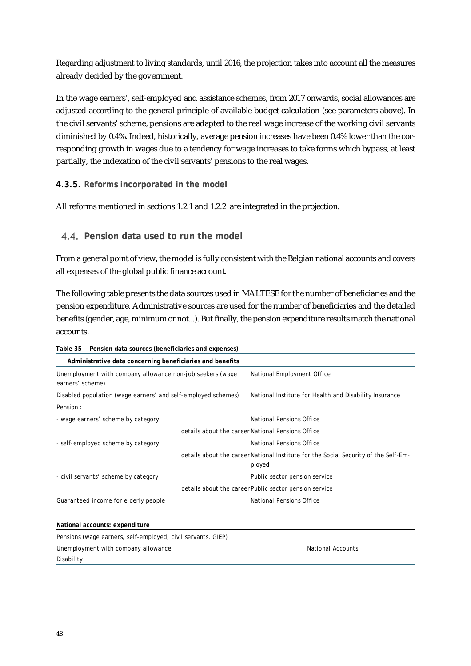Regarding adjustment to living standards, until 2016, the projection takes into account all the measures already decided by the government.

In the wage earners', self-employed and assistance schemes, from 2017 onwards, social allowances are adjusted according to the general principle of available budget calculation (see parameters above). In the civil servants' scheme, pensions are adapted to the real wage increase of the working civil servants diminished by 0.4%. Indeed, historically, average pension increases have been 0.4% lower than the corresponding growth in wages due to a tendency for wage increases to take forms which bypass, at least partially, the indexation of the civil servants' pensions to the real wages.

#### **4.3.5. Reforms incorporated in the model**

All reforms mentioned in sections 1.2.1 and 1.2.2 are integrated in the projection.

#### **Pension data used to run the model**

From a general point of view, the model is fully consistent with the Belgian national accounts and covers all expenses of the global public finance account.

The following table presents the data sources used in MALTESE for the number of beneficiaries and the pension expenditure. Administrative sources are used for the number of beneficiaries and the detailed benefits (gender, age, minimum or not...). But finally, the pension expenditure results match the national accounts.

| Administrative data concerning beneficiaries and benefits                     |                                                                                               |  |  |
|-------------------------------------------------------------------------------|-----------------------------------------------------------------------------------------------|--|--|
| Unemployment with company allowance non-job seekers (wage<br>earners' scheme) | National Employment Office                                                                    |  |  |
| Disabled population (wage earners' and self-employed schemes)                 | National Institute for Health and Disability Insurance                                        |  |  |
| Pension:                                                                      |                                                                                               |  |  |
| - wage earners' scheme by category                                            | National Pensions Office                                                                      |  |  |
|                                                                               | details about the career National Pensions Office                                             |  |  |
| - self-employed scheme by category                                            | National Pensions Office                                                                      |  |  |
|                                                                               | details about the career National Institute for the Social Security of the Self-Em-<br>ployed |  |  |
| - civil servants' scheme by category                                          | Public sector pension service                                                                 |  |  |
|                                                                               | details about the career Public sector pension service                                        |  |  |
| Guaranteed income for elderly people                                          | National Pensions Office                                                                      |  |  |
| National accounts: expenditure                                                |                                                                                               |  |  |
| Pensions (wage earners, self-employed, civil servants, GIEP)                  |                                                                                               |  |  |
| Unemployment with company allowance                                           | <b>National Accounts</b>                                                                      |  |  |
| Disability                                                                    |                                                                                               |  |  |

**Table 35 Pension data sources (beneficiaries and expenses)**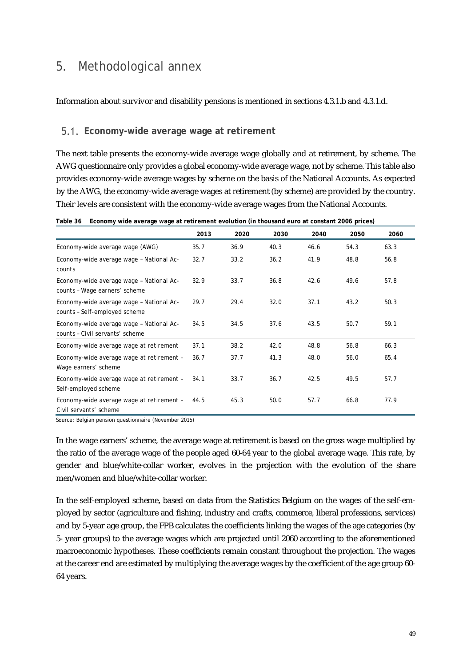## 5. Methodological annex

Information about survivor and disability pensions is mentioned in sections 4.3.1.b and 4.3.1.d.

#### **Economy-wide average wage at retirement**

The next table presents the economy-wide average wage globally and at retirement, by scheme. The AWG questionnaire only provides a global economy-wide average wage, not by scheme. This table also provides economy-wide average wages by scheme on the basis of the National Accounts. As expected by the AWG, the economy-wide average wages at retirement (by scheme) are provided by the country. Their levels are consistent with the economy-wide average wages from the National Accounts.

| Table 36 Economy wide average wage at retirement evolution (in thousand euro at constant 2006 prices) |
|-------------------------------------------------------------------------------------------------------|
|                                                                                                       |

|                                                                             | 2013 | 2020 | 2030 | 2040 | 2050 | 2060 |
|-----------------------------------------------------------------------------|------|------|------|------|------|------|
| Economy-wide average wage (AWG)                                             | 35.7 | 36.9 | 40.3 | 46.6 | 54.3 | 63.3 |
| Economy-wide average wage - National Ac-<br>counts                          | 32.7 | 33.2 | 36.2 | 41.9 | 48.8 | 56.8 |
| Economy-wide average wage - National Ac-<br>counts - Wage earners' scheme   | 32.9 | 33.7 | 36.8 | 42.6 | 49.6 | 57.8 |
| Economy-wide average wage - National Ac-<br>counts - Self-employed scheme   | 29.7 | 29.4 | 32.0 | 37.1 | 43.2 | 50.3 |
| Economy-wide average wage - National Ac-<br>counts - Civil servants' scheme | 34.5 | 34.5 | 37.6 | 43.5 | 50.7 | 59.1 |
| Economy-wide average wage at retirement                                     | 37.1 | 38.2 | 42.0 | 48.8 | 56.8 | 66.3 |
| Economy-wide average wage at retirement -<br>Wage earners' scheme           | 36.7 | 37.7 | 41.3 | 48.0 | 56.0 | 65.4 |
| Economy-wide average wage at retirement -<br>Self-employed scheme           | 34.1 | 33.7 | 36.7 | 42.5 | 49.5 | 57.7 |
| Economy-wide average wage at retirement -<br>Civil servants' scheme         | 44.5 | 45.3 | 50.0 | 57.7 | 66.8 | 77.9 |

Source: Belgian pension questionnaire (November 2015)

In the wage earners' scheme, the average wage at retirement is based on the gross wage multiplied by the ratio of the average wage of the people aged 60-64 year to the global average wage. This rate, by gender and blue/white-collar worker, evolves in the projection with the evolution of the share men/women and blue/white-collar worker.

In the self-employed scheme, based on data from the Statistics Belgium on the wages of the self-employed by sector (agriculture and fishing, industry and crafts, commerce, liberal professions, services) and by 5-year age group, the FPB calculates the coefficients linking the wages of the age categories (by 5- year groups) to the average wages which are projected until 2060 according to the aforementioned macroeconomic hypotheses. These coefficients remain constant throughout the projection. The wages at the career end are estimated by multiplying the average wages by the coefficient of the age group 60- 64 years.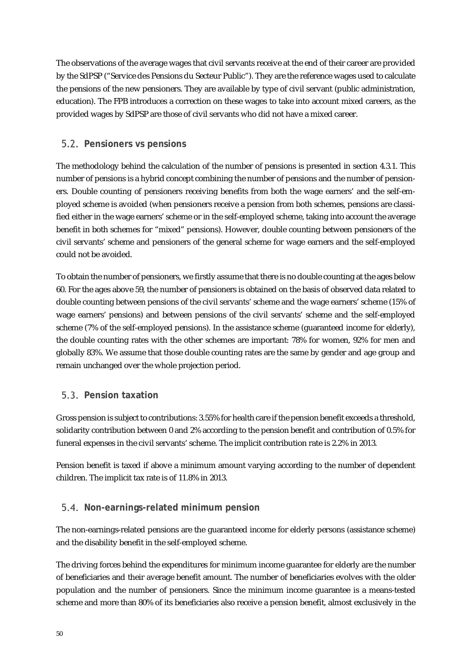The observations of the average wages that civil servants receive at the end of their career are provided by the SdPSP ("Service des Pensions du Secteur Public"). They are the reference wages used to calculate the pensions of the new pensioners. They are available by type of civil servant (public administration, education). The FPB introduces a correction on these wages to take into account mixed careers, as the provided wages by SdPSP are those of civil servants who did not have a mixed career.

### **Pensioners vs pensions**

The methodology behind the calculation of the number of pensions is presented in section 4.3.1. This number of pensions is a hybrid concept combining the number of pensions and the number of pensioners. Double counting of pensioners receiving benefits from both the wage earners' and the self-employed scheme is avoided (when pensioners receive a pension from both schemes, pensions are classified either in the wage earners' scheme or in the self-employed scheme, taking into account the average benefit in both schemes for "mixed" pensions). However, double counting between pensioners of the civil servants' scheme and pensioners of the general scheme for wage earners and the self-employed could not be avoided.

To obtain the number of pensioners, we firstly assume that there is no double counting at the ages below 60. For the ages above 59, the number of pensioners is obtained on the basis of observed data related to double counting between pensions of the civil servants' scheme and the wage earners' scheme (15% of wage earners' pensions) and between pensions of the civil servants' scheme and the self-employed scheme (7% of the self-employed pensions). In the assistance scheme (guaranteed income for elderly), the double counting rates with the other schemes are important: 78% for women, 92% for men and globally 83%. We assume that those double counting rates are the same by gender and age group and remain unchanged over the whole projection period.

## **Pension taxation**

Gross pension is subject to contributions: 3.55% for health care if the pension benefit exceeds a threshold, solidarity contribution between 0 and 2% according to the pension benefit and contribution of 0.5% for funeral expenses in the civil servants' scheme. The implicit contribution rate is 2.2% in 2013.

Pension benefit is taxed if above a minimum amount varying according to the number of dependent children. The implicit tax rate is of 11.8% in 2013.

### **Non-earnings-related minimum pension**

The non-earnings-related pensions are the guaranteed income for elderly persons (assistance scheme) and the disability benefit in the self-employed scheme.

The driving forces behind the expenditures for minimum income guarantee for elderly are the number of beneficiaries and their average benefit amount. The number of beneficiaries evolves with the older population and the number of pensioners. Since the minimum income guarantee is a means-tested scheme and more than 80% of its beneficiaries also receive a pension benefit, almost exclusively in the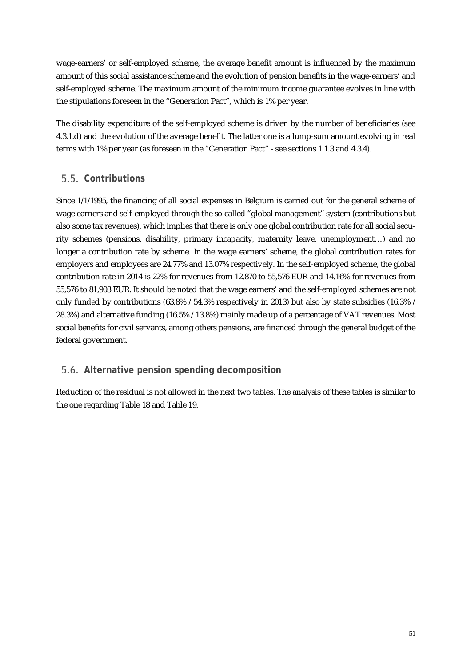wage-earners' or self-employed scheme, the average benefit amount is influenced by the maximum amount of this social assistance scheme and the evolution of pension benefits in the wage-earners' and self-employed scheme. The maximum amount of the minimum income guarantee evolves in line with the stipulations foreseen in the "Generation Pact", which is 1% per year.

The disability expenditure of the self-employed scheme is driven by the number of beneficiaries (see 4.3.1.d) and the evolution of the average benefit. The latter one is a lump-sum amount evolving in real terms with 1% per year (as foreseen in the "Generation Pact" - see sections 1.1.3 and 4.3.4).

### **Contributions**

Since 1/1/1995, the financing of all social expenses in Belgium is carried out for the general scheme of wage earners and self-employed through the so-called "global management" system (contributions but also some tax revenues), which implies that there is only one global contribution rate for all social security schemes (pensions, disability, primary incapacity, maternity leave, unemployment…) and no longer a contribution rate by scheme. In the wage earners' scheme, the global contribution rates for employers and employees are 24.77% and 13.07% respectively. In the self-employed scheme, the global contribution rate in 2014 is 22% for revenues from 12,870 to 55,576 EUR and 14.16% for revenues from 55,576 to 81,903 EUR. It should be noted that the wage earners' and the self-employed schemes are not only funded by contributions (63.8% / 54.3% respectively in 2013) but also by state subsidies (16.3% / 28.3%) and alternative funding (16.5% / 13.8%) mainly made up of a percentage of VAT revenues. Most social benefits for civil servants, among others pensions, are financed through the general budget of the federal government.

## **Alternative pension spending decomposition**

Reduction of the residual is not allowed in the next two tables. The analysis of these tables is similar to the one regarding Table 18 and Table 19.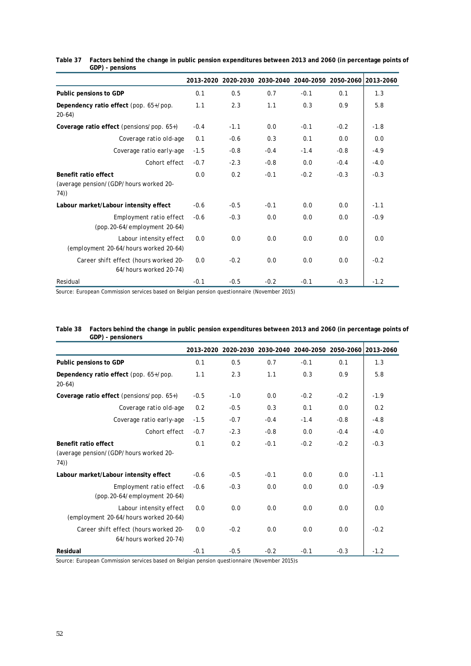|                                                                               |        |        | 2013-2020 2020-2030 2030-2040 2040-2050 2050-2060 2013-2060 |        |        |        |
|-------------------------------------------------------------------------------|--------|--------|-------------------------------------------------------------|--------|--------|--------|
| Public pensions to GDP                                                        | 0.1    | 0.5    | 0.7                                                         | $-0.1$ | 0.1    | 1.3    |
| Dependency ratio effect (pop. 65+/pop.<br>$20-64$                             | 1.1    | 2.3    | 1.1                                                         | 0.3    | 0.9    | 5.8    |
| Coverage ratio effect (pensions/pop. $65+$ )                                  | $-0.4$ | $-1.1$ | 0.0                                                         | $-0.1$ | $-0.2$ | $-1.8$ |
| Coverage ratio old-age                                                        | 0.1    | $-0.6$ | 0.3                                                         | 0.1    | 0.0    | 0.0    |
| Coverage ratio early-age                                                      | $-1.5$ | $-0.8$ | $-0.4$                                                      | $-1.4$ | $-0.8$ | $-4.9$ |
| Cohort effect                                                                 | $-0.7$ | $-2.3$ | $-0.8$                                                      | 0.0    | $-0.4$ | $-4.0$ |
| <b>Benefit ratio effect</b><br>(average pension/(GDP/hours worked 20-<br>74)) | 0.0    | 0.2    | $-0.1$                                                      | $-0.2$ | $-0.3$ | $-0.3$ |
| Labour market/Labour intensity effect                                         | $-0.6$ | $-0.5$ | $-0.1$                                                      | 0.0    | 0.0    | $-1.1$ |
| Employment ratio effect<br>(pop. 20-64/employment 20-64)                      | $-0.6$ | $-0.3$ | 0.0                                                         | 0.0    | 0.0    | $-0.9$ |
| Labour intensity effect<br>(employment 20-64/hours worked 20-64)              | 0.0    | 0.0    | 0.0                                                         | 0.0    | 0.0    | 0.0    |
| Career shift effect (hours worked 20-<br>64/hours worked 20-74)               | 0.0    | $-0.2$ | 0.0                                                         | 0.0    | 0.0    | $-0.2$ |
| Residual                                                                      | $-0.1$ | $-0.5$ | $-0.2$                                                      | $-0.1$ | $-0.3$ | $-1.2$ |

**Table 37 Factors behind the change in public pension expenditures between 2013 and 2060 (in percentage points of GDP) - pensions**

Source: European Commission services based on Belgian pension questionnaire (November 2015)

|                                                                  | 2013-2020 | 2020-2030 | 2030-2040 |        | 2040-2050 2050-2060 2013-2060 |        |
|------------------------------------------------------------------|-----------|-----------|-----------|--------|-------------------------------|--------|
| Public pensions to GDP                                           | 0.1       | 0.5       | 0.7       | $-0.1$ | 0.1                           | 1.3    |
| Dependency ratio effect (pop. 65+/pop.<br>$20-64)$               | 1.1       | 2.3       | 1.1       | 0.3    | 0.9                           | 5.8    |
| Coverage ratio effect (pensions/pop. $65+)$                      | $-0.5$    | $-1.0$    | 0.0       | $-0.2$ | $-0.2$                        | $-1.9$ |
| Coverage ratio old-age                                           | 0.2       | $-0.5$    | 0.3       | 0.1    | 0.0                           | 0.2    |
| Coverage ratio early-age                                         | $-1.5$    | $-0.7$    | $-0.4$    | $-1.4$ | $-0.8$                        | $-4.8$ |
| Cohort effect                                                    | $-0.7$    | $-2.3$    | $-0.8$    | 0.0    | $-0.4$                        | $-4.0$ |
| Benefit ratio effect                                             | 0.1       | 0.2       | $-0.1$    | $-0.2$ | $-0.2$                        | $-0.3$ |
| (average pension/(GDP/hours worked 20-<br>74))                   |           |           |           |        |                               |        |
| Labour market/Labour intensity effect                            | $-0.6$    | $-0.5$    | $-0.1$    | 0.0    | 0.0                           | $-1.1$ |
| Employment ratio effect<br>(pop. 20-64/employment 20-64)         | $-0.6$    | $-0.3$    | 0.0       | 0.0    | 0.0                           | $-0.9$ |
| Labour intensity effect<br>(employment 20-64/hours worked 20-64) | 0.0       | 0.0       | 0.0       | 0.0    | 0.0                           | 0.0    |
| Career shift effect (hours worked 20-<br>64/hours worked 20-74)  | 0.0       | $-0.2$    | 0.0       | 0.0    | 0.0                           | $-0.2$ |
| Residual                                                         | $-0.1$    | $-0.5$    | $-0.2$    | $-0.1$ | $-0.3$                        | $-1.2$ |

| Table 38 Factors behind the change in public pension expenditures between 2013 and 2060 (in percentage points of |
|------------------------------------------------------------------------------------------------------------------|
| GDP) - pensioners                                                                                                |

Source: European Commission services based on Belgian pension questionnaire (November 2015)s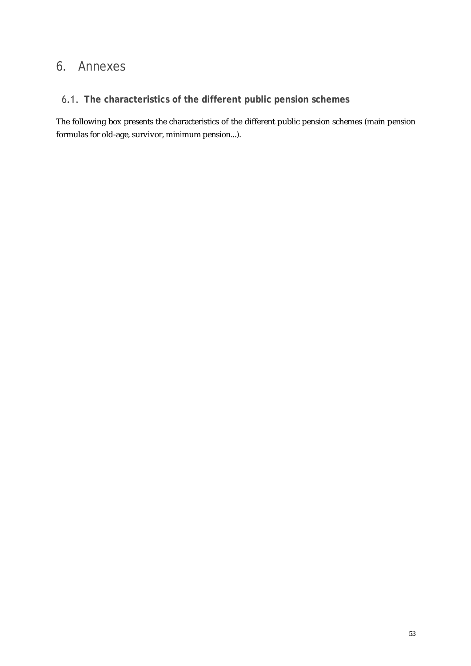## 6. Annexes

### **The characteristics of the different public pension schemes**

The following box presents the characteristics of the different public pension schemes (main pension formulas for old-age, survivor, minimum pension...).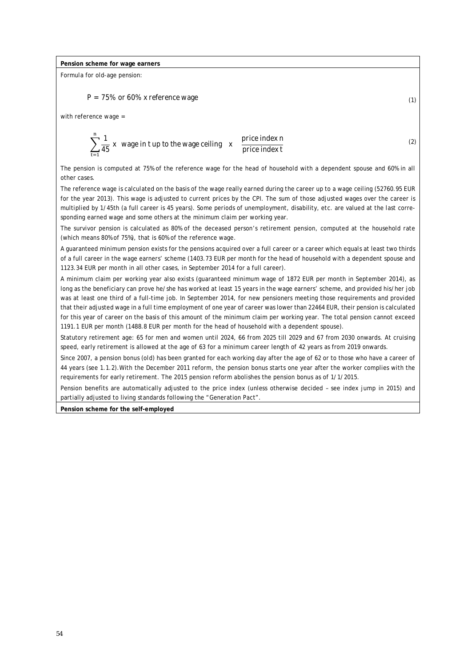#### **Pension scheme for wage earners**

Formula for old-age pension:

 $P = 75\%$  or 60% x reference wage (1)

with reference wage =

$$
\sum_{t=1}^{n} \frac{1}{45} x
$$
 wage in t up to the wage ceiling x price index t price index t

The pension is computed at 75% of the reference wage for the head of household with a dependent spouse and 60% in all other cases.

(2)

The reference wage is calculated on the basis of the wage really earned during the career up to a wage ceiling (52760.95 EUR for the year 2013). This wage is adjusted to current prices by the CPI. The sum of those adjusted wages over the career is multiplied by 1/45th (a full career is 45 years). Some periods of unemployment, disability, etc. are valued at the last corresponding earned wage and some others at the minimum claim per working year.

The survivor pension is calculated as 80% of the deceased person's retirement pension, computed at the household rate (which means 80% of 75%), that is 60% of the reference wage.

A guaranteed minimum pension exists for the pensions acquired over a full career or a career which equals at least two thirds of a full career in the wage earners' scheme (1403.73 EUR per month for the head of household with a dependent spouse and 1123.34 EUR per month in all other cases, in September 2014 for a full career).

A minimum claim per working year also exists (guaranteed minimum wage of 1872 EUR per month in September 2014), as long as the beneficiary can prove he/she has worked at least 15 years in the wage earners' scheme, and provided his/her job was at least one third of a full-time job. In September 2014, for new pensioners meeting those requirements and provided that their adjusted wage in a full time employment of one year of career was lower than 22464 EUR, their pension is calculated for this year of career on the basis of this amount of the minimum claim per working year. The total pension cannot exceed 1191.1 EUR per month (1488.8 EUR per month for the head of household with a dependent spouse).

Statutory retirement age: 65 for men and women until 2024, 66 from 2025 till 2029 and 67 from 2030 onwards. At cruising speed, early retirement is allowed at the age of 63 for a minimum career length of 42 years as from 2019 onwards.

Since 2007, a pension bonus (old) has been granted for each working day after the age of 62 or to those who have a career of 44 years (see 1.1.2).With the December 2011 reform, the pension bonus starts one year after the worker complies with the requirements for early retirement. The 2015 pension reform abolishes the pension bonus as of 1/1/2015.

Pension benefits are automatically adjusted to the price index (unless otherwise decided – see index jump in 2015) and partially adjusted to living standards following the "Generation Pact".

**Pension scheme for the self-employed**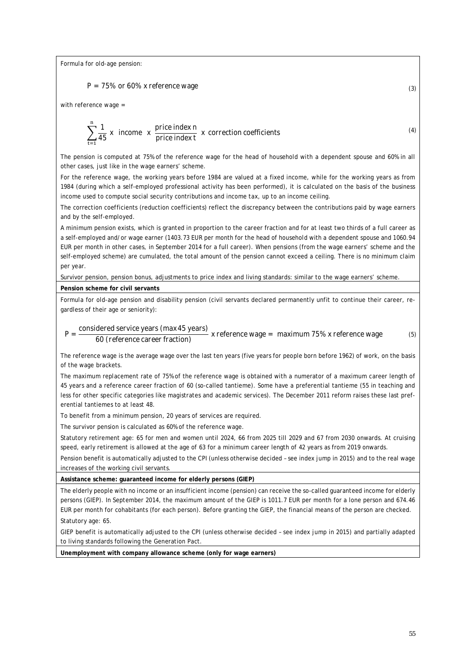Formula for old-age pension:

$$
P = 75\% \text{ or } 60\% \text{ x reference wage} \tag{3}
$$

with reference wage =

$$
\sum_{t=1}^{n} \frac{1}{45} x
$$
 income  $x$   $\frac{\text{price index } n}{\text{price index } t}$  x correction coefficients\n
$$
\tag{4}
$$

The pension is computed at 75% of the reference wage for the head of household with a dependent spouse and 60% in all other cases, just like in the wage earners' scheme.

For the reference wage, the working years before 1984 are valued at a fixed income, while for the working years as from 1984 (during which a self-employed professional activity has been performed), it is calculated on the basis of the business income used to compute social security contributions and income tax, up to an income ceiling.

The correction coefficients (reduction coefficients) reflect the discrepancy between the contributions paid by wage earners and by the self-employed.

A minimum pension exists, which is granted in proportion to the career fraction and for at least two thirds of a full career as a self-employed and/or wage earner (1403.73 EUR per month for the head of household with a dependent spouse and 1060.94 EUR per month in other cases, in September 2014 for a full career). When pensions (from the wage earners' scheme and the self-employed scheme) are cumulated, the total amount of the pension cannot exceed a ceiling. There is no minimum claim per year.

Survivor pension, pension bonus, adjustments to price index and living standards: similar to the wage earners' scheme.

#### **Pension scheme for civil servants**

Formula for old-age pension and disability pension (civil servants declared permanently unfit to continue their career, regardless of their age or seniority):

 $P = \frac{\text{considered service years (max 45 years)}}{(Q/\text{referrase energy fraction)}}$ 60 (reference career fraction) x reference wage = maximum 75% x reference wage (5)

The reference wage is the average wage over the last ten years (five years for people born before 1962) of work, on the basis of the wage brackets.

The maximum replacement rate of 75% of the reference wage is obtained with a numerator of a maximum career length of 45 years and a reference career fraction of 60 (so-called tantieme). Some have a preferential tantieme (55 in teaching and less for other specific categories like magistrates and academic services). The December 2011 reform raises these last preferential tantiemes to at least 48.

To benefit from a minimum pension, 20 years of services are required.

The survivor pension is calculated as 60% of the reference wage.

Statutory retirement age: 65 for men and women until 2024, 66 from 2025 till 2029 and 67 from 2030 onwards. At cruising speed, early retirement is allowed at the age of 63 for a minimum career length of 42 years as from 2019 onwards.

Pension benefit is automatically adjusted to the CPI (unless otherwise decided – see index jump in 2015) and to the real wage increases of the working civil servants.

**Assistance scheme: guaranteed income for elderly persons (GIEP)**

The elderly people with no income or an insufficient income (pension) can receive the so-called guaranteed income for elderly persons (GIEP). In September 2014, the maximum amount of the GIEP is 1011.7 EUR per month for a lone person and 674.46 EUR per month for cohabitants (for each person). Before granting the GIEP, the financial means of the person are checked.

Statutory age: 65.

GIEP benefit is automatically adjusted to the CPI (unless otherwise decided – see index jump in 2015) and partially adapted to living standards following the Generation Pact.

**Unemployment with company allowance scheme (only for wage earners)**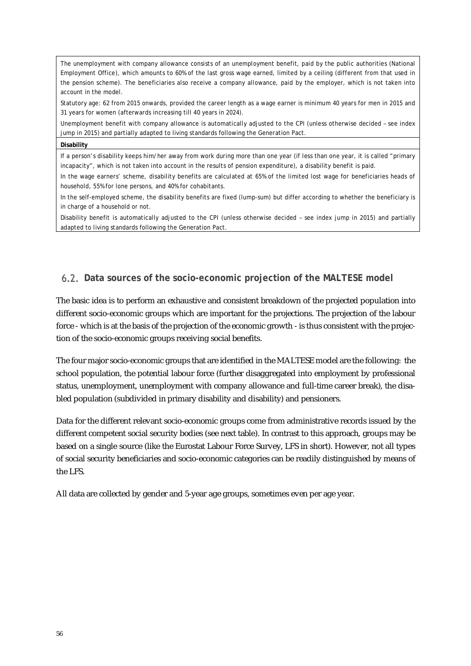The unemployment with company allowance consists of an unemployment benefit, paid by the public authorities (National Employment Office), which amounts to 60% of the last gross wage earned, limited by a ceiling (different from that used in the pension scheme). The beneficiaries also receive a company allowance, paid by the employer, which is not taken into account in the model.

Statutory age: 62 from 2015 onwards, provided the career length as a wage earner is minimum 40 years for men in 2015 and 31 years for women (afterwards increasing till 40 years in 2024).

Unemployment benefit with company allowance is automatically adjusted to the CPI (unless otherwise decided – see index jump in 2015) and partially adapted to living standards following the Generation Pact.

#### **Disability**

If a person's disability keeps him/her away from work during more than one year (if less than one year, it is called "primary incapacity", which is not taken into account in the results of pension expenditure), a disability benefit is paid.

In the wage earners' scheme, disability benefits are calculated at 65% of the limited lost wage for beneficiaries heads of household, 55% for lone persons, and 40% for cohabitants.

In the self-employed scheme, the disability benefits are fixed (lump-sum) but differ according to whether the beneficiary is in charge of a household or not.

Disability benefit is automatically adjusted to the CPI (unless otherwise decided – see index jump in 2015) and partially adapted to living standards following the Generation Pact.

#### **Data sources of the socio-economic projection of the MALTESE model**

The basic idea is to perform an exhaustive and consistent breakdown of the projected population into different socio-economic groups which are important for the projections. The projection of the labour force - which is at the basis of the projection of the economic growth - is thus consistent with the projection of the socio-economic groups receiving social benefits.

The four major socio-economic groups that are identified in the MALTESE model are the following: the school population, the potential labour force (further disaggregated into employment by professional status, unemployment, unemployment with company allowance and full-time career break), the disabled population (subdivided in primary disability and disability) and pensioners.

Data for the different relevant socio-economic groups come from administrative records issued by the different competent social security bodies (see next table). In contrast to this approach, groups may be based on a single source (like the Eurostat Labour Force Survey, LFS in short). However, not all types of social security beneficiaries and socio-economic categories can be readily distinguished by means of the LFS.

All data are collected by gender and 5-year age groups, sometimes even per age year.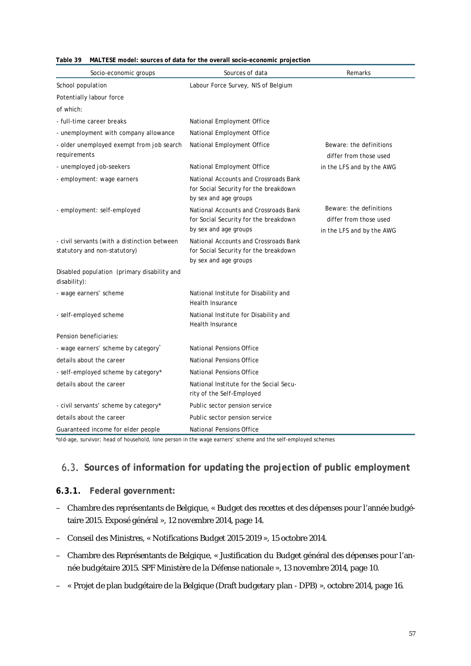| Socio-economic groups                                                        | Sources of data                                                                                         | Remarks                                                                        |
|------------------------------------------------------------------------------|---------------------------------------------------------------------------------------------------------|--------------------------------------------------------------------------------|
| School population                                                            | Labour Force Survey, NIS of Belgium                                                                     |                                                                                |
| Potentially labour force                                                     |                                                                                                         |                                                                                |
| of which:                                                                    |                                                                                                         |                                                                                |
| - full-time career breaks                                                    | National Employment Office                                                                              |                                                                                |
| - unemployment with company allowance                                        | National Employment Office                                                                              |                                                                                |
| - older unemployed exempt from job search<br>requirements                    | National Employment Office                                                                              | Beware: the definitions<br>differ from those used                              |
| - unemployed job-seekers                                                     | National Employment Office                                                                              | in the LFS and by the AWG                                                      |
| - employment: wage earners                                                   | National Accounts and Crossroads Bank<br>for Social Security for the breakdown<br>by sex and age groups |                                                                                |
| - employment: self-employed                                                  | National Accounts and Crossroads Bank<br>for Social Security for the breakdown<br>by sex and age groups | Beware: the definitions<br>differ from those used<br>in the LFS and by the AWG |
| - civil servants (with a distinction between<br>statutory and non-statutory) | National Accounts and Crossroads Bank<br>for Social Security for the breakdown<br>by sex and age groups |                                                                                |
| Disabled population (primary disability and<br>disability):                  |                                                                                                         |                                                                                |
| - wage earners' scheme                                                       | National Institute for Disability and<br><b>Health Insurance</b>                                        |                                                                                |
| - self-employed scheme                                                       | National Institute for Disability and<br><b>Health Insurance</b>                                        |                                                                                |
| Pension beneficiaries:                                                       |                                                                                                         |                                                                                |
| - wage earners' scheme by category                                           | National Pensions Office                                                                                |                                                                                |
| details about the career                                                     | National Pensions Office                                                                                |                                                                                |
| - self-employed scheme by category*                                          | National Pensions Office                                                                                |                                                                                |
| details about the career                                                     | National Institute for the Social Secu-<br>rity of the Self-Employed                                    |                                                                                |
| - civil servants' scheme by category*                                        | Public sector pension service                                                                           |                                                                                |
| details about the career                                                     | Public sector pension service                                                                           |                                                                                |
| Guaranteed income for elder people                                           | National Pensions Office                                                                                |                                                                                |

| Table 39 MALTESE model: sources of data for the overall socio-economic projection |  |
|-----------------------------------------------------------------------------------|--|
|                                                                                   |  |

\*old-age, survivor; head of household, lone person in the wage earners' scheme and the self-employed schemes

## **Sources of information for updating the projection of public employment**

#### **6.3.1. Federal government:**

- Chambre des représentants de Belgique, « Budget des recettes et des dépenses pour l'année budgétaire 2015. Exposé général », 12 novembre 2014, page 14.
- Conseil des Ministres, « Notifications Budget 2015-2019 », 15 octobre 2014.
- Chambre des Représentants de Belgique, « Justification du Budget général des dépenses pour l'année budgétaire 2015. SPF Ministère de la Défense nationale », 13 novembre 2014, page 10.
- « Projet de plan budgétaire de la Belgique (Draft budgetary plan DPB) », octobre 2014, page 16.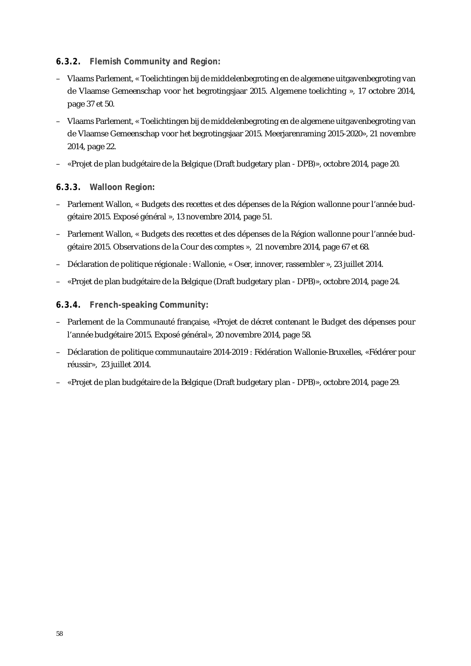#### **6.3.2. Flemish Community and Region:**

- Vlaams Parlement, « Toelichtingen bij de middelenbegroting en de algemene uitgavenbegroting van de Vlaamse Gemeenschap voor het begrotingsjaar 2015. Algemene toelichting », 17 octobre 2014, page 37 et 50.
- Vlaams Parlement, « Toelichtingen bij de middelenbegroting en de algemene uitgavenbegroting van de Vlaamse Gemeenschap voor het begrotingsjaar 2015. Meerjarenraming 2015-2020», 21 novembre 2014, page 22.
- «Projet de plan budgétaire de la Belgique (Draft budgetary plan DPB)», octobre 2014, page 20.

#### **6.3.3. Walloon Region:**

- Parlement Wallon, « Budgets des recettes et des dépenses de la Région wallonne pour l'année budgétaire 2015. Exposé général », 13 novembre 2014, page 51.
- Parlement Wallon, « Budgets des recettes et des dépenses de la Région wallonne pour l'année budgétaire 2015. Observations de la Cour des comptes », 21 novembre 2014, page 67 et 68.
- Déclaration de politique régionale : Wallonie, « Oser, innover, rassembler », 23 juillet 2014.
- «Projet de plan budgétaire de la Belgique (Draft budgetary plan DPB)», octobre 2014, page 24.

#### **6.3.4. French-speaking Community:**

- Parlement de la Communauté française, «Projet de décret contenant le Budget des dépenses pour l'année budgétaire 2015. Exposé général», 20 novembre 2014, page 58.
- Déclaration de politique communautaire 2014-2019 : Fédération Wallonie-Bruxelles, «Fédérer pour réussir», 23 juillet 2014.
- «Projet de plan budgétaire de la Belgique (Draft budgetary plan DPB)», octobre 2014, page 29.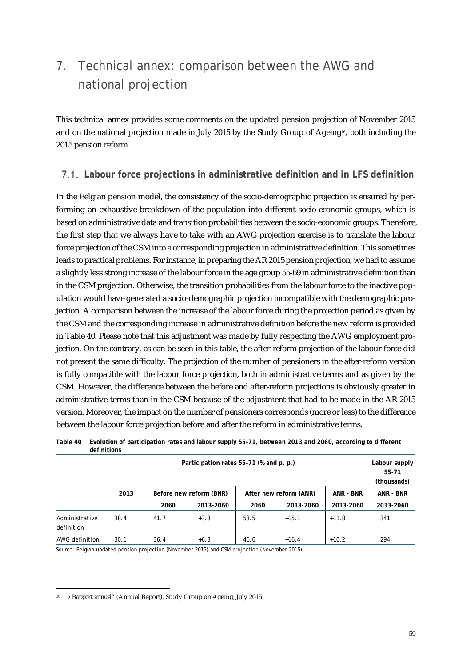## 7. Technical annex: comparison between the AWG and national projection

This technical annex provides some comments on the updated pension projection of November 2015 and on the national projection made in July 2015 by the Study Group of Ageing<sup>16</sup>, both including the 2015 pension reform.

### **Labour force projections in administrative definition and in LFS definition**

In the Belgian pension model, the consistency of the socio-demographic projection is ensured by performing an exhaustive breakdown of the population into different socio-economic groups, which is based on administrative data and transition probabilities between the socio-economic groups. Therefore, the first step that we always have to take with an AWG projection exercise is to translate the labour force projection of the CSM into a corresponding projection in administrative definition. This sometimes leads to practical problems. For instance, in preparing the AR 2015 pension projection, we had to assume a slightly less strong increase of the labour force in the age group 55-69 in administrative definition than in the CSM projection. Otherwise, the transition probabilities from the labour force to the inactive population would have generated a socio-demographic projection incompatible with the demographic projection. A comparison between the increase of the labour force during the projection period as given by the CSM and the corresponding increase in administrative definition before the new reform is provided in Table 40. Please note that this adjustment was made by fully respecting the AWG employment projection. On the contrary, as can be seen in this table, the after-reform projection of the labour force did not present the same difficulty. The projection of the number of pensioners in the after-reform version is fully compatible with the labour force projection, both in administrative terms and as given by the CSM. However, the difference between the before and after-reform projections is obviously greater in administrative terms than in the CSM because of the adjustment that had to be made in the AR 2015 version. Moreover, the impact on the number of pensioners corresponds (more or less) to the difference between the labour force projection before and after the reform in administrative terms.

|                              | <b>UCHILIUDI</b> |      |                                         |      |                        |                  |                                       |  |
|------------------------------|------------------|------|-----------------------------------------|------|------------------------|------------------|---------------------------------------|--|
|                              |                  |      | Participation rates 55-71 (% and p. p.) |      |                        |                  | Labour supply<br>55-71<br>(thousands) |  |
|                              | 2013             |      | Before new reform (BNR)                 |      | After new reform (ANR) | <b>ANR - BNR</b> | <b>ANR - BNR</b>                      |  |
|                              |                  | 2060 | 2013-2060                               | 2060 | 2013-2060              | 2013-2060        | 2013-2060                             |  |
| Administrative<br>definition | 38.4             | 41.7 | $+3.3$                                  | 53.5 | $+15.1$                | $+11.8$          | 341                                   |  |
| AWG definition               | 30.1             | 36.4 | $+6.3$                                  | 46.6 | $+16.4$                | $+10.2$          | 294                                   |  |

| Table 40 Evolution of participation rates and labour supply 55-71, between 2013 and 2060, according to different |
|------------------------------------------------------------------------------------------------------------------|
| definitions                                                                                                      |

Source: Belgian updated pension projection (November 2015) and CSM projection (November 2015)

<sup>16</sup> « *Rapport annuel"* (Annual Report), Study Group on Ageing, July 2015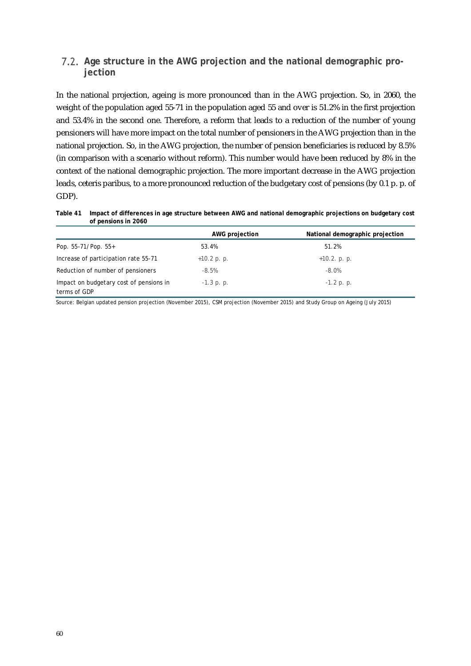#### **Age structure in the AWG projection and the national demographic projection**

In the national projection, ageing is more pronounced than in the AWG projection. So, in 2060, the weight of the population aged 55-71 in the population aged 55 and over is 51.2% in the first projection and 53.4% in the second one. Therefore, a reform that leads to a reduction of the number of young pensioners will have more impact on the total number of pensioners in the AWG projection than in the national projection. So, in the AWG projection, the number of pension beneficiaries is reduced by 8.5% (in comparison with a scenario without reform). This number would have been reduced by 8% in the context of the national demographic projection. The more important decrease in the AWG projection leads, ceteris paribus, to a more pronounced reduction of the budgetary cost of pensions (by 0.1 p. p. of GDP).

**Table 41 Impact of differences in age structure between AWG and national demographic projections on budgetary cost of pensions in 2060**

|                                         | <b>AWG</b> projection | National demographic projection |
|-----------------------------------------|-----------------------|---------------------------------|
| Pop. $55-71/P$ op. $55+$                | 53.4%                 | 51.2%                           |
| Increase of participation rate 55-71    | $+10.2$ p. p.         | $+10.2$ . p. p.                 |
| Reduction of number of pensioners       | $-8.5%$               | $-8.0%$                         |
| Impact on budgetary cost of pensions in | $-1.3$ p. p.          | $-1.2$ p. p.                    |
| terms of GDP                            |                       |                                 |

Source: Belgian updated pension projection (November 2015), CSM projection (November 2015) and Study Group on Ageing (July 2015)